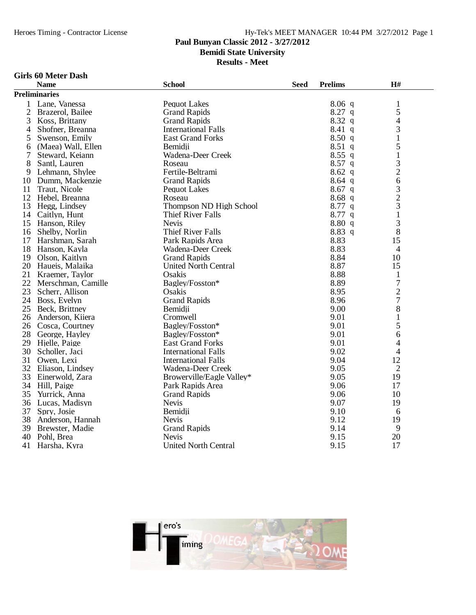## **Paul Bunyan Classic 2012 - 3/27/2012**

**Bemidi State University**

**Results - Meet**

### **Girls 60 Meter Dash**

|                | <b>Name</b>          | <b>School</b>               | <b>Seed</b> | <b>Prelims</b> | H#             |
|----------------|----------------------|-----------------------------|-------------|----------------|----------------|
|                | <b>Preliminaries</b> |                             |             |                |                |
| 1              | Lane, Vanessa        | <b>Pequot Lakes</b>         |             | $8.06$ q       | $\mathbf{1}$   |
| $\overline{2}$ | Brazerol, Bailee     | <b>Grand Rapids</b>         |             | $8.27$ q       | 5              |
| 3              | Koss, Brittany       | <b>Grand Rapids</b>         |             | $8.32\ q$      | $\overline{4}$ |
| 4              | Shofner, Breanna     | <b>International Falls</b>  |             | $8.41\ q$      | 3              |
| 5              | Swenson, Emily       | <b>East Grand Forks</b>     |             | 8.50q          | $\mathbf{1}$   |
| 6              | (Maea) Wall, Ellen   | Bemidii                     |             | 8.51q          | 5              |
| 7              | Steward, Keiann      | Wadena-Deer Creek           |             | $8.55$ q       | $\mathbf{1}$   |
| 8              | Santl, Lauren        | Roseau                      |             | $8.57$ q       | 3              |
| 9              | Lehmann, Shylee      | Fertile-Beltrami            |             | $8.62$ q       | $\overline{c}$ |
| 10             | Dumm, Mackenzie      | <b>Grand Rapids</b>         |             | $8.64$ q       | 6              |
| 11             | Traut, Nicole        | <b>Pequot Lakes</b>         |             | $8.67$ q       |                |
| 12             | Hebel, Breanna       | Roseau                      |             | 8.68q          | $\frac{3}{2}$  |
| 13             | Hegg, Lindsey        | Thompson ND High School     |             | $8.77$ q       |                |
| 14             | Caitlyn, Hunt        | <b>Thief River Falls</b>    |             | $8.77$ q       | $\mathbf{1}$   |
| 15             | Hanson, Riley        | <b>Nevis</b>                |             | 8.80 q         | 3              |
| 16             | Shelby, Norlin       | <b>Thief River Falls</b>    |             | 8.83 q         | 8              |
| 17             | Harshman, Sarah      | Park Rapids Area            |             | 8.83           | 15             |
| 18             | Hanson, Kayla        | Wadena-Deer Creek           |             | 8.83           | 4              |
| 19             | Olson, Kaitlyn       | <b>Grand Rapids</b>         |             | 8.84           | 10             |
| 20             | Haueis, Malaika      | <b>United North Central</b> |             | 8.87           | 15             |
| 21             | Kraemer, Taylor      | Osakis                      |             | 8.88           | $\mathbf 1$    |
| 22             | Merschman, Camille   | Bagley/Fosston*             |             | 8.89           | $\overline{7}$ |
| 23             | Scherr, Allison      | Osakis                      |             | 8.95           | $\overline{c}$ |
| 24             | Boss, Evelyn         | <b>Grand Rapids</b>         |             | 8.96           | $\overline{7}$ |
| 25             | Beck, Brittney       | Bemidii                     |             | 9.00           | 8              |
| 26             | Anderson, Kiiera     | Cromwell                    |             | 9.01           | 1              |
| 26             | Cosca, Courtney      | Bagley/Fosston*             |             | 9.01           | 5              |
| 28             | George, Hayley       | Bagley/Fosston*             |             | 9.01           | 6              |
| 29             | Hjelle, Paige        | <b>East Grand Forks</b>     |             | 9.01           | 4              |
| 30             | Scholler, Jaci       | <b>International Falls</b>  |             | 9.02           | 4              |
| 31             | Owen, Lexi           | <b>International Falls</b>  |             | 9.04           | 12             |
| 32             | Eliason, Lindsey     | Wadena-Deer Creek           |             | 9.05           | $\overline{2}$ |
| 33             | Einerwold, Zara      | Browerville/Eagle Valley*   |             | 9.05           | 19             |
| 34             | Hill, Paige          | Park Rapids Area            |             | 9.06           | 17             |
| 35             | Yurrick, Anna        | <b>Grand Rapids</b>         |             | 9.06           | 10             |
| 36             | Lucas, Madisyn       | <b>Nevis</b>                |             | 9.07           | 19             |
| 37             | Spry, Josie          | Bemidii                     |             | 9.10           | 6              |
| 38             | Anderson, Hannah     | <b>Nevis</b>                |             | 9.12           | 19             |
| 39             | Brewster, Madie      | <b>Grand Rapids</b>         |             | 9.14           | 9              |
| 40             | Pohl, Brea           | <b>Nevis</b>                |             | 9.15           | 20             |
| 41             | Harsha, Kyra         | <b>United North Central</b> |             | 9.15           | 17             |

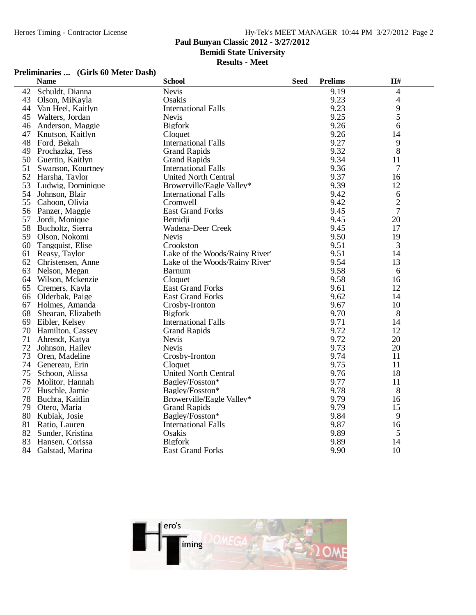## **Paul Bunyan Classic 2012 - 3/27/2012**

**Bemidi State University**

### **Results - Meet**

## **Preliminaries ... (Girls 60 Meter Dash)**

|    | <b>Name</b>        | <b>School</b>                 | <b>Seed</b> | <b>Prelims</b> | H#             |
|----|--------------------|-------------------------------|-------------|----------------|----------------|
| 42 | Schuldt, Dianna    | <b>Nevis</b>                  |             | 9.19           | 4              |
| 43 | Olson, MiKayla     | Osakis                        |             | 9.23           | 4              |
| 44 | Van Heel, Kaitlyn  | <b>International Falls</b>    |             | 9.23           | 9              |
| 45 | Walters, Jordan    | <b>Nevis</b>                  |             | 9.25           | 5              |
| 46 | Anderson, Maggie   | <b>Bigfork</b>                |             | 9.26           | 6              |
| 47 | Knutson, Kaitlyn   | Cloquet                       |             | 9.26           | 14             |
| 48 | Ford, Bekah        | <b>International Falls</b>    |             | 9.27           | 9              |
| 49 | Prochazka, Tess    | <b>Grand Rapids</b>           |             | 9.32           | 8              |
| 50 | Guertin, Kaitlyn   | <b>Grand Rapids</b>           |             | 9.34           | 11             |
| 51 | Swanson, Kourtney  | <b>International Falls</b>    |             | 9.36           | $\overline{7}$ |
| 52 | Harsha, Taylor     | <b>United North Central</b>   |             | 9.37           | 16             |
| 53 | Ludwig, Dominique  | Browerville/Eagle Valley*     |             | 9.39           | 12             |
| 54 | Johnson, Blair     | <b>International Falls</b>    |             | 9.42           | 6              |
| 55 | Cahoon, Olivia     | Cromwell                      |             | 9.42           | $\overline{c}$ |
| 56 | Panzer, Maggie     | <b>East Grand Forks</b>       |             | 9.45           | 7              |
| 57 | Jordi, Monique     | Bemidii                       |             | 9.45           | 20             |
| 58 | Bucholtz, Sierra   | Wadena-Deer Creek             |             | 9.45           | 17             |
| 59 | Olson, Nokomi      | <b>Nevis</b>                  |             | 9.50           | 19             |
| 60 | Tangquist, Elise   | Crookston                     |             | 9.51           | 3              |
| 61 | Reasy, Taylor      | Lake of the Woods/Rainy River |             | 9.51           | 14             |
| 62 | Christensen, Anne  | Lake of the Woods/Rainy River |             | 9.54           | 13             |
| 63 | Nelson, Megan      | <b>Barnum</b>                 |             | 9.58           | 6              |
| 64 | Wilson, Mckenzie   | Cloquet                       |             | 9.58           | 16             |
| 65 | Cremers, Kayla     | <b>East Grand Forks</b>       |             | 9.61           | 12             |
| 66 | Olderbak, Paige    | <b>East Grand Forks</b>       |             | 9.62           | 14             |
| 67 | Holmes, Amanda     | Crosby-Ironton                |             | 9.67           | 10             |
| 68 | Shearan, Elizabeth | <b>Bigfork</b>                |             | 9.70           | 8              |
| 69 | Eibler, Kelsey     | <b>International Falls</b>    |             | 9.71           | 14             |
| 70 | Hamilton, Cassey   | <b>Grand Rapids</b>           |             | 9.72           | 12             |
| 71 | Ahrendt, Katya     | <b>Nevis</b>                  |             | 9.72           | 20             |
| 72 | Johnson, Hailey    | <b>Nevis</b>                  |             | 9.73           | 20             |
| 73 | Oren, Madeline     | Crosby-Ironton                |             | 9.74           | 11             |
| 74 | Genereau, Erin     | Cloquet                       |             | 9.75           | 11             |
| 75 | Schoon, Alissa     | <b>United North Central</b>   |             | 9.76           | 18             |
| 76 | Molitor, Hannah    | Bagley/Fosston*               |             | 9.77           | 11             |
| 77 | Huschle, Jamie     | Bagley/Fosston*               |             | 9.78           | 8              |
| 78 | Buchta, Kaitlin    | Browerville/Eagle Valley*     |             | 9.79           | 16             |
| 79 | Otero, Maria       | <b>Grand Rapids</b>           |             | 9.79           | 15             |
| 80 | Kubiak, Josie      | Bagley/Fosston*               |             | 9.84           | 9              |
| 81 | Ratio, Lauren      | <b>International Falls</b>    |             | 9.87           | 16             |
| 82 | Sunder, Kristina   | Osakis                        |             | 9.89           | 5              |
| 83 | Hansen, Corissa    | <b>Bigfork</b>                |             | 9.89           | 14             |
| 84 | Galstad, Marina    | <b>East Grand Forks</b>       |             | 9.90           | 10             |

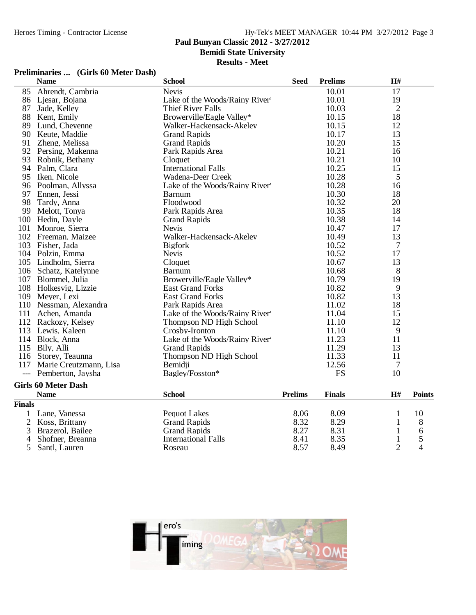## **Paul Bunyan Classic 2012 - 3/27/2012**

**Bemidi State University**

### **Results - Meet**

## **Preliminaries ... (Girls 60 Meter Dash)**

|                | <b>Name</b>                | <b>School</b>                 | <b>Seed</b>    | <b>Prelims</b> | $\mathbf{H}$ # |                |
|----------------|----------------------------|-------------------------------|----------------|----------------|----------------|----------------|
| 85             | Ahrendt, Cambria           | <b>Nevis</b>                  |                | 10.01          | 17             |                |
| 86             | Ljesar, Bojana             | Lake of the Woods/Rainy River |                | 10.01          | 19             |                |
| 87             | Jade, Kelley               | Thief River Falls             |                | 10.03          | $\overline{2}$ |                |
| 88             | Kent, Emily                | Browerville/Eagle Valley*     |                | 10.15          | 18             |                |
| 89             | Lund, Cheyenne             | Walker-Hackensack-Akeley      |                | 10.15          | 12             |                |
| 90             | Keute, Maddie              | <b>Grand Rapids</b>           |                | 10.17          | 13             |                |
| 91             | Zheng, Melissa             | <b>Grand Rapids</b>           |                | 10.20          | 15             |                |
| 92             | Persing, Makenna           | Park Rapids Area              |                | 10.21          | 16             |                |
| 93             | Robnik, Bethany            | Cloquet                       |                | 10.21          | 10             |                |
| 94             | Palm, Clara                | <b>International Falls</b>    |                | 10.25          | 15             |                |
| 95             | Iken, Nicole               | Wadena-Deer Creek             |                | 10.28          | 5              |                |
|                | 96 Poolman, Allyssa        | Lake of the Woods/Rainy River |                | 10.28          | 16             |                |
| 97             | Ennen, Jessi               | Barnum                        |                | 10.30          | 18             |                |
| 98             | Tardy, Anna                | Floodwood                     |                | 10.32          | 20             |                |
| 99             | Melott, Tonya              | Park Rapids Area              |                | 10.35          | 18             |                |
|                | 100 Hedin, Dayle           | <b>Grand Rapids</b>           |                | 10.38          | 14             |                |
| 101            | Monroe, Sierra             | <b>Nevis</b>                  |                | 10.47          | 17             |                |
|                | 102 Freeman, Maizee        | Walker-Hackensack-Akeley      |                | 10.49          | 13             |                |
| 103            | Fisher, Jada               | <b>Bigfork</b>                |                | 10.52          | 7              |                |
|                | 104 Polzin, Emma           | <b>Nevis</b>                  |                | 10.52          | 17             |                |
|                | 105 Lindholm, Sierra       | Cloquet                       |                | 10.67          | 13             |                |
|                | 106 Schatz, Katelynne      | <b>Barnum</b>                 |                | 10.68          | 8              |                |
|                | 107 Blommel, Julia         | Browerville/Eagle Valley*     |                | 10.79          | 19             |                |
|                | 108 Holkesvig, Lizzie      | <b>East Grand Forks</b>       |                | 10.82          | 9              |                |
|                | 109 Meyer, Lexi            | <b>East Grand Forks</b>       |                | 10.82          | 13             |                |
|                | 110 Nessman, Alexandra     | Park Rapids Area              |                | 11.02          | 18             |                |
| 111            | Achen, Amanda              | Lake of the Woods/Rainy River |                | 11.04          | 15             |                |
|                | 112 Rackozy, Kelsey        | Thompson ND High School       |                | 11.10          | 12             |                |
| 113            | Lewis, Kaleen              | Crosby-Ironton                |                | 11.10          | 9              |                |
|                | 114 Block, Anna            | Lake of the Woods/Rainy River |                | 11.23          | 11             |                |
|                | 115 Bily, Alli             | <b>Grand Rapids</b>           |                | 11.29          | 13             |                |
| 116            | Storey, Teaunna            | Thompson ND High School       |                | 11.33          | 11             |                |
| 117            | Marie Creutzmann, Lisa     | Bemidji                       |                | 12.56          | 7              |                |
| $---$          | Pemberton, Jaysha          | Bagley/Fosston*               |                | <b>FS</b>      | 10             |                |
|                | <b>Girls 60 Meter Dash</b> |                               |                |                |                |                |
|                | <b>Name</b>                | <b>School</b>                 | <b>Prelims</b> | <b>Finals</b>  | H#             | <b>Points</b>  |
| <b>Finals</b>  |                            |                               |                |                |                |                |
| 1              | Lane, Vanessa              | <b>Pequot Lakes</b>           | 8.06           | 8.09           | $\mathbf{1}$   | 10             |
| $\overline{2}$ | Koss, Brittany             | <b>Grand Rapids</b>           | 8.32           | 8.29           | $\mathbf{1}$   | 8              |
| 3              | Brazerol, Bailee           | <b>Grand Rapids</b>           | 8.27           | 8.31           | 1              | 6              |
| 4              | Shofner, Breanna           | <b>International Falls</b>    | 8.41           | 8.35           | 1              | 5              |
| 5              | Santl, Lauren              | Roseau                        | 8.57           | 8.49           | $\overline{2}$ | $\overline{4}$ |

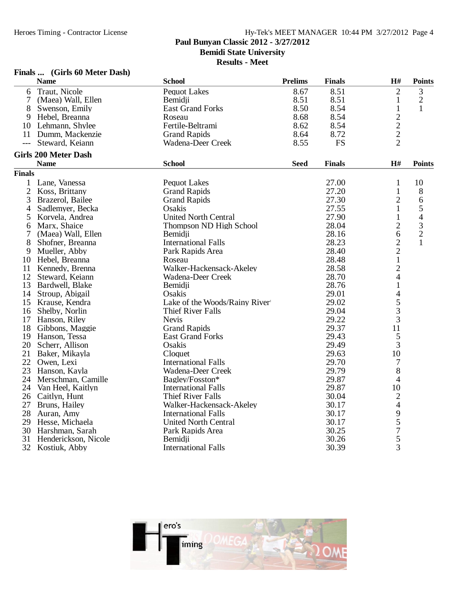**Paul Bunyan Classic 2012 - 3/27/2012**

**Bemidi State University**

**Results - Meet**

### **Finals ... (Girls 60 Meter Dash)**

|                | <b>Name</b>                 | <b>School</b>                 | <b>Prelims</b> | <b>Finals</b> | H#                                         | <b>Points</b>            |
|----------------|-----------------------------|-------------------------------|----------------|---------------|--------------------------------------------|--------------------------|
| 6              | Traut, Nicole               | <b>Pequot Lakes</b>           | 8.67           | 8.51          | $\overline{c}$                             | 3                        |
| 7              | (Maea) Wall, Ellen          | Bemidji                       | 8.51           | 8.51          | $\mathbf{1}$                               | $\mathbf{2}$             |
| 8              | Swenson, Emily              | <b>East Grand Forks</b>       | 8.50           | 8.54          | $\mathbf{1}$                               | $\mathbf{1}$             |
| 9              | Hebel, Breanna              | Roseau                        | 8.68           | 8.54          |                                            |                          |
| 10             | Lehmann, Shylee             | Fertile-Beltrami              | 8.62           | 8.54          | $\begin{array}{c} 2 \\ 2 \\ 2 \end{array}$ |                          |
| 11             | Dumm, Mackenzie             | <b>Grand Rapids</b>           | 8.64           | 8.72          |                                            |                          |
| $---$          | Steward, Keiann             | Wadena-Deer Creek             | 8.55           | <b>FS</b>     |                                            |                          |
|                | <b>Girls 200 Meter Dash</b> |                               |                |               |                                            |                          |
|                | <b>Name</b>                 | <b>School</b>                 | <b>Seed</b>    | <b>Finals</b> | H#                                         | <b>Points</b>            |
| <b>Finals</b>  |                             |                               |                |               |                                            |                          |
| 1              | Lane, Vanessa               | <b>Pequot Lakes</b>           |                | 27.00         | $\mathbf{1}$                               | 10                       |
| $\overline{2}$ | Koss, Brittany              | <b>Grand Rapids</b>           |                | 27.20         | $\mathbf{1}$                               | 8                        |
| 3              | Brazerol, Bailee            | <b>Grand Rapids</b>           |                | 27.30         | $\overline{2}$                             | 6                        |
| 4              | Sadlemyer, Becka            | Osakis                        |                | 27.55         | 1                                          | 5                        |
| 5              | Korvela, Andrea             | <b>United North Central</b>   |                | 27.90         | $\mathbf{1}$                               | $\overline{\mathcal{L}}$ |
| 6              | Marx, Shaice                | Thompson ND High School       |                | 28.04         | $\overline{2}$                             |                          |
| 7              | (Maea) Wall, Ellen          | Bemidji                       |                | 28.16         | 6                                          | $\frac{3}{2}$            |
| 8              | Shofner, Breanna            | <b>International Falls</b>    |                | 28.23         | $\overline{c}$                             | $\mathbf{1}$             |
| 9              | Mueller, Abby               | Park Rapids Area              |                | 28.40         | $\overline{c}$                             |                          |
| 10             | Hebel, Breanna              | Roseau                        |                | 28.48         | $\mathbf{1}$                               |                          |
| 11             | Kennedy, Brenna             | Walker-Hackensack-Akeley      |                | 28.58         | $\overline{2}$                             |                          |
| 12             | Steward, Keiann             | Wadena-Deer Creek             |                | 28.70         | 4                                          |                          |
| 13             | Bardwell, Blake             | Bemidji                       |                | 28.76         | $\mathbf{1}$                               |                          |
| 14             | Stroup, Abigail             | Osakis                        |                | 29.01         | $\overline{4}$                             |                          |
| 15             | Krause, Kendra              | Lake of the Woods/Rainy River |                | 29.02         |                                            |                          |
|                | 16 Shelby, Norlin           | <b>Thief River Falls</b>      |                | 29.04         | $rac{5}{3}$                                |                          |
| 17             | Hanson, Riley               | <b>Nevis</b>                  |                | 29.22         | $\overline{3}$                             |                          |
| 18             | Gibbons, Maggie             | <b>Grand Rapids</b>           |                | 29.37         | 11                                         |                          |
| 19             | Hanson, Tessa               | <b>East Grand Forks</b>       |                | 29.43         | 5                                          |                          |
| 20             | Scherr, Allison             | Osakis                        |                | 29.49         | 3                                          |                          |
| 21             | Baker, Mikayla              | Cloquet                       |                | 29.63         | 10                                         |                          |
| 22             | Owen, Lexi                  | <b>International Falls</b>    |                | 29.70         | $\overline{7}$                             |                          |
| 23             | Hanson, Kayla               | Wadena-Deer Creek             |                | 29.79         | 8                                          |                          |
| 24             | Merschman, Camille          | Bagley/Fosston*               |                | 29.87         | 4                                          |                          |
| 24             | Van Heel, Kaitlyn           | <b>International Falls</b>    |                | 29.87         | 10                                         |                          |
| 26             | Caitlyn, Hunt               | <b>Thief River Falls</b>      |                | 30.04         | $\overline{c}$                             |                          |
| 27             | Bruns, Hailey               | Walker-Hackensack-Akeley      |                | 30.17         | $\overline{\mathcal{L}}$                   |                          |
| 28             | Auran, Amy                  | <b>International Falls</b>    |                | 30.17         |                                            |                          |
| 29             | Hesse, Michaela             | <b>United North Central</b>   |                | 30.17         | $\frac{9}{5}$                              |                          |
| 30             | Harshman, Sarah             | Park Rapids Area              |                | 30.25         |                                            |                          |
| 31             | Henderickson, Nicole        | Bemidji                       |                | 30.26         | 5                                          |                          |
|                | 32 Kostiuk, Abby            | <b>International Falls</b>    |                | 30.39         | 3                                          |                          |

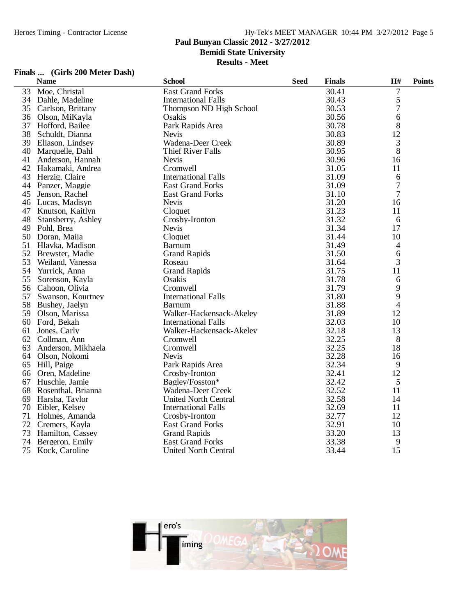**Paul Bunyan Classic 2012 - 3/27/2012**

**Bemidi State University**

**Results - Meet**

### **Finals ... (Girls 200 Meter Dash)**

|    | <b>Name</b>        | <b>School</b>               | <b>Seed</b> | <b>Finals</b> | H#                       | <b>Points</b> |
|----|--------------------|-----------------------------|-------------|---------------|--------------------------|---------------|
| 33 | Moe, Christal      | <b>East Grand Forks</b>     |             | 30.41         | $\overline{7}$           |               |
| 34 | Dahle, Madeline    | <b>International Falls</b>  |             | 30.43         | 5                        |               |
| 35 | Carlson, Brittany  | Thompson ND High School     |             | 30.53         | 7                        |               |
| 36 | Olson, MiKayla     | Osakis                      |             | 30.56         | 6                        |               |
| 37 | Hofford, Bailee    | Park Rapids Area            |             | 30.78         | 8                        |               |
| 38 | Schuldt, Dianna    | <b>Nevis</b>                |             | 30.83         | 12                       |               |
| 39 | Eliason, Lindsey   | Wadena-Deer Creek           |             | 30.89         | 3                        |               |
| 40 | Marquelle, Dahl    | <b>Thief River Falls</b>    |             | 30.95         | 8                        |               |
| 41 | Anderson, Hannah   | <b>Nevis</b>                |             | 30.96         | 16                       |               |
| 42 | Hakamaki, Andrea   | Cromwell                    |             | 31.05         | 11                       |               |
| 43 | Herzig, Claire     | <b>International Falls</b>  |             | 31.09         | 6                        |               |
| 44 | Panzer, Maggie     | <b>East Grand Forks</b>     |             | 31.09         | 7                        |               |
| 45 | Jenson, Rachel     | <b>East Grand Forks</b>     |             | 31.10         | 7                        |               |
| 46 | Lucas, Madisyn     | <b>Nevis</b>                |             | 31.20         | 16                       |               |
| 47 | Knutson, Kaitlyn   | Cloquet                     |             | 31.23         | 11                       |               |
| 48 | Stansberry, Ashley | Crosby-Ironton              |             | 31.32         | 6                        |               |
| 49 | Pohl, Brea         | <b>Nevis</b>                |             | 31.34         | 17                       |               |
| 50 | Doran, Maija       | Cloquet                     |             | 31.44         | 10                       |               |
| 51 | Hlavka, Madison    | <b>Barnum</b>               |             | 31.49         | 4                        |               |
| 52 | Brewster, Madie    | <b>Grand Rapids</b>         |             | 31.50         | 6                        |               |
| 53 | Weiland, Vanessa   | Roseau                      |             | 31.64         | 3                        |               |
| 54 | Yurrick, Anna      | <b>Grand Rapids</b>         |             | 31.75         | 11                       |               |
| 55 | Sorenson, Kayla    | Osakis                      |             | 31.78         | 6                        |               |
| 56 | Cahoon, Olivia     | Cromwell                    |             | 31.79         | 9                        |               |
| 57 | Swanson, Kourtney  | <b>International Falls</b>  |             | 31.80         | 9                        |               |
| 58 | Bushey, Jaelyn     | Barnum                      |             | 31.88         | $\overline{\mathcal{L}}$ |               |
| 59 | Olson, Marissa     | Walker-Hackensack-Akeley    |             | 31.89         | 12                       |               |
| 60 | Ford, Bekah        | <b>International Falls</b>  |             | 32.03         | 10                       |               |
| 61 | Jones, Carly       | Walker-Hackensack-Akeley    |             | 32.18         | 13                       |               |
| 62 | Collman, Ann       | Cromwell                    |             | 32.25         | 8                        |               |
| 63 | Anderson, Mikhaela | Cromwell                    |             | 32.25         | 18                       |               |
| 64 | Olson, Nokomi      | <b>Nevis</b>                |             | 32.28         | 16                       |               |
| 65 | Hill, Paige        | Park Rapids Area            |             | 32.34         | 9                        |               |
| 66 | Oren, Madeline     | Crosby-Ironton              |             | 32.41         | 12                       |               |
| 67 | Huschle, Jamie     | Bagley/Fosston*             |             | 32.42         | 5                        |               |
| 68 | Rosenthal, Brianna | Wadena-Deer Creek           |             | 32.52         | 11                       |               |
| 69 | Harsha, Taylor     | <b>United North Central</b> |             | 32.58         | 14                       |               |
| 70 | Eibler, Kelsey     | <b>International Falls</b>  |             | 32.69         | 11                       |               |
| 71 | Holmes, Amanda     | Crosby-Ironton              |             | 32.77         | 12                       |               |
| 72 | Cremers, Kayla     | <b>East Grand Forks</b>     |             | 32.91         | 10                       |               |
| 73 | Hamilton, Cassey   | <b>Grand Rapids</b>         |             | 33.20         | 13                       |               |
| 74 | Bergeron, Emily    | <b>East Grand Forks</b>     |             | 33.38         | 9                        |               |
| 75 | Kock, Caroline     | <b>United North Central</b> |             | 33.44         | 15                       |               |

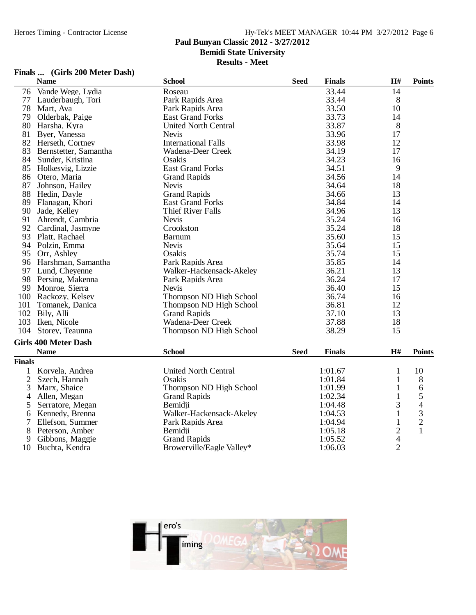### **Paul Bunyan Classic 2012 - 3/27/2012**

**Bemidi State University**

**Results - Meet**

### **Finals ... (Girls 200 Meter Dash)**

|                     | <b>Name</b>                 | <b>School</b>               | <b>Seed</b> | <b>Finals</b>      | $\mathbf{H}$ #                   | <b>Points</b>  |
|---------------------|-----------------------------|-----------------------------|-------------|--------------------|----------------------------------|----------------|
| 76                  | Vande Wege, Lydia           | Roseau                      |             | 33.44              | 14                               |                |
| 77                  | Lauderbaugh, Tori           | Park Rapids Area            |             | 33.44              | 8                                |                |
|                     | 78 Mart, Ava                | Park Rapids Area            |             | 33.50              | 10                               |                |
|                     | 79 Olderbak, Paige          | <b>East Grand Forks</b>     |             | 33.73              | 14                               |                |
|                     | 80 Harsha, Kyra             | <b>United North Central</b> |             | 33.87              | 8                                |                |
| 81                  | Byer, Vanessa               | <b>Nevis</b>                |             | 33.96              | 17                               |                |
|                     | 82 Herseth, Cortney         | <b>International Falls</b>  |             | 33.98              | 12                               |                |
|                     | 83 Bernstetter, Samantha    | Wadena-Deer Creek           |             | 34.19              | 17                               |                |
|                     | 84 Sunder, Kristina         | Osakis                      |             | 34.23              | 16                               |                |
|                     | 85 Holkesvig, Lizzie        | <b>East Grand Forks</b>     |             | 34.51              | 9                                |                |
|                     | 86 Otero, Maria             | <b>Grand Rapids</b>         |             | 34.56              | 14                               |                |
| 87                  | Johnson, Hailey             | <b>Nevis</b>                |             | 34.64              | 18                               |                |
| 88                  | Hedin, Dayle                | <b>Grand Rapids</b>         |             | 34.66              | 13                               |                |
| 89                  | Flanagan, Khori             | <b>East Grand Forks</b>     |             | 34.84              | 14                               |                |
| 90                  | Jade, Kelley                | Thief River Falls           |             | 34.96              | 13                               |                |
| 91                  | Ahrendt, Cambria            | <b>Nevis</b>                |             | 35.24              | 16                               |                |
|                     | 92 Cardinal, Jasmyne        | Crookston                   |             | 35.24              | 18                               |                |
|                     | 93 Platt, Rachael           | <b>Barnum</b>               |             | 35.60              | 15                               |                |
|                     | 94 Polzin, Emma             | <b>Nevis</b>                |             | 35.64              | 15                               |                |
|                     | 95 Orr, Ashley              | Osakis                      |             | 35.74              | 15                               |                |
|                     | 96 Harshman, Samantha       | Park Rapids Area            |             | 35.85              | 14                               |                |
|                     | 97 Lund, Cheyenne           | Walker-Hackensack-Akeley    |             | 36.21              | 13                               |                |
|                     | 98 Persing, Makenna         | Park Rapids Area            |             | 36.24              | 17                               |                |
| 99                  | Monroe, Sierra              | <b>Nevis</b>                |             | 36.40              | 15                               |                |
|                     | 100 Rackozy, Kelsey         | Thompson ND High School     |             | 36.74              | 16                               |                |
| 101                 | Tomanek, Danica             | Thompson ND High School     |             | 36.81              | 12                               |                |
|                     | 102 Bily, Alli              | <b>Grand Rapids</b>         |             | 37.10              | 13                               |                |
|                     | 103 Iken, Nicole            | Wadena-Deer Creek           |             | 37.88              | 18                               |                |
|                     | 104 Storey, Teaunna         | Thompson ND High School     |             | 38.29              | 15                               |                |
|                     | <b>Girls 400 Meter Dash</b> |                             |             |                    |                                  |                |
|                     | <b>Name</b>                 | <b>School</b>               | <b>Seed</b> | <b>Finals</b>      | H#                               | <b>Points</b>  |
| <b>Finals</b>       |                             |                             |             |                    |                                  |                |
|                     | Korvela, Andrea             | <b>United North Central</b> |             | 1:01.67            | 1                                |                |
| 1<br>$\overline{2}$ |                             | Osakis                      |             |                    |                                  | 10             |
|                     | Szech, Hannah               | Thompson ND High School     |             | 1:01.84<br>1:01.99 | 1                                | 8              |
| 3                   | Marx, Shaice                |                             |             |                    | 1                                | 6              |
| 4                   | Allen, Megan                | <b>Grand Rapids</b>         |             | 1:02.34            | $\mathbf{1}$                     | 5              |
| 5                   | Serratore, Megan            | Bemidji                     |             | 1:04.48            | 3                                | $\overline{4}$ |
| 6                   | Kennedy, Brenna             | Walker-Hackensack-Akeley    |             | 1:04.53            | $\mathbf{1}$                     | $\mathfrak{Z}$ |
| 7                   | Ellefson, Summer            | Park Rapids Area            |             | 1:04.94            | $\mathbf{1}$                     | $\overline{2}$ |
| 8                   | Peterson, Amber             | Bemidii                     |             | 1:05.18            | $\overline{c}$<br>$\overline{4}$ | 1              |
| 9                   | Gibbons, Maggie             | <b>Grand Rapids</b>         |             | 1:05.52            |                                  |                |
|                     | 10 Buchta, Kendra           | Browerville/Eagle Valley*   |             | 1:06.03            | $\overline{2}$                   |                |

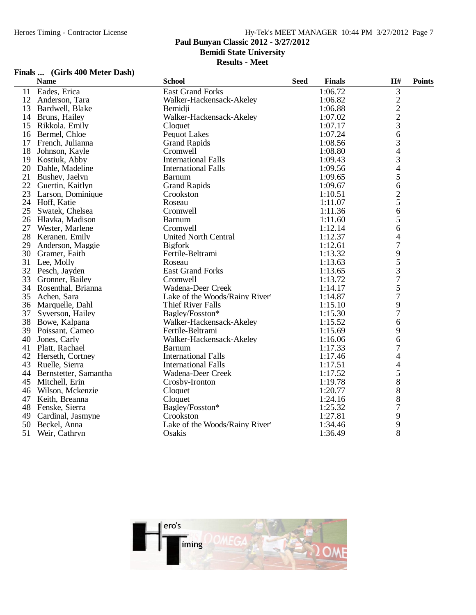**Paul Bunyan Classic 2012 - 3/27/2012**

**Bemidi State University**

**Results - Meet**

### **Finals ... (Girls 400 Meter Dash)**

|    | <b>Name</b>           | <b>School</b>                 | <b>Seed</b> | <b>Finals</b> | H#                             | <b>Points</b> |
|----|-----------------------|-------------------------------|-------------|---------------|--------------------------------|---------------|
| 11 | Eades, Erica          | <b>East Grand Forks</b>       |             | 1:06.72       | 3                              |               |
| 12 | Anderson, Tara        | Walker-Hackensack-Akeley      |             | 1:06.82       |                                |               |
| 13 | Bardwell, Blake       | Bemidii                       |             | 1:06.88       |                                |               |
|    | 14 Bruns, Hailey      | Walker-Hackensack-Akeley      |             | 1:07.02       | $\frac{2}{2}$<br>$\frac{2}{3}$ |               |
| 15 | Rikkola, Emily        | Cloquet                       |             | 1:07.17       |                                |               |
|    | 16 Bermel, Chloe      | <b>Pequot Lakes</b>           |             | 1:07.24       | 6                              |               |
| 17 | French, Julianna      | <b>Grand Rapids</b>           |             | 1:08.56       | 3                              |               |
| 18 | Johnson, Kayle        | Cromwell                      |             | 1:08.80       | 4                              |               |
| 19 | Kostiuk, Abby         | <b>International Falls</b>    |             | 1:09.43       | 3                              |               |
| 20 | Dahle, Madeline       | <b>International Falls</b>    |             | 1:09.56       | $\overline{4}$                 |               |
| 21 | Bushey, Jaelyn        | <b>Barnum</b>                 |             | 1:09.65       | 5                              |               |
| 22 | Guertin, Kaitlyn      | <b>Grand Rapids</b>           |             | 1:09.67       | 6                              |               |
| 23 | Larson, Dominique     | Crookston                     |             | 1:10.51       | $\overline{c}$                 |               |
|    | 24 Hoff, Katie        | Roseau                        |             | 1:11.07       | 5                              |               |
| 25 | Swatek, Chelsea       | Cromwell                      |             | 1:11.36       | 6                              |               |
| 26 | Hlavka, Madison       | <b>Barnum</b>                 |             | 1:11.60       | 5                              |               |
| 27 | Wester, Marlene       | Cromwell                      |             | 1:12.14       | 6                              |               |
| 28 | Keranen, Emily        | <b>United North Central</b>   |             | 1:12.37       | 4                              |               |
| 29 | Anderson, Maggie      | <b>Bigfork</b>                |             | 1:12.61       | $\boldsymbol{7}$               |               |
| 30 | Gramer, Faith         | Fertile-Beltrami              |             | 1:13.32       |                                |               |
| 31 | Lee, Molly            | Roseau                        |             | 1:13.63       | 9<br>5                         |               |
| 32 | Pesch, Jayden         | <b>East Grand Forks</b>       |             | 1:13.65       | 3                              |               |
| 33 | Gronner, Bailey       | Cromwell                      |             | 1:13.72       | $\overline{7}$                 |               |
|    | 34 Rosenthal, Brianna | Wadena-Deer Creek             |             | 1:14.17       | 5                              |               |
| 35 | Achen, Sara           | Lake of the Woods/Rainy River |             | 1:14.87       | $\overline{7}$                 |               |
| 36 | Marquelle, Dahl       | Thief River Falls             |             | 1:15.10       | 9                              |               |
| 37 | Syverson, Hailey      | Bagley/Fosston*               |             | 1:15.30       | $\overline{7}$                 |               |
| 38 | Bowe, Kalpana         | Walker-Hackensack-Akeley      |             | 1:15.52       | 6                              |               |
| 39 | Poissant, Cameo       | Fertile-Beltrami              |             | 1:15.69       | 9                              |               |
| 40 | Jones, Carly          | Walker-Hackensack-Akeley      |             | 1:16.06       | 6                              |               |
| 41 | Platt, Rachael        | <b>Barnum</b>                 |             | 1:17.33       | 7                              |               |
|    | 42 Herseth, Cortney   | <b>International Falls</b>    |             | 1:17.46       | 4                              |               |
| 43 | Ruelle, Sierra        | <b>International Falls</b>    |             | 1:17.51       | 4                              |               |
| 44 | Bernstetter, Samantha | Wadena-Deer Creek             |             | 1:17.52       | 5                              |               |
| 45 | Mitchell, Erin        | Crosby-Ironton                |             | 1:19.78       | 8                              |               |
| 46 | Wilson, Mckenzie      | Cloquet                       |             | 1:20.77       | 8                              |               |
| 47 | Keith, Breanna        | Cloquet                       |             | 1:24.16       | 8                              |               |
| 48 | Fenske, Sierra        | Bagley/Fosston*               |             | 1:25.32       | 7                              |               |
| 49 | Cardinal, Jasmyne     | Crookston                     |             | 1:27.81       | 9                              |               |
| 50 | Beckel, Anna          | Lake of the Woods/Rainy River |             | 1:34.46       | 9                              |               |
| 51 | Weir, Cathryn         | Osakis                        |             | 1:36.49       | 8                              |               |

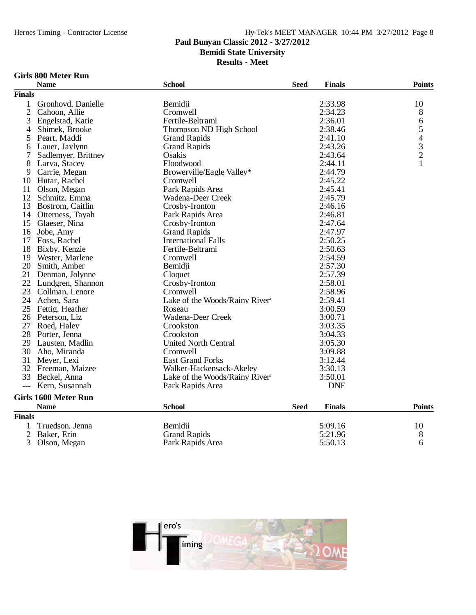## **Paul Bunyan Classic 2012 - 3/27/2012**

**Bemidi State University**

**Results - Meet**

### **Girls 800 Meter Run**

|                | <b>Name</b>                 | <b>School</b>                 | <b>Seed</b> | <b>Finals</b> | <b>Points</b>                                   |
|----------------|-----------------------------|-------------------------------|-------------|---------------|-------------------------------------------------|
| <b>Finals</b>  |                             |                               |             |               |                                                 |
| $\mathbf{1}$   | Gronhovd, Danielle          | Bemidji                       |             | 2:33.98       | 10                                              |
| $\overline{2}$ | Cahoon, Allie               | Cromwell                      |             | 2:34.23       | 8                                               |
| 3              | Engelstad, Katie            | Fertile-Beltrami              |             | 2:36.01       | 6                                               |
| 4              | Shimek, Brooke              | Thompson ND High School       |             | 2:38.46       |                                                 |
| 5              | Peart, Maddi                | <b>Grand Rapids</b>           |             | 2:41.10       |                                                 |
| 6              | Lauer, Jaylynn              | <b>Grand Rapids</b>           |             | 2:43.26       | $\begin{array}{c} 5 \\ 4 \\ 3 \\ 2 \end{array}$ |
| 7              | Sadlemyer, Brittney         | Osakis                        |             | 2:43.64       |                                                 |
| 8              | Larva, Stacey               | Floodwood                     |             | 2:44.11       | $\mathbf{1}$                                    |
| 9              | Carrie, Megan               | Browerville/Eagle Valley*     |             | 2:44.79       |                                                 |
| 10             | Hutar, Rachel               | Cromwell                      |             | 2:45.22       |                                                 |
| 11             | Olson, Megan                | Park Rapids Area              |             | 2:45.41       |                                                 |
| 12             | Schmitz, Emma               | Wadena-Deer Creek             |             | 2:45.79       |                                                 |
| 13             | Bostrom, Caitlin            | Crosby-Ironton                |             | 2:46.16       |                                                 |
| 14             | Otterness, Tayah            | Park Rapids Area              |             | 2:46.81       |                                                 |
| 15             | Glaeser, Nina               | Crosby-Ironton                |             | 2:47.64       |                                                 |
| 16             | Jobe, Amy                   | <b>Grand Rapids</b>           |             | 2:47.97       |                                                 |
| 17             | Foss, Rachel                | <b>International Falls</b>    |             | 2:50.25       |                                                 |
| 18             | Bixby, Kenzie               | Fertile-Beltrami              |             | 2:50.63       |                                                 |
| 19             | Wester, Marlene             | Cromwell                      |             | 2:54.59       |                                                 |
| 20             | Smith, Amber                | Bemidji                       |             | 2:57.30       |                                                 |
| 21             | Denman, Jolynne             | Cloquet                       |             | 2:57.39       |                                                 |
| 22             | Lundgren, Shannon           | Crosby-Ironton                |             | 2:58.01       |                                                 |
| 23             | Collman, Lenore             | Cromwell                      |             | 2:58.96       |                                                 |
| 24             | Achen, Sara                 | Lake of the Woods/Rainy River |             | 2:59.41       |                                                 |
| 25             | Fettig, Heather             | Roseau                        |             | 3:00.59       |                                                 |
|                | 26 Peterson, Liz            | Wadena-Deer Creek             |             | 3:00.71       |                                                 |
| 27             | Roed, Haley                 | Crookston                     |             | 3:03.35       |                                                 |
| 28             | Porter, Jenna               | Crookston                     |             | 3:04.33       |                                                 |
| 29             | Lausten, Madlin             | <b>United North Central</b>   |             | 3:05.30       |                                                 |
| 30             | Aho, Miranda                | Cromwell                      |             | 3:09.88       |                                                 |
| 31             | Meyer, Lexi                 | <b>East Grand Forks</b>       |             | 3:12.44       |                                                 |
|                | 32 Freeman, Maizee          | Walker-Hackensack-Akeley      |             | 3:30.13       |                                                 |
| 33             | Beckel, Anna                | Lake of the Woods/Rainy River |             | 3:50.01       |                                                 |
| $---$          | Kern, Susannah              | Park Rapids Area              |             | <b>DNF</b>    |                                                 |
|                | <b>Girls 1600 Meter Run</b> |                               |             |               |                                                 |
|                | <b>Name</b>                 | <b>School</b>                 | <b>Seed</b> | <b>Finals</b> | <b>Points</b>                                   |
| <b>Finals</b>  |                             |                               |             |               |                                                 |
| $\mathbf{1}$   | Truedson, Jenna             | Bemidji                       |             | 5:09.16       | 10                                              |
| $\overline{c}$ | Baker, Erin                 | <b>Grand Rapids</b>           |             | 5:21.96       | 8                                               |
| 3              | Olson, Megan                | Park Rapids Area              |             | 5:50.13       | 6                                               |

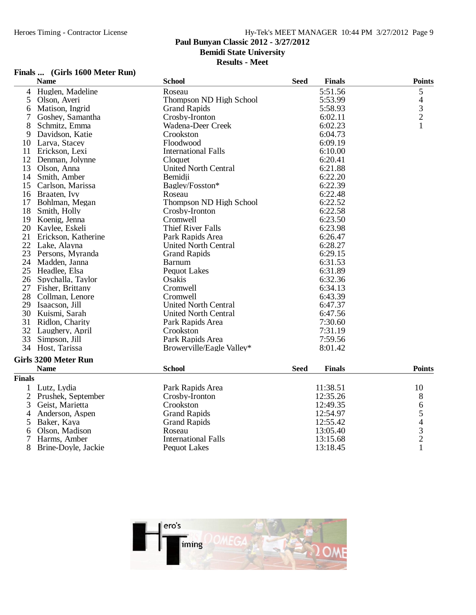## **Paul Bunyan Classic 2012 - 3/27/2012**

**Bemidi State University**

**Results - Meet**

### **Finals ... (Girls 1600 Meter Run)**

|                | <b>Name</b>                 | <b>School</b>               | <b>Seed</b> | <b>Finals</b> | <b>Points</b>                                   |
|----------------|-----------------------------|-----------------------------|-------------|---------------|-------------------------------------------------|
| 4              | Huglen, Madeline            | Roseau                      |             | 5:51.56       | 5                                               |
| 5              | Olson, Averi                | Thompson ND High School     |             | 5:53.99       |                                                 |
| 6              | Matison, Ingrid             | <b>Grand Rapids</b>         |             | 5:58.93       | $\begin{array}{c} 4 \\ 3 \\ 2 \end{array}$      |
| 7              | Goshey, Samantha            | Crosby-Ironton              |             | 6:02.11       |                                                 |
| 8              | Schmitz, Emma               | Wadena-Deer Creek           |             | 6:02.23       | $\mathbf{1}$                                    |
| 9              | Davidson, Katie             | Crookston                   |             | 6:04.73       |                                                 |
| 10             | Larva, Stacey               | Floodwood                   |             | 6:09.19       |                                                 |
| 11             | Erickson, Lexi              | <b>International Falls</b>  |             | 6:10.00       |                                                 |
| 12             | Denman, Jolynne             | Cloquet                     |             | 6:20.41       |                                                 |
| 13             | Olson, Anna                 | <b>United North Central</b> |             | 6:21.88       |                                                 |
| 14             | Smith, Amber                | Bemidji                     |             | 6:22.20       |                                                 |
| 15             | Carlson, Marissa            | Bagley/Fosston*             |             | 6:22.39       |                                                 |
| 16             | Braaten, Ivy                | Roseau                      |             | 6:22.48       |                                                 |
| 17             | Bohlman, Megan              | Thompson ND High School     |             | 6:22.52       |                                                 |
| 18             | Smith, Holly                | Crosby-Ironton              |             | 6:22.58       |                                                 |
|                | 19 Koenig, Jenna            | Cromwell                    |             | 6:23.50       |                                                 |
| 20             | Kaylee, Eskeli              | <b>Thief River Falls</b>    |             | 6:23.98       |                                                 |
| 21             | Erickson, Katherine         | Park Rapids Area            |             | 6:26.47       |                                                 |
| 22             | Lake, Alayna                | <b>United North Central</b> |             | 6:28.27       |                                                 |
| 23             | Persons, Myranda            | <b>Grand Rapids</b>         |             | 6:29.15       |                                                 |
| 24             | Madden, Janna               | <b>Barnum</b>               |             | 6:31.53       |                                                 |
|                | 25 Headlee, Elsa            | <b>Pequot Lakes</b>         |             | 6:31.89       |                                                 |
| 26             | Spychalla, Taylor           | Osakis                      |             | 6:32.36       |                                                 |
| 27             | Fisher, Brittany            | Cromwell                    |             | 6:34.13       |                                                 |
| 28             | Collman, Lenore             | Cromwell                    |             | 6:43.39       |                                                 |
| 29             | Isaacson, Jill              | <b>United North Central</b> |             | 6:47.37       |                                                 |
| 30             | Kuismi, Sarah               | United North Central        |             | 6:47.56       |                                                 |
| 31             | Ridlon, Charity             | Park Rapids Area            |             | 7:30.60       |                                                 |
| 32             | Laughery, April             | Crookston                   |             | 7:31.19       |                                                 |
| 33             | Simpson, Jill               | Park Rapids Area            |             | 7:59.56       |                                                 |
| 34             | Host, Tarissa               | Browerville/Eagle Valley*   |             | 8:01.42       |                                                 |
|                | <b>Girls 3200 Meter Run</b> |                             |             |               |                                                 |
|                | <b>Name</b>                 | <b>School</b>               | <b>Seed</b> | <b>Finals</b> | <b>Points</b>                                   |
| <b>Finals</b>  |                             |                             |             |               |                                                 |
|                |                             |                             |             |               |                                                 |
| $\mathbf 1$    | Lutz, Lydia                 | Park Rapids Area            |             | 11:38.51      | 10                                              |
| $\overline{2}$ | Prushek, September          | Crosby-Ironton              |             | 12:35.26      | 8                                               |
| 3              | Geist, Marietta             | Crookston                   |             | 12:49.35      | 6                                               |
| 4              | Anderson, Aspen             | <b>Grand Rapids</b>         |             | 12:54.97      |                                                 |
| 5              | Baker, Kaya                 | <b>Grand Rapids</b>         |             | 12:55.42      |                                                 |
| 6              | Olson, Madison              | Roseau                      |             | 13:05.40      | $\begin{array}{c} 5 \\ 4 \\ 3 \\ 2 \end{array}$ |
| 7              | Harms, Amber                | <b>International Falls</b>  |             | 13:15.68      |                                                 |
| 8              | Brine-Doyle, Jackie         | <b>Pequot Lakes</b>         |             | 13:18.45      | $\mathbf{1}$                                    |

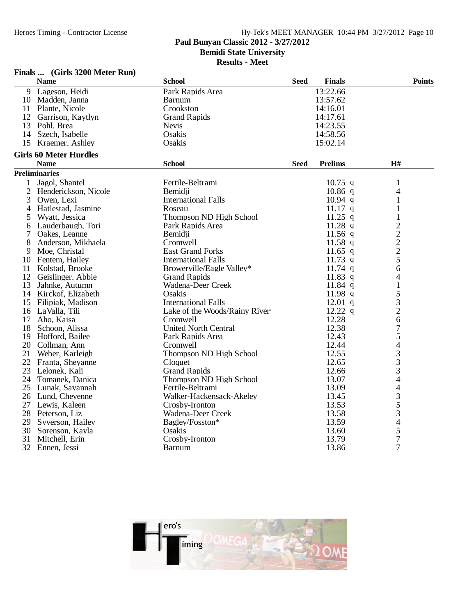**Paul Bunyan Classic 2012 - 3/27/2012**

**Bemidi State University**

**Results - Meet**

### **Finals ... (Girls 3200 Meter Run)**

| 13:22.66<br>Lageson, Heidi<br>Park Rapids Area<br>9<br>10 Madden, Janna<br>13:57.62<br><b>Barnum</b><br>11 Plante, Nicole<br>14:16.01<br>Crookston<br>12<br>Garrison, Kaytlyn<br><b>Grand Rapids</b><br>14:17.61<br>14:23.55<br>13 Pohl, Brea<br><b>Nevis</b><br>Osakis<br>14:58.56<br>14 Szech, Isabelle<br>15 Kraemer, Ashley<br>Osakis<br>15:02.14<br><b>Girls 60 Meter Hurdles</b><br>H#<br><b>Name</b><br><b>School</b><br><b>Seed</b><br><b>Prelims</b><br><b>Preliminaries</b><br>Jagol, Shantel<br>Fertile-Beltrami<br>$10.75$ q<br>1<br>$\mathbf{1}$<br>2<br>$10.86$ q<br>Henderickson, Nicole<br>Bemidji<br>4<br><b>International Falls</b><br>3<br>Owen, Lexi<br>$10.94$ q<br>1<br>4<br>Hatlestad, Jasmine<br>Roseau<br>$11.17$ q<br>1<br>Wyatt, Jessica<br>Thompson ND High School<br>$11.25$ q<br>$\mathbf{1}$<br>5<br>$\frac{2}{2}$ $\frac{2}{2}$ $\frac{2}{5}$<br>11.28 $q$<br>6 Lauderbaugh, Tori<br>Park Rapids Area<br>Bemidji<br>11.56 $q$<br>7<br>Oakes, Leanne<br>8<br>Cromwell<br>$11.58$ q<br>Anderson, Mikhaela<br>9 Moe, Christal<br><b>East Grand Forks</b><br>11.65 q<br>10 Fentem, Hailey<br><b>International Falls</b><br>11.73 $q$<br>6<br>Kolstad, Brooke<br>Browerville/Eagle Valley*<br>$11.74$ q<br>11<br>11.83 $q$<br>12 Geislinger, Abbie<br><b>Grand Rapids</b><br>4<br>11.84 $q$<br>$\mathbf{1}$<br>13<br>Wadena-Deer Creek<br>Jahnke, Autumn<br>5<br>Osakis<br>14 Kirckof, Elizabeth<br>11.98 $q$<br>3<br>$12.01$ q<br><b>International Falls</b><br>15 Filipiak, Madison<br>$\overline{c}$<br>$12.22$ q<br>16 LaValla, Tili<br>Lake of the Woods/Rainy River<br>6<br>17<br>12.28<br>Aho, Kaisa<br>Cromwell<br>$\overline{7}$<br><b>United North Central</b><br>12.38<br>18<br>Schoon, Alissa<br>5<br>19 Hofford, Bailee<br>12.43<br>Park Rapids Area<br>4<br>20<br>12.44<br>Collman, Ann<br>Cromwell<br>3<br>12.55<br>21<br>Weber, Karleigh<br>Thompson ND High School<br>$\frac{3}{3}$<br>22 Franta, Sheyanne<br>Cloquet<br>12.65<br>23<br>Lelonek, Kali<br><b>Grand Rapids</b><br>12.66<br>$\overline{4}$<br>24 Tomanek, Danica<br>Thompson ND High School<br>13.07<br>$\overline{\mathcal{L}}$<br>25 Lunak, Savannah<br>13.09<br>Fertile-Beltrami<br>$rac{3}{5}$<br>26 Lund, Cheyenne<br>Walker-Hackensack-Akeley<br>13.45<br>27<br>Lewis, Kaleen<br>Crosby-Ironton<br>13.53<br>3<br>28 Peterson, Liz<br>13.58<br>Wadena-Deer Creek<br>4<br>29<br>Syverson, Hailey<br>Bagley/Fosston*<br>13.59<br>5<br>30<br>Osakis<br>13.60<br>Sorenson, Kayla<br>$\overline{7}$<br>Crosby-Ironton<br>31<br>13.79<br>Mitchell, Erin<br>7<br>32 Ennen, Jessi<br>13.86<br><b>Barnum</b> | <b>Name</b> | <b>School</b> | <b>Seed</b> | <b>Finals</b> | <b>Points</b> |
|-------------------------------------------------------------------------------------------------------------------------------------------------------------------------------------------------------------------------------------------------------------------------------------------------------------------------------------------------------------------------------------------------------------------------------------------------------------------------------------------------------------------------------------------------------------------------------------------------------------------------------------------------------------------------------------------------------------------------------------------------------------------------------------------------------------------------------------------------------------------------------------------------------------------------------------------------------------------------------------------------------------------------------------------------------------------------------------------------------------------------------------------------------------------------------------------------------------------------------------------------------------------------------------------------------------------------------------------------------------------------------------------------------------------------------------------------------------------------------------------------------------------------------------------------------------------------------------------------------------------------------------------------------------------------------------------------------------------------------------------------------------------------------------------------------------------------------------------------------------------------------------------------------------------------------------------------------------------------------------------------------------------------------------------------------------------------------------------------------------------------------------------------------------------------------------------------------------------------------------------------------------------------------------------------------------------------------------------------------------------------------------------------------------------------------------------------------------------------------------------------------------------------------------------------------------------------------------------------------------------|-------------|---------------|-------------|---------------|---------------|
|                                                                                                                                                                                                                                                                                                                                                                                                                                                                                                                                                                                                                                                                                                                                                                                                                                                                                                                                                                                                                                                                                                                                                                                                                                                                                                                                                                                                                                                                                                                                                                                                                                                                                                                                                                                                                                                                                                                                                                                                                                                                                                                                                                                                                                                                                                                                                                                                                                                                                                                                                                                                                   |             |               |             |               |               |
|                                                                                                                                                                                                                                                                                                                                                                                                                                                                                                                                                                                                                                                                                                                                                                                                                                                                                                                                                                                                                                                                                                                                                                                                                                                                                                                                                                                                                                                                                                                                                                                                                                                                                                                                                                                                                                                                                                                                                                                                                                                                                                                                                                                                                                                                                                                                                                                                                                                                                                                                                                                                                   |             |               |             |               |               |
|                                                                                                                                                                                                                                                                                                                                                                                                                                                                                                                                                                                                                                                                                                                                                                                                                                                                                                                                                                                                                                                                                                                                                                                                                                                                                                                                                                                                                                                                                                                                                                                                                                                                                                                                                                                                                                                                                                                                                                                                                                                                                                                                                                                                                                                                                                                                                                                                                                                                                                                                                                                                                   |             |               |             |               |               |
|                                                                                                                                                                                                                                                                                                                                                                                                                                                                                                                                                                                                                                                                                                                                                                                                                                                                                                                                                                                                                                                                                                                                                                                                                                                                                                                                                                                                                                                                                                                                                                                                                                                                                                                                                                                                                                                                                                                                                                                                                                                                                                                                                                                                                                                                                                                                                                                                                                                                                                                                                                                                                   |             |               |             |               |               |
|                                                                                                                                                                                                                                                                                                                                                                                                                                                                                                                                                                                                                                                                                                                                                                                                                                                                                                                                                                                                                                                                                                                                                                                                                                                                                                                                                                                                                                                                                                                                                                                                                                                                                                                                                                                                                                                                                                                                                                                                                                                                                                                                                                                                                                                                                                                                                                                                                                                                                                                                                                                                                   |             |               |             |               |               |
|                                                                                                                                                                                                                                                                                                                                                                                                                                                                                                                                                                                                                                                                                                                                                                                                                                                                                                                                                                                                                                                                                                                                                                                                                                                                                                                                                                                                                                                                                                                                                                                                                                                                                                                                                                                                                                                                                                                                                                                                                                                                                                                                                                                                                                                                                                                                                                                                                                                                                                                                                                                                                   |             |               |             |               |               |
|                                                                                                                                                                                                                                                                                                                                                                                                                                                                                                                                                                                                                                                                                                                                                                                                                                                                                                                                                                                                                                                                                                                                                                                                                                                                                                                                                                                                                                                                                                                                                                                                                                                                                                                                                                                                                                                                                                                                                                                                                                                                                                                                                                                                                                                                                                                                                                                                                                                                                                                                                                                                                   |             |               |             |               |               |
|                                                                                                                                                                                                                                                                                                                                                                                                                                                                                                                                                                                                                                                                                                                                                                                                                                                                                                                                                                                                                                                                                                                                                                                                                                                                                                                                                                                                                                                                                                                                                                                                                                                                                                                                                                                                                                                                                                                                                                                                                                                                                                                                                                                                                                                                                                                                                                                                                                                                                                                                                                                                                   |             |               |             |               |               |
|                                                                                                                                                                                                                                                                                                                                                                                                                                                                                                                                                                                                                                                                                                                                                                                                                                                                                                                                                                                                                                                                                                                                                                                                                                                                                                                                                                                                                                                                                                                                                                                                                                                                                                                                                                                                                                                                                                                                                                                                                                                                                                                                                                                                                                                                                                                                                                                                                                                                                                                                                                                                                   |             |               |             |               |               |
|                                                                                                                                                                                                                                                                                                                                                                                                                                                                                                                                                                                                                                                                                                                                                                                                                                                                                                                                                                                                                                                                                                                                                                                                                                                                                                                                                                                                                                                                                                                                                                                                                                                                                                                                                                                                                                                                                                                                                                                                                                                                                                                                                                                                                                                                                                                                                                                                                                                                                                                                                                                                                   |             |               |             |               |               |
|                                                                                                                                                                                                                                                                                                                                                                                                                                                                                                                                                                                                                                                                                                                                                                                                                                                                                                                                                                                                                                                                                                                                                                                                                                                                                                                                                                                                                                                                                                                                                                                                                                                                                                                                                                                                                                                                                                                                                                                                                                                                                                                                                                                                                                                                                                                                                                                                                                                                                                                                                                                                                   |             |               |             |               |               |
|                                                                                                                                                                                                                                                                                                                                                                                                                                                                                                                                                                                                                                                                                                                                                                                                                                                                                                                                                                                                                                                                                                                                                                                                                                                                                                                                                                                                                                                                                                                                                                                                                                                                                                                                                                                                                                                                                                                                                                                                                                                                                                                                                                                                                                                                                                                                                                                                                                                                                                                                                                                                                   |             |               |             |               |               |
|                                                                                                                                                                                                                                                                                                                                                                                                                                                                                                                                                                                                                                                                                                                                                                                                                                                                                                                                                                                                                                                                                                                                                                                                                                                                                                                                                                                                                                                                                                                                                                                                                                                                                                                                                                                                                                                                                                                                                                                                                                                                                                                                                                                                                                                                                                                                                                                                                                                                                                                                                                                                                   |             |               |             |               |               |
|                                                                                                                                                                                                                                                                                                                                                                                                                                                                                                                                                                                                                                                                                                                                                                                                                                                                                                                                                                                                                                                                                                                                                                                                                                                                                                                                                                                                                                                                                                                                                                                                                                                                                                                                                                                                                                                                                                                                                                                                                                                                                                                                                                                                                                                                                                                                                                                                                                                                                                                                                                                                                   |             |               |             |               |               |
|                                                                                                                                                                                                                                                                                                                                                                                                                                                                                                                                                                                                                                                                                                                                                                                                                                                                                                                                                                                                                                                                                                                                                                                                                                                                                                                                                                                                                                                                                                                                                                                                                                                                                                                                                                                                                                                                                                                                                                                                                                                                                                                                                                                                                                                                                                                                                                                                                                                                                                                                                                                                                   |             |               |             |               |               |
|                                                                                                                                                                                                                                                                                                                                                                                                                                                                                                                                                                                                                                                                                                                                                                                                                                                                                                                                                                                                                                                                                                                                                                                                                                                                                                                                                                                                                                                                                                                                                                                                                                                                                                                                                                                                                                                                                                                                                                                                                                                                                                                                                                                                                                                                                                                                                                                                                                                                                                                                                                                                                   |             |               |             |               |               |
|                                                                                                                                                                                                                                                                                                                                                                                                                                                                                                                                                                                                                                                                                                                                                                                                                                                                                                                                                                                                                                                                                                                                                                                                                                                                                                                                                                                                                                                                                                                                                                                                                                                                                                                                                                                                                                                                                                                                                                                                                                                                                                                                                                                                                                                                                                                                                                                                                                                                                                                                                                                                                   |             |               |             |               |               |
|                                                                                                                                                                                                                                                                                                                                                                                                                                                                                                                                                                                                                                                                                                                                                                                                                                                                                                                                                                                                                                                                                                                                                                                                                                                                                                                                                                                                                                                                                                                                                                                                                                                                                                                                                                                                                                                                                                                                                                                                                                                                                                                                                                                                                                                                                                                                                                                                                                                                                                                                                                                                                   |             |               |             |               |               |
|                                                                                                                                                                                                                                                                                                                                                                                                                                                                                                                                                                                                                                                                                                                                                                                                                                                                                                                                                                                                                                                                                                                                                                                                                                                                                                                                                                                                                                                                                                                                                                                                                                                                                                                                                                                                                                                                                                                                                                                                                                                                                                                                                                                                                                                                                                                                                                                                                                                                                                                                                                                                                   |             |               |             |               |               |
|                                                                                                                                                                                                                                                                                                                                                                                                                                                                                                                                                                                                                                                                                                                                                                                                                                                                                                                                                                                                                                                                                                                                                                                                                                                                                                                                                                                                                                                                                                                                                                                                                                                                                                                                                                                                                                                                                                                                                                                                                                                                                                                                                                                                                                                                                                                                                                                                                                                                                                                                                                                                                   |             |               |             |               |               |
|                                                                                                                                                                                                                                                                                                                                                                                                                                                                                                                                                                                                                                                                                                                                                                                                                                                                                                                                                                                                                                                                                                                                                                                                                                                                                                                                                                                                                                                                                                                                                                                                                                                                                                                                                                                                                                                                                                                                                                                                                                                                                                                                                                                                                                                                                                                                                                                                                                                                                                                                                                                                                   |             |               |             |               |               |
|                                                                                                                                                                                                                                                                                                                                                                                                                                                                                                                                                                                                                                                                                                                                                                                                                                                                                                                                                                                                                                                                                                                                                                                                                                                                                                                                                                                                                                                                                                                                                                                                                                                                                                                                                                                                                                                                                                                                                                                                                                                                                                                                                                                                                                                                                                                                                                                                                                                                                                                                                                                                                   |             |               |             |               |               |
|                                                                                                                                                                                                                                                                                                                                                                                                                                                                                                                                                                                                                                                                                                                                                                                                                                                                                                                                                                                                                                                                                                                                                                                                                                                                                                                                                                                                                                                                                                                                                                                                                                                                                                                                                                                                                                                                                                                                                                                                                                                                                                                                                                                                                                                                                                                                                                                                                                                                                                                                                                                                                   |             |               |             |               |               |
|                                                                                                                                                                                                                                                                                                                                                                                                                                                                                                                                                                                                                                                                                                                                                                                                                                                                                                                                                                                                                                                                                                                                                                                                                                                                                                                                                                                                                                                                                                                                                                                                                                                                                                                                                                                                                                                                                                                                                                                                                                                                                                                                                                                                                                                                                                                                                                                                                                                                                                                                                                                                                   |             |               |             |               |               |
|                                                                                                                                                                                                                                                                                                                                                                                                                                                                                                                                                                                                                                                                                                                                                                                                                                                                                                                                                                                                                                                                                                                                                                                                                                                                                                                                                                                                                                                                                                                                                                                                                                                                                                                                                                                                                                                                                                                                                                                                                                                                                                                                                                                                                                                                                                                                                                                                                                                                                                                                                                                                                   |             |               |             |               |               |
|                                                                                                                                                                                                                                                                                                                                                                                                                                                                                                                                                                                                                                                                                                                                                                                                                                                                                                                                                                                                                                                                                                                                                                                                                                                                                                                                                                                                                                                                                                                                                                                                                                                                                                                                                                                                                                                                                                                                                                                                                                                                                                                                                                                                                                                                                                                                                                                                                                                                                                                                                                                                                   |             |               |             |               |               |
|                                                                                                                                                                                                                                                                                                                                                                                                                                                                                                                                                                                                                                                                                                                                                                                                                                                                                                                                                                                                                                                                                                                                                                                                                                                                                                                                                                                                                                                                                                                                                                                                                                                                                                                                                                                                                                                                                                                                                                                                                                                                                                                                                                                                                                                                                                                                                                                                                                                                                                                                                                                                                   |             |               |             |               |               |
|                                                                                                                                                                                                                                                                                                                                                                                                                                                                                                                                                                                                                                                                                                                                                                                                                                                                                                                                                                                                                                                                                                                                                                                                                                                                                                                                                                                                                                                                                                                                                                                                                                                                                                                                                                                                                                                                                                                                                                                                                                                                                                                                                                                                                                                                                                                                                                                                                                                                                                                                                                                                                   |             |               |             |               |               |
|                                                                                                                                                                                                                                                                                                                                                                                                                                                                                                                                                                                                                                                                                                                                                                                                                                                                                                                                                                                                                                                                                                                                                                                                                                                                                                                                                                                                                                                                                                                                                                                                                                                                                                                                                                                                                                                                                                                                                                                                                                                                                                                                                                                                                                                                                                                                                                                                                                                                                                                                                                                                                   |             |               |             |               |               |
|                                                                                                                                                                                                                                                                                                                                                                                                                                                                                                                                                                                                                                                                                                                                                                                                                                                                                                                                                                                                                                                                                                                                                                                                                                                                                                                                                                                                                                                                                                                                                                                                                                                                                                                                                                                                                                                                                                                                                                                                                                                                                                                                                                                                                                                                                                                                                                                                                                                                                                                                                                                                                   |             |               |             |               |               |
|                                                                                                                                                                                                                                                                                                                                                                                                                                                                                                                                                                                                                                                                                                                                                                                                                                                                                                                                                                                                                                                                                                                                                                                                                                                                                                                                                                                                                                                                                                                                                                                                                                                                                                                                                                                                                                                                                                                                                                                                                                                                                                                                                                                                                                                                                                                                                                                                                                                                                                                                                                                                                   |             |               |             |               |               |
|                                                                                                                                                                                                                                                                                                                                                                                                                                                                                                                                                                                                                                                                                                                                                                                                                                                                                                                                                                                                                                                                                                                                                                                                                                                                                                                                                                                                                                                                                                                                                                                                                                                                                                                                                                                                                                                                                                                                                                                                                                                                                                                                                                                                                                                                                                                                                                                                                                                                                                                                                                                                                   |             |               |             |               |               |
|                                                                                                                                                                                                                                                                                                                                                                                                                                                                                                                                                                                                                                                                                                                                                                                                                                                                                                                                                                                                                                                                                                                                                                                                                                                                                                                                                                                                                                                                                                                                                                                                                                                                                                                                                                                                                                                                                                                                                                                                                                                                                                                                                                                                                                                                                                                                                                                                                                                                                                                                                                                                                   |             |               |             |               |               |
|                                                                                                                                                                                                                                                                                                                                                                                                                                                                                                                                                                                                                                                                                                                                                                                                                                                                                                                                                                                                                                                                                                                                                                                                                                                                                                                                                                                                                                                                                                                                                                                                                                                                                                                                                                                                                                                                                                                                                                                                                                                                                                                                                                                                                                                                                                                                                                                                                                                                                                                                                                                                                   |             |               |             |               |               |
|                                                                                                                                                                                                                                                                                                                                                                                                                                                                                                                                                                                                                                                                                                                                                                                                                                                                                                                                                                                                                                                                                                                                                                                                                                                                                                                                                                                                                                                                                                                                                                                                                                                                                                                                                                                                                                                                                                                                                                                                                                                                                                                                                                                                                                                                                                                                                                                                                                                                                                                                                                                                                   |             |               |             |               |               |
|                                                                                                                                                                                                                                                                                                                                                                                                                                                                                                                                                                                                                                                                                                                                                                                                                                                                                                                                                                                                                                                                                                                                                                                                                                                                                                                                                                                                                                                                                                                                                                                                                                                                                                                                                                                                                                                                                                                                                                                                                                                                                                                                                                                                                                                                                                                                                                                                                                                                                                                                                                                                                   |             |               |             |               |               |
|                                                                                                                                                                                                                                                                                                                                                                                                                                                                                                                                                                                                                                                                                                                                                                                                                                                                                                                                                                                                                                                                                                                                                                                                                                                                                                                                                                                                                                                                                                                                                                                                                                                                                                                                                                                                                                                                                                                                                                                                                                                                                                                                                                                                                                                                                                                                                                                                                                                                                                                                                                                                                   |             |               |             |               |               |
|                                                                                                                                                                                                                                                                                                                                                                                                                                                                                                                                                                                                                                                                                                                                                                                                                                                                                                                                                                                                                                                                                                                                                                                                                                                                                                                                                                                                                                                                                                                                                                                                                                                                                                                                                                                                                                                                                                                                                                                                                                                                                                                                                                                                                                                                                                                                                                                                                                                                                                                                                                                                                   |             |               |             |               |               |
|                                                                                                                                                                                                                                                                                                                                                                                                                                                                                                                                                                                                                                                                                                                                                                                                                                                                                                                                                                                                                                                                                                                                                                                                                                                                                                                                                                                                                                                                                                                                                                                                                                                                                                                                                                                                                                                                                                                                                                                                                                                                                                                                                                                                                                                                                                                                                                                                                                                                                                                                                                                                                   |             |               |             |               |               |
|                                                                                                                                                                                                                                                                                                                                                                                                                                                                                                                                                                                                                                                                                                                                                                                                                                                                                                                                                                                                                                                                                                                                                                                                                                                                                                                                                                                                                                                                                                                                                                                                                                                                                                                                                                                                                                                                                                                                                                                                                                                                                                                                                                                                                                                                                                                                                                                                                                                                                                                                                                                                                   |             |               |             |               |               |
|                                                                                                                                                                                                                                                                                                                                                                                                                                                                                                                                                                                                                                                                                                                                                                                                                                                                                                                                                                                                                                                                                                                                                                                                                                                                                                                                                                                                                                                                                                                                                                                                                                                                                                                                                                                                                                                                                                                                                                                                                                                                                                                                                                                                                                                                                                                                                                                                                                                                                                                                                                                                                   |             |               |             |               |               |
|                                                                                                                                                                                                                                                                                                                                                                                                                                                                                                                                                                                                                                                                                                                                                                                                                                                                                                                                                                                                                                                                                                                                                                                                                                                                                                                                                                                                                                                                                                                                                                                                                                                                                                                                                                                                                                                                                                                                                                                                                                                                                                                                                                                                                                                                                                                                                                                                                                                                                                                                                                                                                   |             |               |             |               |               |

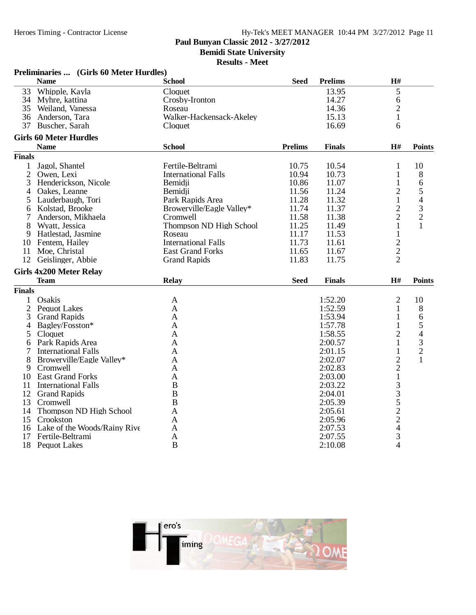**Paul Bunyan Classic 2012 - 3/27/2012**

**Bemidi State University**

**Results - Meet**

|                | Preliminaries  (Girls 60 Meter Hurdles) |                            |                |                    |                   |               |
|----------------|-----------------------------------------|----------------------------|----------------|--------------------|-------------------|---------------|
|                | <b>Name</b>                             | <b>School</b>              | <b>Seed</b>    | <b>Prelims</b>     | H#                |               |
| 33             | Whipple, Kayla                          | Cloquet                    |                | 13.95              | 5                 |               |
|                | 34 Myhre, kattina                       | Crosby-Ironton             |                | 14.27              | 6                 |               |
|                | 35 Weiland, Vanessa                     | Roseau                     |                | 14.36              | $\overline{2}$    |               |
|                | 36 Anderson, Tara                       | Walker-Hackensack-Akeley   |                | 15.13              | $\mathbf{1}$      |               |
|                | 37 Buscher, Sarah                       | Cloquet                    |                | 16.69              | 6                 |               |
|                | <b>Girls 60 Meter Hurdles</b>           |                            |                |                    |                   |               |
|                | <b>Name</b>                             | <b>School</b>              | <b>Prelims</b> | <b>Finals</b>      | H#                | <b>Points</b> |
| <b>Finals</b>  |                                         |                            |                |                    |                   |               |
| $\mathbf{1}$   | Jagol, Shantel                          | Fertile-Beltrami           | 10.75          | 10.54              | 1                 | 10            |
| $\overline{2}$ | Owen, Lexi                              | <b>International Falls</b> | 10.94          | 10.73              | $\mathbf{1}$      | 8             |
| 3              | Henderickson, Nicole                    | Bemidji                    | 10.86          | 11.07              | $\mathbf{1}$      | 6             |
| 4              | Oakes, Leanne                           | Bemidii                    | 11.56          | 11.24              | $\overline{2}$    | $\frac{5}{4}$ |
| 5              | Lauderbaugh, Tori                       | Park Rapids Area           | 11.28          | 11.32              | $\mathbf{1}$      |               |
| 6              | Kolstad, Brooke                         | Browerville/Eagle Valley*  | 11.74          | 11.37              | $\overline{c}$    |               |
|                | Anderson, Mikhaela                      | Cromwell                   | 11.58          | 11.38              | $\overline{2}$    | $\frac{3}{2}$ |
| 8              | Wyatt, Jessica                          | Thompson ND High School    | 11.25          | 11.49              | $\mathbf{1}$      | $\mathbf{1}$  |
| 9              | Hatlestad, Jasmine                      | Roseau                     | 11.17          | 11.53              | $\mathbf{1}$      |               |
| 10             | Fentem, Hailey                          | <b>International Falls</b> | 11.73          | 11.61              |                   |               |
| 11             | Moe, Christal                           | <b>East Grand Forks</b>    | 11.65          | 11.67              | $\frac{2}{2}$     |               |
| 12             | Geislinger, Abbie                       | <b>Grand Rapids</b>        | 11.83          | 11.75              | $\overline{2}$    |               |
|                | <b>Girls 4x200 Meter Relay</b>          |                            |                |                    |                   |               |
|                | <b>Team</b>                             | <b>Relay</b>               | <b>Seed</b>    | <b>Finals</b>      | H#                | <b>Points</b> |
| <b>Finals</b>  |                                         |                            |                |                    |                   |               |
|                | Osakis                                  |                            |                | 1:52.20            |                   |               |
| $\mathbf 1$    |                                         | $\mathbf{A}$               |                |                    | 2                 | 10            |
| $\overline{c}$ | <b>Pequot Lakes</b>                     | A<br>A                     |                | 1:52.59<br>1:53.94 | 1<br>$\mathbf{1}$ | 8             |
| 3              | <b>Grand Rapids</b>                     |                            |                |                    |                   | 6             |
| 4              | Bagley/Fosston*                         | A                          |                | 1:57.78            | $\mathbf{1}$      | $\frac{5}{4}$ |
| 5              | Cloquet                                 | A                          |                | 1:58.55            | $\overline{2}$    |               |
| 6              | Park Rapids Area                        | A                          |                | 2:00.57            | $\mathbf{1}$      | $\frac{3}{2}$ |
| 7              | <b>International Falls</b>              | A                          |                | 2:01.15            | $\mathbf{1}$      |               |
| 8              | Browerville/Eagle Valley*               | A                          |                | 2:02.07            | $\overline{c}$    | $\mathbf{1}$  |
| 9.             | Cromwell                                | A                          |                | 2:02.83            | $\overline{c}$    |               |
| 10             | <b>East Grand Forks</b>                 | A                          |                | 2:03.00            | $\mathbf{1}$      |               |
| 11             | <b>International Falls</b>              | B                          |                | 2:03.22            |                   |               |
|                | 12 Grand Rapids                         | B                          |                | 2:04.01            |                   |               |
|                | 13 Cromwell                             | B                          |                | 2:05.39            |                   |               |
| 14             | Thompson ND High School                 | A                          |                | 2:05.61            |                   |               |
| 15             | Crookston                               | A                          |                | 2:05.96            | 3352243           |               |
|                | 16 Lake of the Woods/Rainy Rive         | A                          |                | 2:07.53            |                   |               |
| 17             | Fertile-Beltrami                        | A                          |                | 2:07.55            |                   |               |
| 18             | <b>Pequot Lakes</b>                     | B                          |                | 2:10.08            | $\overline{4}$    |               |

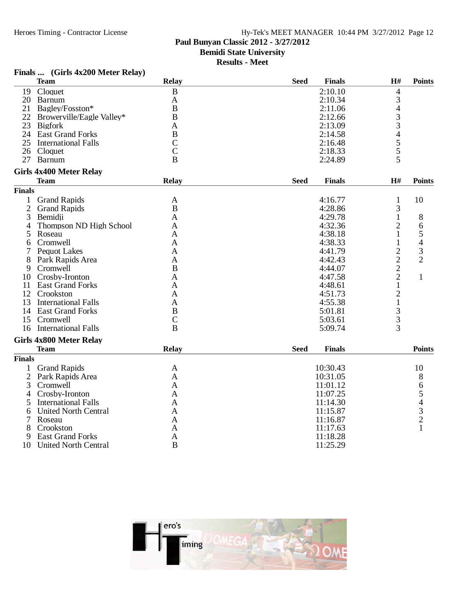**Finals ... (Girls 4x200 Meter Relay)**

### Hy-Tek's MEET MANAGER 10:44 PM 3/27/2012 Page 12 **Paul Bunyan Classic 2012 - 3/27/2012 Bemidi State University**

**Results - Meet**

#### $\begin{array}{ccc} \textbf{Team} & \textbf{Relay} & \textbf{Seed} & \textbf{Finals} & \textbf{H\#} & \textbf{Points} \end{array}$ 19 Cloquet B 2:10.10 4 20 Barnum A 2:10.34 3 21 Bagley/Fosston\* B<br>
22 Browerville/Eagle Valley\* B<br>
23 Bigfork A<br>
2:13.09 3 22 Browerville/Eagle Valley\* B 2:12.66<br>
23 Bigfork 213.09 23 Bigfork 2:13.09 3 24 East Grand Forks B<br>25 International Falls C C 2:16.48 5 25 International Falls C<br>
26 Cloquet C<br>
26 Cloquet 2:18.33 5 26 Cloquet C 2:18.33 5 27 Barnum B B 2:24.89 5 **Girls 4x400 Meter Relay**  $\begin{array}{ccc} \textbf{Team} & \textbf{Relay} & \textbf{Seed} & \textbf{Finals} & \textbf{H\#} & \textbf{Points} \end{array}$ **Finals** 1 Grand Rapids A 4:16.77 1 10<br>
2 Grand Rapids B 4:28.86 3 2 Grand Rapids B 4:28.86 3<br>3 Bemidii 1 A 4:29.78 1 3 Bemidii 18 4 Thompson ND High School A 4:32.36 2 6<br>5 Roseau A 4:38.18 1 5 5 Roseau 1 5 A 4:38.18 1 5 6 Cromwell A 4:38.33 1 4 1 Pequot Lakes A 4:41.79 2 3<br>
8 Park Rapids Area A 4:42.43 2 2 8 Park Rapids Area A 4:42.43 2 2 9 Cromwell B 4:44.07 2 10 Crosby-Ironton <br>
11 East Grand Forks <br>
11 East Grand Forks <br>
12 1 11 East Grand Forks <br>
12 Crookston <br>
12 Crookston <br>
14:51.73 <br>
2 12 Crookston A 4:51.73 2 13 International Falls A 4:55.38 1<br>14 East Grand Forks B 5:01.81 3 14 East Grand Forks B 5:01.81 3<br>15 Cromwell C 5:03.61 3 15 Cromwell C 6:03.61 3  $\overline{16}$  International Falls  $\overline{16}$  B  $\overline{5:09.74}$  3 **Girls 4x800 Meter Relay**  $\begin{array}{ccc} \textbf{Team} & \textbf{Relay} & \textbf{Seed} & \textbf{Finals} \end{array}$ **Finals** 1 Grand Rapids **A** 10:30.43 10<br>2 Park Rapids Area **A** 10:31.05 8 2 Park Rapids Area A 10:31.05 8 3 Cromwell **A** 11:01.12 6 4 Crosby-Ironton A 11:07.25 5<br>5 International Falls A 11:14.30 4 Francisco International Falls A 11:14.30 4<br>
United North Central A 11:15.87 3 6 United North Central A 11:15.87 3 7 Roseau A 11:16.87 2 8 Crookston 11:17.63 1 9 East Grand Forks <br>
0 United North Central <br>
11:25.29 B<br>
11:25.29



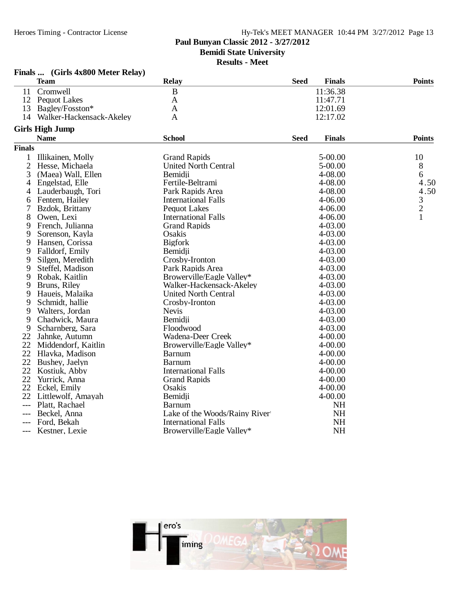## **Paul Bunyan Classic 2012 - 3/27/2012**

**Bemidi State University**

**Results - Meet**

|                | Finals  (Girls 4x800 Meter Relay) |                               |             |               |                |
|----------------|-----------------------------------|-------------------------------|-------------|---------------|----------------|
|                | <b>Team</b>                       | <b>Relay</b>                  | <b>Seed</b> | <b>Finals</b> | <b>Points</b>  |
| 11             | Cromwell                          | $\mathbf B$                   |             | 11:36.38      |                |
| 12             | <b>Pequot Lakes</b>               | $\mathbf{A}$                  |             | 11:47.71      |                |
| 13             | Bagley/Fosston*                   | A                             |             | 12:01.69      |                |
| 14             | Walker-Hackensack-Akeley          | A                             |             | 12:17.02      |                |
|                | <b>Girls High Jump</b>            |                               |             |               |                |
|                | <b>Name</b>                       | <b>School</b>                 | <b>Seed</b> | <b>Finals</b> | <b>Points</b>  |
| <b>Finals</b>  |                                   |                               |             |               |                |
| 1              | Illikainen, Molly                 | <b>Grand Rapids</b>           |             | 5-00.00       | 10             |
| $\overline{c}$ | Hesse, Michaela                   | <b>United North Central</b>   |             | 5-00.00       | 8              |
| 3              | (Maea) Wall, Ellen                | Bemidji                       |             | 4-08.00       | 6              |
| 4              | Engelstad, Elle                   | Fertile-Beltrami              |             | 4-08.00       | 4.50           |
| 4              | Lauderbaugh, Tori                 | Park Rapids Area              |             | 4-08.00       | 4.50           |
| 6              | Fentem, Hailey                    | <b>International Falls</b>    |             | 4-06.00       | 3              |
|                | Bzdok, Brittany                   | <b>Pequot Lakes</b>           |             | 4-06.00       | $\overline{c}$ |
| 8              | Owen, Lexi                        | <b>International Falls</b>    |             | 4-06.00       | $\mathbf{1}$   |
| 9              | French, Julianna                  | <b>Grand Rapids</b>           |             | 4-03.00       |                |
| 9              | Sorenson, Kayla                   | Osakis                        |             | 4-03.00       |                |
| 9              | Hansen, Corissa                   | <b>Bigfork</b>                |             | 4-03.00       |                |
| 9              | Falldorf, Emily                   | Bemidji                       |             | 4-03.00       |                |
| 9              | Silgen, Meredith                  | Crosby-Ironton                |             | 4-03.00       |                |
| 9              | Steffel, Madison                  | Park Rapids Area              |             | 4-03.00       |                |
| 9              | Robak, Kaitlin                    | Browerville/Eagle Valley*     |             | 4-03.00       |                |
| 9              | Bruns, Riley                      | Walker-Hackensack-Akeley      |             | 4-03.00       |                |
| 9              | Haueis, Malaika                   | <b>United North Central</b>   |             | 4-03.00       |                |
| 9              | Schmidt, hallie                   | Crosby-Ironton                |             | 4-03.00       |                |
| 9              | Walters, Jordan                   | <b>Nevis</b>                  |             | 4-03.00       |                |
| 9              | Chadwick, Maura                   | Bemidji                       |             | 4-03.00       |                |
| 9              | Scharnberg, Sara                  | Floodwood                     |             | 4-03.00       |                |
| 22             | Jahnke, Autumn                    | Wadena-Deer Creek             |             | $4 - 00.00$   |                |
|                | 22 Middendorf, Kaitlin            | Browerville/Eagle Valley*     |             | $4 - 00.00$   |                |
| 22             | Hlavka, Madison                   | <b>Barnum</b>                 |             | $4 - 00.00$   |                |
| 22             | Bushey, Jaelyn                    | <b>Barnum</b>                 |             | $4 - 00.00$   |                |
| 22             | Kostiuk, Abby                     | <b>International Falls</b>    |             | $4 - 00.00$   |                |
| 22             | Yurrick, Anna                     | <b>Grand Rapids</b>           |             | 4-00.00       |                |
| 22             | Eckel, Emily                      | Osakis                        |             | $4 - 00.00$   |                |
| 22             | Littlewolf, Amayah                | Bemidji                       |             | 4-00.00       |                |
| ---            | Platt, Rachael                    | Barnum                        |             | NH            |                |
| ---            | Beckel, Anna                      | Lake of the Woods/Rainy River |             | <b>NH</b>     |                |
|                | Ford, Bekah                       | <b>International Falls</b>    |             | <b>NH</b>     |                |
|                | Kestner, Lexie                    | Browerville/Eagle Valley*     |             | <b>NH</b>     |                |

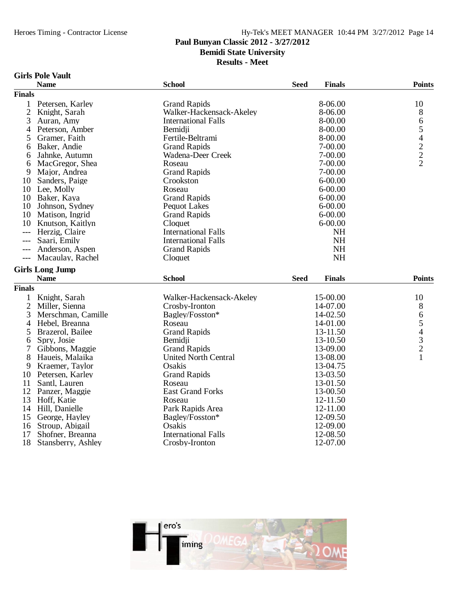## **Paul Bunyan Classic 2012 - 3/27/2012**

**Bemidi State University**

**Results - Meet**

### **Girls Pole Vault**

|                | <b>Name</b>                            | <b>School</b>                                | <b>Finals</b><br><b>Seed</b> | <b>Points</b> |
|----------------|----------------------------------------|----------------------------------------------|------------------------------|---------------|
| <b>Finals</b>  |                                        |                                              |                              |               |
| $\mathbf{1}$   | Petersen, Karley                       | <b>Grand Rapids</b>                          | 8-06.00                      | 10            |
| $\overline{2}$ | Knight, Sarah                          | Walker-Hackensack-Akeley                     | 8-06.00                      | 8             |
| 3              | Auran, Amy                             | <b>International Falls</b>                   | 8-00.00                      | 6             |
| 4              | Peterson, Amber                        | Bemidii                                      | 8-00.00                      |               |
| 5              | Gramer, Faith                          | Fertile-Beltrami                             | 8-00.00                      |               |
| 6              | Baker, Andie                           | <b>Grand Rapids</b>                          | 7-00.00                      | 5422          |
| 6              | Jahnke, Autumn                         | Wadena-Deer Creek                            | 7-00.00                      |               |
| 6              | MacGregor, Shea                        | Roseau                                       | 7-00.00                      |               |
| 9              | Major, Andrea                          | <b>Grand Rapids</b>                          | 7-00.00                      |               |
| 10             | Sanders, Paige                         | Crookston                                    | $6 - 00.00$                  |               |
|                | 10 Lee, Molly                          | Roseau                                       | $6 - 00.00$                  |               |
| 10             | Baker, Kaya                            | <b>Grand Rapids</b>                          | $6 - 00.00$                  |               |
| 10             | Johnson, Sydney                        | <b>Pequot Lakes</b>                          | $6 - 00.00$                  |               |
| 10             | Matison, Ingrid                        | <b>Grand Rapids</b>                          | $6 - 00.00$                  |               |
| 10             | Knutson, Kaitlyn                       | Cloquet                                      | $6 - 00.00$                  |               |
| $---$          | Herzig, Claire                         | <b>International Falls</b>                   | <b>NH</b>                    |               |
| ---            | Saari, Emily                           | <b>International Falls</b>                   | <b>NH</b>                    |               |
|                | Anderson, Aspen                        | <b>Grand Rapids</b>                          | <b>NH</b>                    |               |
| $---$          | Macaulay, Rachel                       | Cloquet                                      | NH                           |               |
|                | <b>Girls Long Jump</b>                 |                                              |                              |               |
|                | <b>Name</b>                            | <b>School</b>                                | <b>Seed</b><br><b>Finals</b> | <b>Points</b> |
| <b>Finals</b>  |                                        |                                              |                              |               |
|                |                                        |                                              |                              |               |
| 1              | Knight, Sarah                          | Walker-Hackensack-Akeley                     | 15-00.00                     | 10            |
| 2              | Miller, Sienna                         | Crosby-Ironton                               | 14-07.00<br>14-02.50         | 8             |
| 3              | Merschman, Camille                     | Bagley/Fosston*                              |                              |               |
|                |                                        |                                              |                              |               |
| 4              | Hebel, Breanna                         | Roseau                                       | 14-01.00                     |               |
| 5              | Brazerol, Bailee                       | <b>Grand Rapids</b>                          | 13-11.50                     |               |
| 6              | Spry, Josie                            | Bemidii                                      | 13-10.50                     |               |
| 7              | Gibbons, Maggie                        | <b>Grand Rapids</b>                          | 13-09.00                     | 65432         |
| 8              | Haueis, Malaika                        | <b>United North Central</b>                  | 13-08.00                     | $\mathbf{1}$  |
| 9              | Kraemer, Taylor                        | Osakis                                       | 13-04.75                     |               |
| 10             | Petersen, Karley                       | <b>Grand Rapids</b>                          | 13-03.50                     |               |
| 11             | Santl, Lauren                          | Roseau                                       | 13-01.50                     |               |
| 12             | Panzer, Maggie                         | <b>East Grand Forks</b>                      | 13-00.50                     |               |
| 13             | Hoff, Katie                            | Roseau                                       | 12-11.50                     |               |
| 14             | Hill, Danielle                         | Park Rapids Area                             | 12-11.00                     |               |
| 15             | George, Hayley                         | Bagley/Fosston*                              | 12-09.50                     |               |
| 16             | Stroup, Abigail                        | Osakis                                       | 12-09.00                     |               |
| 17<br>18       | Shofner, Breanna<br>Stansberry, Ashley | <b>International Falls</b><br>Crosby-Ironton | 12-08.50<br>12-07.00         |               |

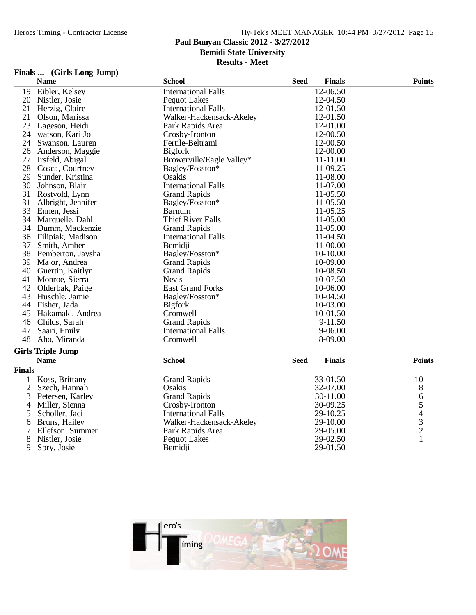## **Paul Bunyan Classic 2012 - 3/27/2012**

**Bemidi State University**

**Results - Meet**

| Finals |  |  |  | (Girls Long Jump) |
|--------|--|--|--|-------------------|
|--------|--|--|--|-------------------|

| 12-06.50<br>Eibler, Kelsey<br><b>International Falls</b><br>19<br>Pequot Lakes<br>12-04.50<br>20<br>Nistler, Josie<br>21<br>Herzig, Claire<br><b>International Falls</b><br>12-01.50<br>21<br>Olson, Marissa<br>Walker-Hackensack-Akeley<br>12-01.50<br>23<br>12-01.00<br>Lageson, Heidi<br>Park Rapids Area<br>24<br>12-00.50<br>watson, Kari Jo<br>Crosby-Ironton<br>24<br>12-00.50<br>Swanson, Lauren<br>Fertile-Beltrami<br>26<br>Anderson, Maggie<br><b>Bigfork</b><br>12-00.00<br>27<br>Browerville/Eagle Valley*<br>11-11.00<br>Irsfeld, Abigal<br>28<br>Bagley/Fosston*<br>11-09.25<br>Cosca, Courtney<br>29<br>Osakis<br>11-08.00<br>Sunder, Kristina<br>30<br>11-07.00<br>Johnson, Blair<br><b>International Falls</b><br>31<br><b>Grand Rapids</b><br>Rostvold, Lynn<br>11-05.50<br>31<br>Albright, Jennifer<br>Bagley/Fosston*<br>11-05.50<br>11-05.25<br>33<br>Ennen, Jessi<br><b>Barnum</b><br>34<br><b>Thief River Falls</b><br>11-05.00<br>Marquelle, Dahl<br>34<br>Dumm, Mackenzie<br><b>Grand Rapids</b><br>11-05.00<br>36<br>Filipiak, Madison<br><b>International Falls</b><br>11-04.50<br>37<br>11-00.00<br>Smith, Amber<br>Bemidii<br>38<br>Bagley/Fosston*<br>Pemberton, Jaysha<br>10-10.00<br>39<br>10-09.00<br>Major, Andrea<br><b>Grand Rapids</b><br>40<br>Guertin, Kaitlyn<br><b>Grand Rapids</b><br>10-08.50<br>41<br><b>Nevis</b><br>10-07.50<br>Monroe, Sierra<br>42<br>Olderbak, Paige<br><b>East Grand Forks</b><br>10-06.00<br>43<br>Huschle, Jamie<br>Bagley/Fosston*<br>10-04.50<br>44<br>Fisher, Jada<br><b>Bigfork</b><br>10-03.00<br>Cromwell<br>45<br>Hakamaki, Andrea<br>10-01.50<br>Childs, Sarah<br><b>Grand Rapids</b><br>9-11.50<br>46<br>47<br><b>International Falls</b><br>$9 - 06.00$<br>Saari, Emily<br>48<br>Aho, Miranda<br>Cromwell<br>8-09.00<br><b>Girls Triple Jump</b><br><b>School</b><br><b>Finals</b><br><b>Points</b><br><b>Name</b><br><b>Seed</b><br><b>Finals</b><br><b>Grand Rapids</b><br>Koss, Brittany<br>33-01.50<br>10<br>1<br>2<br>8<br>Szech, Hannah<br>Osakis<br>32-07.00<br>65432<br>3<br><b>Grand Rapids</b><br>30-11.00<br>Petersen, Karley<br>Miller, Sienna<br>4<br>Crosby-Ironton<br>30-09.25<br><b>International Falls</b><br>5<br>Scholler, Jaci<br>29-10.25<br>Bruns, Hailey<br>Walker-Hackensack-Akeley<br>29-10.00<br>6<br>7<br>Ellefson, Summer<br>Park Rapids Area<br>29-05.00<br>$\mathbf{1}$<br>8<br>Nistler, Josie<br>29-02.50<br>Pequot Lakes |   | <b>Name</b> | <b>School</b> | <b>Seed</b> | <b>Finals</b> | <b>Points</b> |
|-----------------------------------------------------------------------------------------------------------------------------------------------------------------------------------------------------------------------------------------------------------------------------------------------------------------------------------------------------------------------------------------------------------------------------------------------------------------------------------------------------------------------------------------------------------------------------------------------------------------------------------------------------------------------------------------------------------------------------------------------------------------------------------------------------------------------------------------------------------------------------------------------------------------------------------------------------------------------------------------------------------------------------------------------------------------------------------------------------------------------------------------------------------------------------------------------------------------------------------------------------------------------------------------------------------------------------------------------------------------------------------------------------------------------------------------------------------------------------------------------------------------------------------------------------------------------------------------------------------------------------------------------------------------------------------------------------------------------------------------------------------------------------------------------------------------------------------------------------------------------------------------------------------------------------------------------------------------------------------------------------------------------------------------------------------------------------------------------------------------------------------------------------------------------------------------------------------------------------------------------------------------------------------------------------------------------------------------------------------------------------------------------------------------------------------------|---|-------------|---------------|-------------|---------------|---------------|
|                                                                                                                                                                                                                                                                                                                                                                                                                                                                                                                                                                                                                                                                                                                                                                                                                                                                                                                                                                                                                                                                                                                                                                                                                                                                                                                                                                                                                                                                                                                                                                                                                                                                                                                                                                                                                                                                                                                                                                                                                                                                                                                                                                                                                                                                                                                                                                                                                                         |   |             |               |             |               |               |
|                                                                                                                                                                                                                                                                                                                                                                                                                                                                                                                                                                                                                                                                                                                                                                                                                                                                                                                                                                                                                                                                                                                                                                                                                                                                                                                                                                                                                                                                                                                                                                                                                                                                                                                                                                                                                                                                                                                                                                                                                                                                                                                                                                                                                                                                                                                                                                                                                                         |   |             |               |             |               |               |
|                                                                                                                                                                                                                                                                                                                                                                                                                                                                                                                                                                                                                                                                                                                                                                                                                                                                                                                                                                                                                                                                                                                                                                                                                                                                                                                                                                                                                                                                                                                                                                                                                                                                                                                                                                                                                                                                                                                                                                                                                                                                                                                                                                                                                                                                                                                                                                                                                                         |   |             |               |             |               |               |
|                                                                                                                                                                                                                                                                                                                                                                                                                                                                                                                                                                                                                                                                                                                                                                                                                                                                                                                                                                                                                                                                                                                                                                                                                                                                                                                                                                                                                                                                                                                                                                                                                                                                                                                                                                                                                                                                                                                                                                                                                                                                                                                                                                                                                                                                                                                                                                                                                                         |   |             |               |             |               |               |
|                                                                                                                                                                                                                                                                                                                                                                                                                                                                                                                                                                                                                                                                                                                                                                                                                                                                                                                                                                                                                                                                                                                                                                                                                                                                                                                                                                                                                                                                                                                                                                                                                                                                                                                                                                                                                                                                                                                                                                                                                                                                                                                                                                                                                                                                                                                                                                                                                                         |   |             |               |             |               |               |
|                                                                                                                                                                                                                                                                                                                                                                                                                                                                                                                                                                                                                                                                                                                                                                                                                                                                                                                                                                                                                                                                                                                                                                                                                                                                                                                                                                                                                                                                                                                                                                                                                                                                                                                                                                                                                                                                                                                                                                                                                                                                                                                                                                                                                                                                                                                                                                                                                                         |   |             |               |             |               |               |
|                                                                                                                                                                                                                                                                                                                                                                                                                                                                                                                                                                                                                                                                                                                                                                                                                                                                                                                                                                                                                                                                                                                                                                                                                                                                                                                                                                                                                                                                                                                                                                                                                                                                                                                                                                                                                                                                                                                                                                                                                                                                                                                                                                                                                                                                                                                                                                                                                                         |   |             |               |             |               |               |
|                                                                                                                                                                                                                                                                                                                                                                                                                                                                                                                                                                                                                                                                                                                                                                                                                                                                                                                                                                                                                                                                                                                                                                                                                                                                                                                                                                                                                                                                                                                                                                                                                                                                                                                                                                                                                                                                                                                                                                                                                                                                                                                                                                                                                                                                                                                                                                                                                                         |   |             |               |             |               |               |
|                                                                                                                                                                                                                                                                                                                                                                                                                                                                                                                                                                                                                                                                                                                                                                                                                                                                                                                                                                                                                                                                                                                                                                                                                                                                                                                                                                                                                                                                                                                                                                                                                                                                                                                                                                                                                                                                                                                                                                                                                                                                                                                                                                                                                                                                                                                                                                                                                                         |   |             |               |             |               |               |
|                                                                                                                                                                                                                                                                                                                                                                                                                                                                                                                                                                                                                                                                                                                                                                                                                                                                                                                                                                                                                                                                                                                                                                                                                                                                                                                                                                                                                                                                                                                                                                                                                                                                                                                                                                                                                                                                                                                                                                                                                                                                                                                                                                                                                                                                                                                                                                                                                                         |   |             |               |             |               |               |
|                                                                                                                                                                                                                                                                                                                                                                                                                                                                                                                                                                                                                                                                                                                                                                                                                                                                                                                                                                                                                                                                                                                                                                                                                                                                                                                                                                                                                                                                                                                                                                                                                                                                                                                                                                                                                                                                                                                                                                                                                                                                                                                                                                                                                                                                                                                                                                                                                                         |   |             |               |             |               |               |
|                                                                                                                                                                                                                                                                                                                                                                                                                                                                                                                                                                                                                                                                                                                                                                                                                                                                                                                                                                                                                                                                                                                                                                                                                                                                                                                                                                                                                                                                                                                                                                                                                                                                                                                                                                                                                                                                                                                                                                                                                                                                                                                                                                                                                                                                                                                                                                                                                                         |   |             |               |             |               |               |
|                                                                                                                                                                                                                                                                                                                                                                                                                                                                                                                                                                                                                                                                                                                                                                                                                                                                                                                                                                                                                                                                                                                                                                                                                                                                                                                                                                                                                                                                                                                                                                                                                                                                                                                                                                                                                                                                                                                                                                                                                                                                                                                                                                                                                                                                                                                                                                                                                                         |   |             |               |             |               |               |
|                                                                                                                                                                                                                                                                                                                                                                                                                                                                                                                                                                                                                                                                                                                                                                                                                                                                                                                                                                                                                                                                                                                                                                                                                                                                                                                                                                                                                                                                                                                                                                                                                                                                                                                                                                                                                                                                                                                                                                                                                                                                                                                                                                                                                                                                                                                                                                                                                                         |   |             |               |             |               |               |
|                                                                                                                                                                                                                                                                                                                                                                                                                                                                                                                                                                                                                                                                                                                                                                                                                                                                                                                                                                                                                                                                                                                                                                                                                                                                                                                                                                                                                                                                                                                                                                                                                                                                                                                                                                                                                                                                                                                                                                                                                                                                                                                                                                                                                                                                                                                                                                                                                                         |   |             |               |             |               |               |
|                                                                                                                                                                                                                                                                                                                                                                                                                                                                                                                                                                                                                                                                                                                                                                                                                                                                                                                                                                                                                                                                                                                                                                                                                                                                                                                                                                                                                                                                                                                                                                                                                                                                                                                                                                                                                                                                                                                                                                                                                                                                                                                                                                                                                                                                                                                                                                                                                                         |   |             |               |             |               |               |
|                                                                                                                                                                                                                                                                                                                                                                                                                                                                                                                                                                                                                                                                                                                                                                                                                                                                                                                                                                                                                                                                                                                                                                                                                                                                                                                                                                                                                                                                                                                                                                                                                                                                                                                                                                                                                                                                                                                                                                                                                                                                                                                                                                                                                                                                                                                                                                                                                                         |   |             |               |             |               |               |
|                                                                                                                                                                                                                                                                                                                                                                                                                                                                                                                                                                                                                                                                                                                                                                                                                                                                                                                                                                                                                                                                                                                                                                                                                                                                                                                                                                                                                                                                                                                                                                                                                                                                                                                                                                                                                                                                                                                                                                                                                                                                                                                                                                                                                                                                                                                                                                                                                                         |   |             |               |             |               |               |
|                                                                                                                                                                                                                                                                                                                                                                                                                                                                                                                                                                                                                                                                                                                                                                                                                                                                                                                                                                                                                                                                                                                                                                                                                                                                                                                                                                                                                                                                                                                                                                                                                                                                                                                                                                                                                                                                                                                                                                                                                                                                                                                                                                                                                                                                                                                                                                                                                                         |   |             |               |             |               |               |
|                                                                                                                                                                                                                                                                                                                                                                                                                                                                                                                                                                                                                                                                                                                                                                                                                                                                                                                                                                                                                                                                                                                                                                                                                                                                                                                                                                                                                                                                                                                                                                                                                                                                                                                                                                                                                                                                                                                                                                                                                                                                                                                                                                                                                                                                                                                                                                                                                                         |   |             |               |             |               |               |
|                                                                                                                                                                                                                                                                                                                                                                                                                                                                                                                                                                                                                                                                                                                                                                                                                                                                                                                                                                                                                                                                                                                                                                                                                                                                                                                                                                                                                                                                                                                                                                                                                                                                                                                                                                                                                                                                                                                                                                                                                                                                                                                                                                                                                                                                                                                                                                                                                                         |   |             |               |             |               |               |
|                                                                                                                                                                                                                                                                                                                                                                                                                                                                                                                                                                                                                                                                                                                                                                                                                                                                                                                                                                                                                                                                                                                                                                                                                                                                                                                                                                                                                                                                                                                                                                                                                                                                                                                                                                                                                                                                                                                                                                                                                                                                                                                                                                                                                                                                                                                                                                                                                                         |   |             |               |             |               |               |
|                                                                                                                                                                                                                                                                                                                                                                                                                                                                                                                                                                                                                                                                                                                                                                                                                                                                                                                                                                                                                                                                                                                                                                                                                                                                                                                                                                                                                                                                                                                                                                                                                                                                                                                                                                                                                                                                                                                                                                                                                                                                                                                                                                                                                                                                                                                                                                                                                                         |   |             |               |             |               |               |
|                                                                                                                                                                                                                                                                                                                                                                                                                                                                                                                                                                                                                                                                                                                                                                                                                                                                                                                                                                                                                                                                                                                                                                                                                                                                                                                                                                                                                                                                                                                                                                                                                                                                                                                                                                                                                                                                                                                                                                                                                                                                                                                                                                                                                                                                                                                                                                                                                                         |   |             |               |             |               |               |
|                                                                                                                                                                                                                                                                                                                                                                                                                                                                                                                                                                                                                                                                                                                                                                                                                                                                                                                                                                                                                                                                                                                                                                                                                                                                                                                                                                                                                                                                                                                                                                                                                                                                                                                                                                                                                                                                                                                                                                                                                                                                                                                                                                                                                                                                                                                                                                                                                                         |   |             |               |             |               |               |
|                                                                                                                                                                                                                                                                                                                                                                                                                                                                                                                                                                                                                                                                                                                                                                                                                                                                                                                                                                                                                                                                                                                                                                                                                                                                                                                                                                                                                                                                                                                                                                                                                                                                                                                                                                                                                                                                                                                                                                                                                                                                                                                                                                                                                                                                                                                                                                                                                                         |   |             |               |             |               |               |
|                                                                                                                                                                                                                                                                                                                                                                                                                                                                                                                                                                                                                                                                                                                                                                                                                                                                                                                                                                                                                                                                                                                                                                                                                                                                                                                                                                                                                                                                                                                                                                                                                                                                                                                                                                                                                                                                                                                                                                                                                                                                                                                                                                                                                                                                                                                                                                                                                                         |   |             |               |             |               |               |
|                                                                                                                                                                                                                                                                                                                                                                                                                                                                                                                                                                                                                                                                                                                                                                                                                                                                                                                                                                                                                                                                                                                                                                                                                                                                                                                                                                                                                                                                                                                                                                                                                                                                                                                                                                                                                                                                                                                                                                                                                                                                                                                                                                                                                                                                                                                                                                                                                                         |   |             |               |             |               |               |
|                                                                                                                                                                                                                                                                                                                                                                                                                                                                                                                                                                                                                                                                                                                                                                                                                                                                                                                                                                                                                                                                                                                                                                                                                                                                                                                                                                                                                                                                                                                                                                                                                                                                                                                                                                                                                                                                                                                                                                                                                                                                                                                                                                                                                                                                                                                                                                                                                                         |   |             |               |             |               |               |
|                                                                                                                                                                                                                                                                                                                                                                                                                                                                                                                                                                                                                                                                                                                                                                                                                                                                                                                                                                                                                                                                                                                                                                                                                                                                                                                                                                                                                                                                                                                                                                                                                                                                                                                                                                                                                                                                                                                                                                                                                                                                                                                                                                                                                                                                                                                                                                                                                                         |   |             |               |             |               |               |
|                                                                                                                                                                                                                                                                                                                                                                                                                                                                                                                                                                                                                                                                                                                                                                                                                                                                                                                                                                                                                                                                                                                                                                                                                                                                                                                                                                                                                                                                                                                                                                                                                                                                                                                                                                                                                                                                                                                                                                                                                                                                                                                                                                                                                                                                                                                                                                                                                                         |   |             |               |             |               |               |
|                                                                                                                                                                                                                                                                                                                                                                                                                                                                                                                                                                                                                                                                                                                                                                                                                                                                                                                                                                                                                                                                                                                                                                                                                                                                                                                                                                                                                                                                                                                                                                                                                                                                                                                                                                                                                                                                                                                                                                                                                                                                                                                                                                                                                                                                                                                                                                                                                                         |   |             |               |             |               |               |
|                                                                                                                                                                                                                                                                                                                                                                                                                                                                                                                                                                                                                                                                                                                                                                                                                                                                                                                                                                                                                                                                                                                                                                                                                                                                                                                                                                                                                                                                                                                                                                                                                                                                                                                                                                                                                                                                                                                                                                                                                                                                                                                                                                                                                                                                                                                                                                                                                                         |   |             |               |             |               |               |
|                                                                                                                                                                                                                                                                                                                                                                                                                                                                                                                                                                                                                                                                                                                                                                                                                                                                                                                                                                                                                                                                                                                                                                                                                                                                                                                                                                                                                                                                                                                                                                                                                                                                                                                                                                                                                                                                                                                                                                                                                                                                                                                                                                                                                                                                                                                                                                                                                                         |   |             |               |             |               |               |
|                                                                                                                                                                                                                                                                                                                                                                                                                                                                                                                                                                                                                                                                                                                                                                                                                                                                                                                                                                                                                                                                                                                                                                                                                                                                                                                                                                                                                                                                                                                                                                                                                                                                                                                                                                                                                                                                                                                                                                                                                                                                                                                                                                                                                                                                                                                                                                                                                                         |   |             |               |             |               |               |
|                                                                                                                                                                                                                                                                                                                                                                                                                                                                                                                                                                                                                                                                                                                                                                                                                                                                                                                                                                                                                                                                                                                                                                                                                                                                                                                                                                                                                                                                                                                                                                                                                                                                                                                                                                                                                                                                                                                                                                                                                                                                                                                                                                                                                                                                                                                                                                                                                                         |   |             |               |             |               |               |
|                                                                                                                                                                                                                                                                                                                                                                                                                                                                                                                                                                                                                                                                                                                                                                                                                                                                                                                                                                                                                                                                                                                                                                                                                                                                                                                                                                                                                                                                                                                                                                                                                                                                                                                                                                                                                                                                                                                                                                                                                                                                                                                                                                                                                                                                                                                                                                                                                                         |   |             |               |             |               |               |
|                                                                                                                                                                                                                                                                                                                                                                                                                                                                                                                                                                                                                                                                                                                                                                                                                                                                                                                                                                                                                                                                                                                                                                                                                                                                                                                                                                                                                                                                                                                                                                                                                                                                                                                                                                                                                                                                                                                                                                                                                                                                                                                                                                                                                                                                                                                                                                                                                                         |   |             |               |             |               |               |
|                                                                                                                                                                                                                                                                                                                                                                                                                                                                                                                                                                                                                                                                                                                                                                                                                                                                                                                                                                                                                                                                                                                                                                                                                                                                                                                                                                                                                                                                                                                                                                                                                                                                                                                                                                                                                                                                                                                                                                                                                                                                                                                                                                                                                                                                                                                                                                                                                                         |   |             |               |             |               |               |
|                                                                                                                                                                                                                                                                                                                                                                                                                                                                                                                                                                                                                                                                                                                                                                                                                                                                                                                                                                                                                                                                                                                                                                                                                                                                                                                                                                                                                                                                                                                                                                                                                                                                                                                                                                                                                                                                                                                                                                                                                                                                                                                                                                                                                                                                                                                                                                                                                                         |   |             |               |             |               |               |
|                                                                                                                                                                                                                                                                                                                                                                                                                                                                                                                                                                                                                                                                                                                                                                                                                                                                                                                                                                                                                                                                                                                                                                                                                                                                                                                                                                                                                                                                                                                                                                                                                                                                                                                                                                                                                                                                                                                                                                                                                                                                                                                                                                                                                                                                                                                                                                                                                                         |   |             |               |             |               |               |
|                                                                                                                                                                                                                                                                                                                                                                                                                                                                                                                                                                                                                                                                                                                                                                                                                                                                                                                                                                                                                                                                                                                                                                                                                                                                                                                                                                                                                                                                                                                                                                                                                                                                                                                                                                                                                                                                                                                                                                                                                                                                                                                                                                                                                                                                                                                                                                                                                                         | 9 | Spry, Josie | Bemidji       |             | 29-01.50      |               |

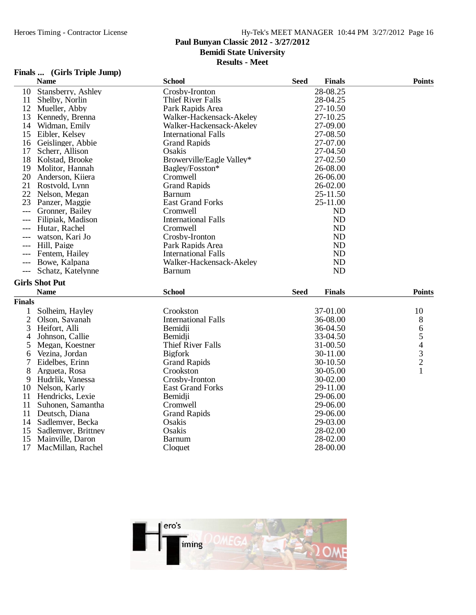## **Paul Bunyan Classic 2012 - 3/27/2012**

**Bemidi State University**

**Results - Meet**

## **Finals ... (Girls Triple Jump)**

|                | <b>Name</b>           | <b>School</b>              | <b>Seed</b> | <b>Finals</b> | <b>Points</b> |
|----------------|-----------------------|----------------------------|-------------|---------------|---------------|
| 10             | Stansberry, Ashley    | Crosby-Ironton             |             | 28-08.25      |               |
| 11             | Shelby, Norlin        | Thief River Falls          |             | 28-04.25      |               |
| 12             | Mueller, Abby         | Park Rapids Area           |             | 27-10.50      |               |
| 13             | Kennedy, Brenna       | Walker-Hackensack-Akeley   |             | 27-10.25      |               |
| 14             | Widman, Emily         | Walker-Hackensack-Akeley   |             | 27-09.00      |               |
| 15             | Eibler, Kelsey        | <b>International Falls</b> |             | 27-08.50      |               |
| 16             | Geislinger, Abbie     | <b>Grand Rapids</b>        |             | 27-07.00      |               |
| 17             | Scherr, Allison       | Osakis                     |             | 27-04.50      |               |
|                | 18 Kolstad, Brooke    | Browerville/Eagle Valley*  |             | 27-02.50      |               |
| 19             | Molitor, Hannah       | Bagley/Fosston*            |             | 26-08.00      |               |
| 20             | Anderson, Kiiera      | Cromwell                   |             | 26-06.00      |               |
| 21             | Rostvold, Lynn        | <b>Grand Rapids</b>        |             | 26-02.00      |               |
| 22             | Nelson, Megan         | Barnum                     |             | 25-11.50      |               |
| 23             | Panzer, Maggie        | <b>East Grand Forks</b>    |             | 25-11.00      |               |
| $---$          | Gronner, Bailey       | Cromwell                   |             | <b>ND</b>     |               |
|                | Filipiak, Madison     | <b>International Falls</b> |             | <b>ND</b>     |               |
|                | Hutar, Rachel         | Cromwell                   |             | <b>ND</b>     |               |
| $---$          | watson, Kari Jo       | Crosby-Ironton             |             | <b>ND</b>     |               |
| $---$          | Hill, Paige           | Park Rapids Area           |             | <b>ND</b>     |               |
|                | Fentem, Hailey        | <b>International Falls</b> |             | <b>ND</b>     |               |
|                | Bowe, Kalpana         | Walker-Hackensack-Akeley   |             | <b>ND</b>     |               |
| $---$          | Schatz, Katelynne     | <b>Barnum</b>              |             | <b>ND</b>     |               |
|                | <b>Girls Shot Put</b> |                            |             |               |               |
|                | <b>Name</b>           | <b>School</b>              | <b>Seed</b> | <b>Finals</b> | <b>Points</b> |
| <b>Finals</b>  |                       |                            |             |               |               |
| 1              | Solheim, Hayley       | Crookston                  |             | 37-01.00      | 10            |
| $\overline{2}$ | Olson, Savanah        | <b>International Falls</b> |             | 36-08.00      | 8             |
| 3              | Heifort, Alli         | Bemidii                    |             | 36-04.50      |               |
| 4              | Johnson, Callie       | Bemidji                    |             | 33-04.50      | 65432         |
| 5              | Megan, Koestner       | Thief River Falls          |             | 31-00.50      |               |
| 6              | Vezina, Jordan        | <b>Bigfork</b>             |             | 30-11.00      |               |
| 7              | Eidelbes, Erinn       | <b>Grand Rapids</b>        |             | 30-10.50      |               |
| 8              | Argueta, Rosa         | Crookston                  |             | 30-05.00      |               |
| 9              | Hudrlik, Vanessa      | Crosby-Ironton             |             | 30-02.00      |               |
| 10             | Nelson, Karly         | <b>East Grand Forks</b>    |             | 29-11.00      |               |
| 11             | Hendricks, Lexie      | Bemidji                    |             | 29-06.00      |               |
| 11             | Suhonen, Samantha     | Cromwell                   |             | 29-06.00      |               |
| 11             | Deutsch, Diana        | <b>Grand Rapids</b>        |             | 29-06.00      |               |
| 14             | Sadlemyer, Becka      | Osakis                     |             | 29-03.00      |               |
| 15             | Sadlemyer, Brittney   | Osakis                     |             | 28-02.00      |               |
| 15             | Mainville, Daron      | <b>Barnum</b>              |             | 28-02.00      |               |
| 17             | MacMillan, Rachel     | Cloquet                    |             | 28-00.00      |               |

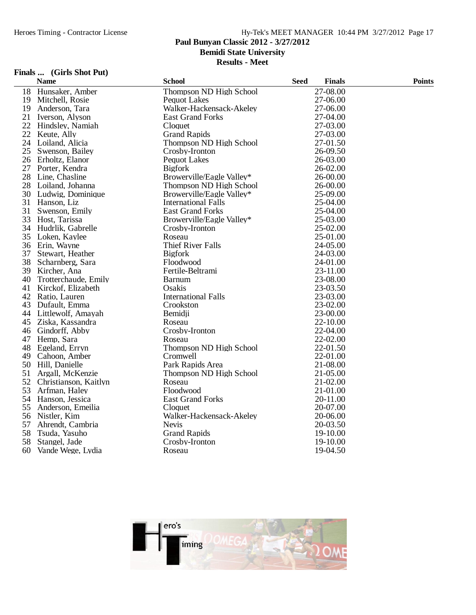## **Paul Bunyan Classic 2012 - 3/27/2012**

**Bemidi State University**

**Results - Meet**

## **Finals ... (Girls Shot Put)**

|    | <b>Name</b>           | <b>School</b>              | <b>Seed</b> | <b>Finals</b> | <b>Points</b> |
|----|-----------------------|----------------------------|-------------|---------------|---------------|
| 18 | Hunsaker, Amber       | Thompson ND High School    |             | 27-08.00      |               |
| 19 | Mitchell, Rosie       | <b>Pequot Lakes</b>        |             | 27-06.00      |               |
| 19 | Anderson, Tara        | Walker-Hackensack-Akeley   |             | 27-06.00      |               |
| 21 | Iverson, Alyson       | <b>East Grand Forks</b>    |             | 27-04.00      |               |
| 22 | Hindsley, Namiah      | Cloquet                    |             | 27-03.00      |               |
| 22 | Keute, Ally           | <b>Grand Rapids</b>        |             | 27-03.00      |               |
|    | 24 Loiland, Alicia    | Thompson ND High School    |             | 27-01.50      |               |
| 25 | Swenson, Bailey       | Crosby-Ironton             |             | 26-09.50      |               |
| 26 | Erholtz, Elanor       | <b>Pequot Lakes</b>        |             | 26-03.00      |               |
| 27 | Porter, Kendra        | <b>Bigfork</b>             |             | 26-02.00      |               |
|    | 28 Line, Chasline     | Browerville/Eagle Valley*  |             | 26-00.00      |               |
|    | 28 Loiland, Johanna   | Thompson ND High School    |             | 26-00.00      |               |
|    | 30 Ludwig, Dominique  | Browerville/Eagle Valley*  |             | 25-09.00      |               |
|    | 31 Hanson, Liz        | <b>International Falls</b> |             | 25-04.00      |               |
| 31 | Swenson, Emily        | <b>East Grand Forks</b>    |             | 25-04.00      |               |
| 33 | Host, Tarissa         | Browerville/Eagle Valley*  |             | 25-03.00      |               |
|    | 34 Hudrlik, Gabrelle  | Crosby-Ironton             |             | 25-02.00      |               |
|    | 35 Loken, Kaylee      | Roseau                     |             | 25-01.00      |               |
|    | 36 Erin, Wayne        | <b>Thief River Falls</b>   |             | 24-05.00      |               |
| 37 | Stewart, Heather      | <b>Bigfork</b>             |             | 24-03.00      |               |
| 38 | Scharnberg, Sara      | Floodwood                  |             | 24-01.00      |               |
| 39 | Kircher, Ana          | Fertile-Beltrami           |             | 23-11.00      |               |
| 40 | Trotterchaude, Emily  | <b>Barnum</b>              |             | 23-08.00      |               |
| 41 | Kirckof, Elizabeth    | Osakis                     |             | 23-03.50      |               |
| 42 | Ratio, Lauren         | <b>International Falls</b> |             | 23-03.00      |               |
| 43 | Dufault, Emma         | Crookston                  |             | 23-02.00      |               |
| 44 | Littlewolf, Amayah    | Bemidji                    |             | 23-00.00      |               |
| 45 | Ziska, Kassandra      | Roseau                     |             | 22-10.00      |               |
| 46 | Gindorff, Abby        | Crosby-Ironton             |             | 22-04.00      |               |
| 47 | Hemp, Sara            | Roseau                     |             | 22-02.00      |               |
| 48 | Egeland, Erryn        | Thompson ND High School    |             | 22-01.50      |               |
| 49 | Cahoon, Amber         | Cromwell                   |             | 22-01.00      |               |
| 50 | Hill, Danielle        | Park Rapids Area           |             | 21-08.00      |               |
| 51 | Argall, McKenzie      | Thompson ND High School    |             | 21-05.00      |               |
| 52 | Christianson, Kaitlyn | Roseau                     |             | 21-02.00      |               |
| 53 | Arfman, Haley         | Floodwood                  |             | 21-01.00      |               |
|    | 54 Hanson, Jessica    | <b>East Grand Forks</b>    |             | 20-11.00      |               |
| 55 | Anderson, Emeilia     | Cloquet                    |             | 20-07.00      |               |
| 56 | Nistler, Kim          | Walker-Hackensack-Akeley   |             | 20-06.00      |               |
| 57 | Ahrendt, Cambria      | <b>Nevis</b>               |             | 20-03.50      |               |
| 58 | Tsuda, Yasuho         | <b>Grand Rapids</b>        |             | 19-10.00      |               |
| 58 | Stangel, Jade         | Crosby-Ironton             |             | 19-10.00      |               |
| 60 | Vande Wege, Lydia     | Roseau                     |             | 19-04.50      |               |

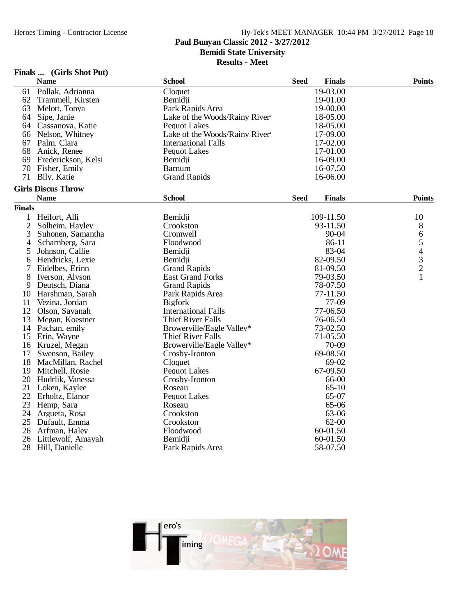## **Paul Bunyan Classic 2012 - 3/27/2012**

**Bemidi State University**

**Results - Meet**

## **Finals ... (Girls Shot Put)**

|                | <b>Name</b>               | <b>School</b>                 | <b>Seed</b> | <b>Finals</b> | <b>Points</b>                                   |  |
|----------------|---------------------------|-------------------------------|-------------|---------------|-------------------------------------------------|--|
| 61             | Pollak, Adrianna          | Cloquet                       |             | 19-03.00      |                                                 |  |
| 62             | Trammell, Kirsten         | Bemidii                       |             | 19-01.00      |                                                 |  |
| 63             | Melott, Tonya             | Park Rapids Area              |             | 19-00.00      |                                                 |  |
| 64             | Sipe, Janie               | Lake of the Woods/Rainy River |             | 18-05.00      |                                                 |  |
| 64             | Cassanova, Katie          | <b>Pequot Lakes</b>           |             | 18-05.00      |                                                 |  |
| 66             | Nelson, Whitney           | Lake of the Woods/Rainy River |             | 17-09.00      |                                                 |  |
| 67             | Palm, Clara               | <b>International Falls</b>    |             | 17-02.00      |                                                 |  |
| 68             | Anick, Renee              | <b>Pequot Lakes</b>           |             | 17-01.00      |                                                 |  |
| 69             | Frederickson, Kelsi       | Bemidji                       |             | 16-09.00      |                                                 |  |
| 70             | Fisher, Emily             | <b>Barnum</b>                 |             | 16-07.50      |                                                 |  |
| 71             | Bily, Katie               | <b>Grand Rapids</b>           |             | 16-06.00      |                                                 |  |
|                | <b>Girls Discus Throw</b> |                               |             |               |                                                 |  |
|                | <b>Name</b>               | <b>School</b>                 | <b>Seed</b> | <b>Finals</b> | <b>Points</b>                                   |  |
| <b>Finals</b>  |                           |                               |             |               |                                                 |  |
| 1              | Heifort, Alli             | Bemidji                       |             | 109-11.50     | 10                                              |  |
| $\overline{2}$ | Solheim, Hayley           | Crookston                     |             | 93-11.50      | 8                                               |  |
| 3              | Suhonen, Samantha         | Cromwell                      |             | 90-04         | 6                                               |  |
| 4              | Scharnberg, Sara          | Floodwood                     |             | 86-11         |                                                 |  |
| 5              | Johnson, Callie           | Bemidii                       |             | 83-04         |                                                 |  |
| 6              | Hendricks, Lexie          | Bemidji                       |             | 82-09.50      | $\begin{array}{c} 5 \\ 4 \\ 3 \\ 2 \end{array}$ |  |
| 7              | Eidelbes, Erinn           | <b>Grand Rapids</b>           |             | 81-09.50      |                                                 |  |
| 8              | Iverson, Alyson           | <b>East Grand Forks</b>       |             | 79-03.50      | $\mathbf{1}$                                    |  |
| 9              | Deutsch, Diana            | <b>Grand Rapids</b>           |             | 78-07.50      |                                                 |  |
| 10             | Harshman, Sarah           | Park Rapids Area              |             | 77-11.50      |                                                 |  |
| 11             | Vezina, Jordan            | <b>Bigfork</b>                |             | 77-09         |                                                 |  |
| 12             | Olson, Savanah            | <b>International Falls</b>    |             | 77-06.50      |                                                 |  |
| 13             | Megan, Koestner           | <b>Thief River Falls</b>      |             | 76-06.50      |                                                 |  |
| 14             | Pachan, emily             | Browerville/Eagle Valley*     |             | 73-02.50      |                                                 |  |
| 15             | Erin, Wayne               | Thief River Falls             |             | 71-05.50      |                                                 |  |
| 16             | Kruzel, Megan             | Browerville/Eagle Valley*     |             | 70-09         |                                                 |  |
| 17             | Swenson, Bailey           | Crosby-Ironton                |             | 69-08.50      |                                                 |  |
| 18             | MacMillan, Rachel         | Cloquet                       |             | 69-02         |                                                 |  |
| 19             | Mitchell, Rosie           | <b>Pequot Lakes</b>           |             | 67-09.50      |                                                 |  |
| 20             | Hudrlik, Vanessa          | Crosby-Ironton                |             | 66-00         |                                                 |  |
| 21             | Loken, Kaylee             | Roseau                        |             | $65-10$       |                                                 |  |
| 22             | Erholtz, Elanor           | <b>Pequot Lakes</b>           |             | 65-07         |                                                 |  |
| 23             | Hemp, Sara                | Roseau                        |             | 65-06         |                                                 |  |
| 24             | Argueta, Rosa             | Crookston                     |             | 63-06         |                                                 |  |
| 25             | Dufault, Emma             | Crookston                     |             | 62-00         |                                                 |  |
| 26             | Arfman, Haley             | Floodwood                     |             | 60-01.50      |                                                 |  |
| 26             | Littlewolf, Amayah        | Bemidji                       |             | 60-01.50      |                                                 |  |
| 28             | Hill, Danielle            | Park Rapids Area              |             | 58-07.50      |                                                 |  |

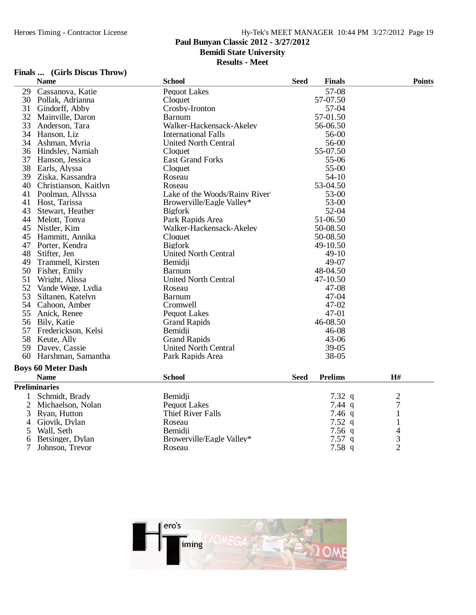### **Paul Bunyan Classic 2012 - 3/27/2012**

**Bemidi State University**

**Results - Meet**

### **Finals ... (Girls Discus Throw)**

|        | <b>Name</b>               | <b>School</b>                 | <b>Seed</b> | <b>Finals</b>  | <b>Points</b>  |
|--------|---------------------------|-------------------------------|-------------|----------------|----------------|
| 29     | Cassanova, Katie          | <b>Pequot Lakes</b>           |             | 57-08          |                |
| 30     | Pollak, Adrianna          | Cloquet                       |             | 57-07.50       |                |
| 31     | Gindorff, Abby            | Crosby-Ironton                |             | 57-04          |                |
| 32     | Mainville, Daron          | <b>Barnum</b>                 |             | 57-01.50       |                |
| 33     | Anderson, Tara            | Walker-Hackensack-Akeley      |             | 56-06.50       |                |
| 34     | Hanson, Liz               | <b>International Falls</b>    |             | 56-00          |                |
| 34     | Ashman, Myria             | <b>United North Central</b>   |             | 56-00          |                |
|        | 36 Hindsley, Namiah       | Cloquet                       |             | 55-07.50       |                |
| 37     | Hanson, Jessica           | <b>East Grand Forks</b>       |             | 55-06          |                |
| 38     | Earls, Alyssa             | Cloquet                       |             | 55-00          |                |
|        | 39 Ziska, Kassandra       | Roseau                        |             | $54-10$        |                |
| 40     | Christianson, Kaitlyn     | Roseau                        |             | 53-04.50       |                |
| 41     | Poolman, Allyssa          | Lake of the Woods/Rainy River |             | 53-00          |                |
| 41     | Host, Tarissa             | Browerville/Eagle Valley*     |             | 53-00          |                |
| 43     | Stewart, Heather          | <b>Bigfork</b>                |             | 52-04          |                |
| 44     | Melott, Tonya             | Park Rapids Area              |             | 51-06.50       |                |
| 45     | Nistler, Kim              | Walker-Hackensack-Akeley      |             | 50-08.50       |                |
| 45     | Hammitt, Annika           | Cloquet                       |             | 50-08.50       |                |
| 47     | Porter, Kendra            | <b>Bigfork</b>                |             | 49-10.50       |                |
| 48     | Stifter, Jen              | <b>United North Central</b>   |             | $49-10$        |                |
| 49     | Trammell, Kirsten         | Bemidji                       |             | 49-07          |                |
|        | 50 Fisher, Emily          | <b>Barnum</b>                 |             | 48-04.50       |                |
| 51     | Wright, Alissa            | <b>United North Central</b>   |             | 47-10.50       |                |
| 52     | Vande Wege, Lydia         | Roseau                        |             | 47-08          |                |
| 53     | Siltanen, Katelyn         | <b>Barnum</b>                 |             | 47-04          |                |
| 54     | Cahoon, Amber             | Cromwell                      |             | $47 - 02$      |                |
| 55     | Anick, Renee              | <b>Pequot Lakes</b>           |             | 47-01          |                |
|        | 56 Bily, Katie            | <b>Grand Rapids</b>           |             | 46-08.50       |                |
| 57     | Frederickson, Kelsi       | Bemidii                       |             | 46-08          |                |
| 58     | Keute, Ally               | <b>Grand Rapids</b>           |             | $43 - 06$      |                |
| 59     | Davey, Cassie             | <b>United North Central</b>   |             | 39-05          |                |
| 60     | Harshman, Samantha        | Park Rapids Area              |             | 38-05          |                |
|        | <b>Boys 60 Meter Dash</b> |                               |             |                |                |
|        | <b>Name</b>               | <b>School</b>                 | <b>Seed</b> | <b>Prelims</b> | H#             |
|        | <b>Preliminaries</b>      |                               |             |                |                |
| 1      | Schmidt, Brady            | Bemidji                       |             | 7.32 $q$       | $\overline{c}$ |
| 2      | Michaelson, Nolan         | <b>Pequot Lakes</b>           |             | 7.44 $q$       | 7              |
|        | Ryan, Hutton              | <b>Thief River Falls</b>      |             | $7.46$ q       | $\mathbf{1}$   |
| 3      | Gjovik, Dylan             | Roseau                        |             | 7.52q          | $\mathbf{1}$   |
| 4      | Wall, Seth                | Bemidii                       |             | $7.56$ q       | 4              |
| 5<br>6 | Betsinger, Dylan          | Browerville/Eagle Valley*     |             | $7.57$ q       | $\overline{3}$ |
| 7      | Johnson, Trevor           | Roseau                        |             | 7.58q          | $\overline{2}$ |
|        |                           |                               |             |                |                |

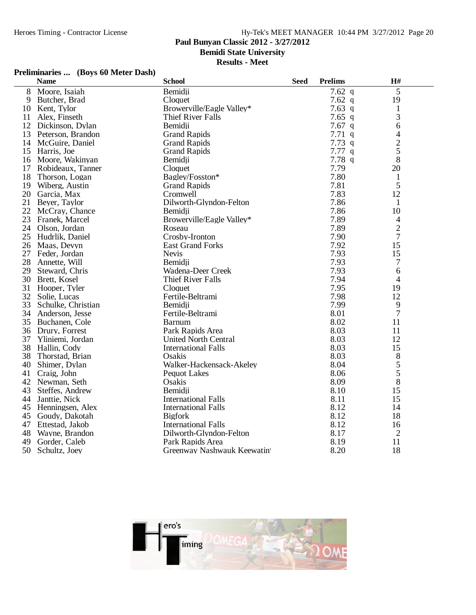## **Paul Bunyan Classic 2012 - 3/27/2012**

**Bemidi State University**

### **Results - Meet**

## **Preliminaries ... (Boys 60 Meter Dash)**

|    | <b>Name</b>         | <b>School</b>               | <b>Seed</b> | <b>Prelims</b> | H#             |
|----|---------------------|-----------------------------|-------------|----------------|----------------|
| 8  | Moore, Isaiah       | Bemidji                     |             | 7.62 $q$       | 5              |
| 9  | Butcher, Brad       | Cloquet                     |             | 7.62 $q$       | 19             |
| 10 | Kent, Tylor         | Browerville/Eagle Valley*   |             | 7.63q          | $\mathbf{1}$   |
| 11 | Alex, Finseth       | <b>Thief River Falls</b>    |             | 7.65 $q$       | 3              |
|    | 12 Dickinson, Dylan | Bemidji                     |             | $7.67$ q       | 6              |
| 13 | Peterson, Brandon   | <b>Grand Rapids</b>         |             | 7.71q          | 4              |
| 14 | McGuire, Daniel     | <b>Grand Rapids</b>         |             | 7.73q          |                |
|    | 15 Harris, Joe      | <b>Grand Rapids</b>         |             | 7.77q          | $\frac{2}{5}$  |
| 16 | Moore, Wakinyan     | Bemidji                     |             | 7.78q          | 8              |
| 17 | Robideaux, Tanner   | Cloquet                     |             | 7.79           | 20             |
| 18 | Thorson, Logan      | Bagley/Fosston*             |             | 7.80           | $\mathbf{1}$   |
| 19 | Wiberg, Austin      | <b>Grand Rapids</b>         |             | 7.81           | 5              |
| 20 | Garcia, Max         | Cromwell                    |             | 7.83           | 12             |
| 21 | Beyer, Taylor       | Dilworth-Glyndon-Felton     |             | 7.86           | $\mathbf{1}$   |
| 22 | McCray, Chance      | Bemidii                     |             | 7.86           | 10             |
| 23 | Franek, Marcel      | Browerville/Eagle Valley*   |             | 7.89           | $\overline{4}$ |
| 24 | Olson, Jordan       | Roseau                      |             | 7.89           | $\overline{2}$ |
| 25 | Hudrlik, Daniel     | Crosby-Ironton              |             | 7.90           | $\overline{7}$ |
| 26 | Maas, Devyn         | <b>East Grand Forks</b>     |             | 7.92           | 15             |
| 27 | Feder, Jordan       | <b>Nevis</b>                |             | 7.93           | 15             |
| 28 | Annette, Will       | Bemidji                     |             | 7.93           | 7              |
| 29 | Steward, Chris      | Wadena-Deer Creek           |             | 7.93           | 6              |
| 30 | Brett, Kosel        | <b>Thief River Falls</b>    |             | 7.94           | 4              |
| 31 | Hooper, Tyler       | Cloquet                     |             | 7.95           | 19             |
| 32 | Solie, Lucas        | Fertile-Beltrami            |             | 7.98           | 12             |
| 33 | Schulke, Christian  | Bemidii                     |             | 7.99           | 9              |
| 34 | Anderson, Jesse     | Fertile-Beltrami            |             | 8.01           | $\tau$         |
|    | 35 Buchanen, Cole   | <b>Barnum</b>               |             | 8.02           | 11             |
| 36 | Drury, Forrest      | Park Rapids Area            |             | 8.03           | 11             |
| 37 | Yliniemi, Jordan    | <b>United North Central</b> |             | 8.03           | 12             |
| 38 | Hallin, Cody        | <b>International Falls</b>  |             | 8.03           | 15             |
| 38 | Thorstad, Brian     | Osakis                      |             | 8.03           | 8              |
| 40 | Shimer, Dylan       | Walker-Hackensack-Akeley    |             | 8.04           | 5              |
| 41 | Craig, John         | <b>Pequot Lakes</b>         |             | 8.06           | 5              |
| 42 | Newman, Seth        | Osakis                      |             | 8.09           | 8              |
| 43 | Steffes, Andrew     | Bemidii                     |             | 8.10           | 15             |
| 44 | Janttie, Nick       | <b>International Falls</b>  |             | 8.11           | 15             |
| 45 | Henningsen, Alex    | <b>International Falls</b>  |             | 8.12           | 14             |
| 45 | Goudy, Dakotah      | <b>Bigfork</b>              |             | 8.12           | 18             |
| 47 | Ettestad, Jakob     | <b>International Falls</b>  |             | 8.12           | 16             |
| 48 | Wayne, Brandon      | Dilworth-Glyndon-Felton     |             | 8.17           | $\overline{2}$ |
| 49 | Gorder, Caleb       | Park Rapids Area            |             | 8.19           | 11             |
| 50 | Schultz, Joey       | Greenway Nashwauk Keewatin  |             | 8.20           | 18             |

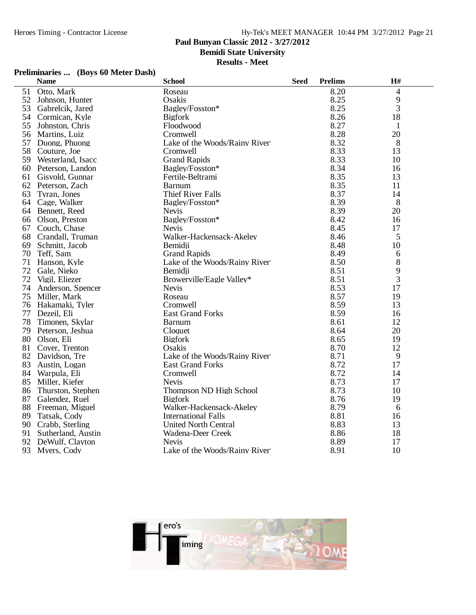## **Paul Bunyan Classic 2012 - 3/27/2012**

**Bemidi State University**

### **Results - Meet**

## **Preliminaries ... (Boys 60 Meter Dash)**

| 8.20<br>4<br>51<br>Otto, Mark<br>Roseau<br>Osakis<br>8.25<br>9<br>52<br>Johnson, Hunter<br>3<br>53<br>8.25<br>Bagley/Fosston*<br>Gabrelcik, Jared<br>54<br>8.26<br>18<br>Cormican, Kyle<br><b>Bigfork</b><br>8.27<br>55<br>Johnston, Chris<br>Floodwood<br>1<br>8.28<br>20<br>56<br>Cromwell<br>Martins, Luiz<br>57<br>8.32<br>8<br>Duong, Phuong<br>Lake of the Woods/Rainy River<br>58<br>8.33<br>13<br>Couture, Joe<br>Cromwell<br>59<br>8.33<br>Westerland, Isacc<br><b>Grand Rapids</b><br>10<br>8.34<br>Bagley/Fosston*<br>60<br>Peterson, Landon<br>16<br>8.35<br>13<br>61<br>Gisvold, Gunnar<br>Fertile-Beltrami<br>8.35<br>62<br>11<br>Peterson, Zach<br><b>Barnum</b><br>8.37<br>63<br><b>Thief River Falls</b><br>Tyran, Jones<br>14<br>8.39<br>8<br>64<br>Cage, Walker<br>Bagley/Fosston*<br>8.39<br><b>Nevis</b><br>20<br>64<br>Bennett, Reed<br>8.42<br>66<br>Olson, Preston<br>Bagley/Fosston*<br>16<br>8.45<br>67<br>Couch, Chase<br><b>Nevis</b><br>17<br>5<br>68<br>Crandall, Truman<br>Walker-Hackensack-Akeley<br>8.46<br>69<br>8.48<br>10<br>Schmitt, Jacob<br>Bemidji<br>70<br>Teff, Sam<br><b>Grand Rapids</b><br>8.49<br>6<br>8.50<br>8<br>71<br>Lake of the Woods/Rainy River<br>Hanson, Kyle<br>9<br>72<br>8.51<br>Gale, Nieko<br>Bemidji<br>3<br>72<br>Browerville/Eagle Valley*<br>8.51<br>Vigil, Eliezer<br>74<br>8.53<br>17<br>Anderson, Spencer<br><b>Nevis</b><br>8.57<br>75<br>Roseau<br>19<br>Miller, Mark<br>Cromwell<br>8.59<br>13<br>76<br>Hakamaki, Tyler<br>77<br>8.59<br>Dezeil, Eli<br><b>East Grand Forks</b><br>16<br>78<br>8.61<br>12<br>Timonen, Skylar<br><b>Barnum</b><br>79<br>8.64<br>20<br>Peterson, Jeshua<br>Cloquet<br>80<br><b>Bigfork</b><br>8.65<br>19<br>Olson, Eli<br>8.70<br>12<br>81<br>Cover, Trenton<br>Osakis<br>Lake of the Woods/Rainy River<br>8.71<br>82<br>9<br>Davidson, Tre<br>8.72<br>83<br>17<br><b>East Grand Forks</b><br>Austin, Logan<br>8.72<br>84<br>Cromwell<br>14<br>Warpula, Eli |    | <b>Name</b>    | <b>School</b> | <b>Seed</b> | <b>Prelims</b> | H# |
|-------------------------------------------------------------------------------------------------------------------------------------------------------------------------------------------------------------------------------------------------------------------------------------------------------------------------------------------------------------------------------------------------------------------------------------------------------------------------------------------------------------------------------------------------------------------------------------------------------------------------------------------------------------------------------------------------------------------------------------------------------------------------------------------------------------------------------------------------------------------------------------------------------------------------------------------------------------------------------------------------------------------------------------------------------------------------------------------------------------------------------------------------------------------------------------------------------------------------------------------------------------------------------------------------------------------------------------------------------------------------------------------------------------------------------------------------------------------------------------------------------------------------------------------------------------------------------------------------------------------------------------------------------------------------------------------------------------------------------------------------------------------------------------------------------------------------------------------------------------------------------------------------------------------------------------------------------------------|----|----------------|---------------|-------------|----------------|----|
|                                                                                                                                                                                                                                                                                                                                                                                                                                                                                                                                                                                                                                                                                                                                                                                                                                                                                                                                                                                                                                                                                                                                                                                                                                                                                                                                                                                                                                                                                                                                                                                                                                                                                                                                                                                                                                                                                                                                                                   |    |                |               |             |                |    |
|                                                                                                                                                                                                                                                                                                                                                                                                                                                                                                                                                                                                                                                                                                                                                                                                                                                                                                                                                                                                                                                                                                                                                                                                                                                                                                                                                                                                                                                                                                                                                                                                                                                                                                                                                                                                                                                                                                                                                                   |    |                |               |             |                |    |
|                                                                                                                                                                                                                                                                                                                                                                                                                                                                                                                                                                                                                                                                                                                                                                                                                                                                                                                                                                                                                                                                                                                                                                                                                                                                                                                                                                                                                                                                                                                                                                                                                                                                                                                                                                                                                                                                                                                                                                   |    |                |               |             |                |    |
|                                                                                                                                                                                                                                                                                                                                                                                                                                                                                                                                                                                                                                                                                                                                                                                                                                                                                                                                                                                                                                                                                                                                                                                                                                                                                                                                                                                                                                                                                                                                                                                                                                                                                                                                                                                                                                                                                                                                                                   |    |                |               |             |                |    |
|                                                                                                                                                                                                                                                                                                                                                                                                                                                                                                                                                                                                                                                                                                                                                                                                                                                                                                                                                                                                                                                                                                                                                                                                                                                                                                                                                                                                                                                                                                                                                                                                                                                                                                                                                                                                                                                                                                                                                                   |    |                |               |             |                |    |
|                                                                                                                                                                                                                                                                                                                                                                                                                                                                                                                                                                                                                                                                                                                                                                                                                                                                                                                                                                                                                                                                                                                                                                                                                                                                                                                                                                                                                                                                                                                                                                                                                                                                                                                                                                                                                                                                                                                                                                   |    |                |               |             |                |    |
|                                                                                                                                                                                                                                                                                                                                                                                                                                                                                                                                                                                                                                                                                                                                                                                                                                                                                                                                                                                                                                                                                                                                                                                                                                                                                                                                                                                                                                                                                                                                                                                                                                                                                                                                                                                                                                                                                                                                                                   |    |                |               |             |                |    |
|                                                                                                                                                                                                                                                                                                                                                                                                                                                                                                                                                                                                                                                                                                                                                                                                                                                                                                                                                                                                                                                                                                                                                                                                                                                                                                                                                                                                                                                                                                                                                                                                                                                                                                                                                                                                                                                                                                                                                                   |    |                |               |             |                |    |
|                                                                                                                                                                                                                                                                                                                                                                                                                                                                                                                                                                                                                                                                                                                                                                                                                                                                                                                                                                                                                                                                                                                                                                                                                                                                                                                                                                                                                                                                                                                                                                                                                                                                                                                                                                                                                                                                                                                                                                   |    |                |               |             |                |    |
|                                                                                                                                                                                                                                                                                                                                                                                                                                                                                                                                                                                                                                                                                                                                                                                                                                                                                                                                                                                                                                                                                                                                                                                                                                                                                                                                                                                                                                                                                                                                                                                                                                                                                                                                                                                                                                                                                                                                                                   |    |                |               |             |                |    |
|                                                                                                                                                                                                                                                                                                                                                                                                                                                                                                                                                                                                                                                                                                                                                                                                                                                                                                                                                                                                                                                                                                                                                                                                                                                                                                                                                                                                                                                                                                                                                                                                                                                                                                                                                                                                                                                                                                                                                                   |    |                |               |             |                |    |
|                                                                                                                                                                                                                                                                                                                                                                                                                                                                                                                                                                                                                                                                                                                                                                                                                                                                                                                                                                                                                                                                                                                                                                                                                                                                                                                                                                                                                                                                                                                                                                                                                                                                                                                                                                                                                                                                                                                                                                   |    |                |               |             |                |    |
|                                                                                                                                                                                                                                                                                                                                                                                                                                                                                                                                                                                                                                                                                                                                                                                                                                                                                                                                                                                                                                                                                                                                                                                                                                                                                                                                                                                                                                                                                                                                                                                                                                                                                                                                                                                                                                                                                                                                                                   |    |                |               |             |                |    |
|                                                                                                                                                                                                                                                                                                                                                                                                                                                                                                                                                                                                                                                                                                                                                                                                                                                                                                                                                                                                                                                                                                                                                                                                                                                                                                                                                                                                                                                                                                                                                                                                                                                                                                                                                                                                                                                                                                                                                                   |    |                |               |             |                |    |
|                                                                                                                                                                                                                                                                                                                                                                                                                                                                                                                                                                                                                                                                                                                                                                                                                                                                                                                                                                                                                                                                                                                                                                                                                                                                                                                                                                                                                                                                                                                                                                                                                                                                                                                                                                                                                                                                                                                                                                   |    |                |               |             |                |    |
|                                                                                                                                                                                                                                                                                                                                                                                                                                                                                                                                                                                                                                                                                                                                                                                                                                                                                                                                                                                                                                                                                                                                                                                                                                                                                                                                                                                                                                                                                                                                                                                                                                                                                                                                                                                                                                                                                                                                                                   |    |                |               |             |                |    |
|                                                                                                                                                                                                                                                                                                                                                                                                                                                                                                                                                                                                                                                                                                                                                                                                                                                                                                                                                                                                                                                                                                                                                                                                                                                                                                                                                                                                                                                                                                                                                                                                                                                                                                                                                                                                                                                                                                                                                                   |    |                |               |             |                |    |
|                                                                                                                                                                                                                                                                                                                                                                                                                                                                                                                                                                                                                                                                                                                                                                                                                                                                                                                                                                                                                                                                                                                                                                                                                                                                                                                                                                                                                                                                                                                                                                                                                                                                                                                                                                                                                                                                                                                                                                   |    |                |               |             |                |    |
|                                                                                                                                                                                                                                                                                                                                                                                                                                                                                                                                                                                                                                                                                                                                                                                                                                                                                                                                                                                                                                                                                                                                                                                                                                                                                                                                                                                                                                                                                                                                                                                                                                                                                                                                                                                                                                                                                                                                                                   |    |                |               |             |                |    |
|                                                                                                                                                                                                                                                                                                                                                                                                                                                                                                                                                                                                                                                                                                                                                                                                                                                                                                                                                                                                                                                                                                                                                                                                                                                                                                                                                                                                                                                                                                                                                                                                                                                                                                                                                                                                                                                                                                                                                                   |    |                |               |             |                |    |
|                                                                                                                                                                                                                                                                                                                                                                                                                                                                                                                                                                                                                                                                                                                                                                                                                                                                                                                                                                                                                                                                                                                                                                                                                                                                                                                                                                                                                                                                                                                                                                                                                                                                                                                                                                                                                                                                                                                                                                   |    |                |               |             |                |    |
|                                                                                                                                                                                                                                                                                                                                                                                                                                                                                                                                                                                                                                                                                                                                                                                                                                                                                                                                                                                                                                                                                                                                                                                                                                                                                                                                                                                                                                                                                                                                                                                                                                                                                                                                                                                                                                                                                                                                                                   |    |                |               |             |                |    |
|                                                                                                                                                                                                                                                                                                                                                                                                                                                                                                                                                                                                                                                                                                                                                                                                                                                                                                                                                                                                                                                                                                                                                                                                                                                                                                                                                                                                                                                                                                                                                                                                                                                                                                                                                                                                                                                                                                                                                                   |    |                |               |             |                |    |
|                                                                                                                                                                                                                                                                                                                                                                                                                                                                                                                                                                                                                                                                                                                                                                                                                                                                                                                                                                                                                                                                                                                                                                                                                                                                                                                                                                                                                                                                                                                                                                                                                                                                                                                                                                                                                                                                                                                                                                   |    |                |               |             |                |    |
|                                                                                                                                                                                                                                                                                                                                                                                                                                                                                                                                                                                                                                                                                                                                                                                                                                                                                                                                                                                                                                                                                                                                                                                                                                                                                                                                                                                                                                                                                                                                                                                                                                                                                                                                                                                                                                                                                                                                                                   |    |                |               |             |                |    |
|                                                                                                                                                                                                                                                                                                                                                                                                                                                                                                                                                                                                                                                                                                                                                                                                                                                                                                                                                                                                                                                                                                                                                                                                                                                                                                                                                                                                                                                                                                                                                                                                                                                                                                                                                                                                                                                                                                                                                                   |    |                |               |             |                |    |
|                                                                                                                                                                                                                                                                                                                                                                                                                                                                                                                                                                                                                                                                                                                                                                                                                                                                                                                                                                                                                                                                                                                                                                                                                                                                                                                                                                                                                                                                                                                                                                                                                                                                                                                                                                                                                                                                                                                                                                   |    |                |               |             |                |    |
|                                                                                                                                                                                                                                                                                                                                                                                                                                                                                                                                                                                                                                                                                                                                                                                                                                                                                                                                                                                                                                                                                                                                                                                                                                                                                                                                                                                                                                                                                                                                                                                                                                                                                                                                                                                                                                                                                                                                                                   |    |                |               |             |                |    |
|                                                                                                                                                                                                                                                                                                                                                                                                                                                                                                                                                                                                                                                                                                                                                                                                                                                                                                                                                                                                                                                                                                                                                                                                                                                                                                                                                                                                                                                                                                                                                                                                                                                                                                                                                                                                                                                                                                                                                                   |    |                |               |             |                |    |
|                                                                                                                                                                                                                                                                                                                                                                                                                                                                                                                                                                                                                                                                                                                                                                                                                                                                                                                                                                                                                                                                                                                                                                                                                                                                                                                                                                                                                                                                                                                                                                                                                                                                                                                                                                                                                                                                                                                                                                   |    |                |               |             |                |    |
|                                                                                                                                                                                                                                                                                                                                                                                                                                                                                                                                                                                                                                                                                                                                                                                                                                                                                                                                                                                                                                                                                                                                                                                                                                                                                                                                                                                                                                                                                                                                                                                                                                                                                                                                                                                                                                                                                                                                                                   |    |                |               |             |                |    |
|                                                                                                                                                                                                                                                                                                                                                                                                                                                                                                                                                                                                                                                                                                                                                                                                                                                                                                                                                                                                                                                                                                                                                                                                                                                                                                                                                                                                                                                                                                                                                                                                                                                                                                                                                                                                                                                                                                                                                                   |    |                |               |             |                |    |
|                                                                                                                                                                                                                                                                                                                                                                                                                                                                                                                                                                                                                                                                                                                                                                                                                                                                                                                                                                                                                                                                                                                                                                                                                                                                                                                                                                                                                                                                                                                                                                                                                                                                                                                                                                                                                                                                                                                                                                   |    |                |               |             |                |    |
|                                                                                                                                                                                                                                                                                                                                                                                                                                                                                                                                                                                                                                                                                                                                                                                                                                                                                                                                                                                                                                                                                                                                                                                                                                                                                                                                                                                                                                                                                                                                                                                                                                                                                                                                                                                                                                                                                                                                                                   |    |                |               |             |                |    |
|                                                                                                                                                                                                                                                                                                                                                                                                                                                                                                                                                                                                                                                                                                                                                                                                                                                                                                                                                                                                                                                                                                                                                                                                                                                                                                                                                                                                                                                                                                                                                                                                                                                                                                                                                                                                                                                                                                                                                                   | 85 | Miller, Kiefer | <b>Nevis</b>  |             | 8.73           | 17 |
| 8.73<br>86<br>Thompson ND High School<br>10<br>Thurston, Stephen                                                                                                                                                                                                                                                                                                                                                                                                                                                                                                                                                                                                                                                                                                                                                                                                                                                                                                                                                                                                                                                                                                                                                                                                                                                                                                                                                                                                                                                                                                                                                                                                                                                                                                                                                                                                                                                                                                  |    |                |               |             |                |    |
| 87<br>8.76<br>Galendez, Ruel<br><b>Bigfork</b><br>19                                                                                                                                                                                                                                                                                                                                                                                                                                                                                                                                                                                                                                                                                                                                                                                                                                                                                                                                                                                                                                                                                                                                                                                                                                                                                                                                                                                                                                                                                                                                                                                                                                                                                                                                                                                                                                                                                                              |    |                |               |             |                |    |
| 88<br>8.79<br>Freeman, Miguel<br>Walker-Hackensack-Akeley<br>6                                                                                                                                                                                                                                                                                                                                                                                                                                                                                                                                                                                                                                                                                                                                                                                                                                                                                                                                                                                                                                                                                                                                                                                                                                                                                                                                                                                                                                                                                                                                                                                                                                                                                                                                                                                                                                                                                                    |    |                |               |             |                |    |
| 8.81<br>89<br>Tatsak, Cody<br><b>International Falls</b><br>16                                                                                                                                                                                                                                                                                                                                                                                                                                                                                                                                                                                                                                                                                                                                                                                                                                                                                                                                                                                                                                                                                                                                                                                                                                                                                                                                                                                                                                                                                                                                                                                                                                                                                                                                                                                                                                                                                                    |    |                |               |             |                |    |
| 90<br>8.83<br>Crabb, Sterling<br><b>United North Central</b><br>13                                                                                                                                                                                                                                                                                                                                                                                                                                                                                                                                                                                                                                                                                                                                                                                                                                                                                                                                                                                                                                                                                                                                                                                                                                                                                                                                                                                                                                                                                                                                                                                                                                                                                                                                                                                                                                                                                                |    |                |               |             |                |    |
| 8.86<br>91<br>Sutherland, Austin<br>18<br>Wadena-Deer Creek                                                                                                                                                                                                                                                                                                                                                                                                                                                                                                                                                                                                                                                                                                                                                                                                                                                                                                                                                                                                                                                                                                                                                                                                                                                                                                                                                                                                                                                                                                                                                                                                                                                                                                                                                                                                                                                                                                       |    |                |               |             |                |    |
| 8.89<br>17<br>92<br><b>Nevis</b><br>DeWulf, Clayton                                                                                                                                                                                                                                                                                                                                                                                                                                                                                                                                                                                                                                                                                                                                                                                                                                                                                                                                                                                                                                                                                                                                                                                                                                                                                                                                                                                                                                                                                                                                                                                                                                                                                                                                                                                                                                                                                                               |    |                |               |             |                |    |
| 8.91<br>10<br>93<br>Lake of the Woods/Rainy River<br>Myers, Cody                                                                                                                                                                                                                                                                                                                                                                                                                                                                                                                                                                                                                                                                                                                                                                                                                                                                                                                                                                                                                                                                                                                                                                                                                                                                                                                                                                                                                                                                                                                                                                                                                                                                                                                                                                                                                                                                                                  |    |                |               |             |                |    |

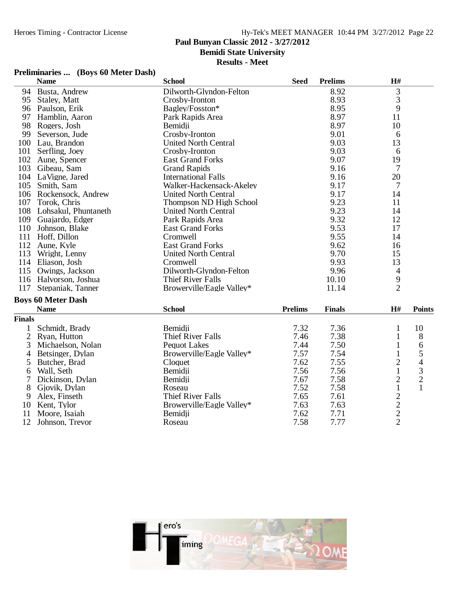## **Paul Bunyan Classic 2012 - 3/27/2012**

**Bemidi State University**

### **Results - Meet**

## **Preliminaries ... (Boys 60 Meter Dash)**

|                | <b>Name</b>               | <b>School</b>               | <b>Seed</b>    | <b>Prelims</b> | H#                                         |                                            |
|----------------|---------------------------|-----------------------------|----------------|----------------|--------------------------------------------|--------------------------------------------|
| 94             | Busta, Andrew             | Dilworth-Glyndon-Felton     |                | 8.92           | $\mathfrak{Z}$                             |                                            |
| 95             | Staley, Matt              | Crosby-Ironton              |                | 8.93           | 3                                          |                                            |
|                | 96 Paulson, Erik          | Bagley/Fosston*             |                | 8.95           | 9                                          |                                            |
| 97             | Hamblin, Aaron            | Park Rapids Area            |                | 8.97           | 11                                         |                                            |
| 98             | Rogers, Josh              | Bemidji                     |                | 8.97           | 10                                         |                                            |
| 99             | Severson, Jude            | Crosby-Ironton              |                | 9.01           | 6                                          |                                            |
|                | 100 Lau, Brandon          | <b>United North Central</b> |                | 9.03           | 13                                         |                                            |
| 101            | Serfling, Joey            | Crosby-Ironton              |                | 9.03           | 6                                          |                                            |
|                | 102 Aune, Spencer         | <b>East Grand Forks</b>     |                | 9.07           | 19                                         |                                            |
| 103            | Gibeau, Sam               | <b>Grand Rapids</b>         |                | 9.16           | $\tau$                                     |                                            |
|                | 104 LaVigne, Jared        | <b>International Falls</b>  |                | 9.16           | 20                                         |                                            |
| 105            | Smith, Sam                | Walker-Hackensack-Akeley    |                | 9.17           | 7                                          |                                            |
|                | 106 Rockensock, Andrew    | <b>United North Central</b> |                | 9.17           | 14                                         |                                            |
| 107            | Torok, Chris              | Thompson ND High School     |                | 9.23           | 11                                         |                                            |
|                | 108 Lohsakul, Phuntaneth  | <b>United North Central</b> |                | 9.23           | 14                                         |                                            |
| 109            | Guajardo, Edger           | Park Rapids Area            |                | 9.32           | 12                                         |                                            |
|                | 110 Johnson, Blake        | <b>East Grand Forks</b>     |                | 9.53           | 17                                         |                                            |
| 111            | Hoff, Dillon              | Cromwell                    |                | 9.55           | 14                                         |                                            |
|                | 112 Aune, Kyle            | <b>East Grand Forks</b>     |                | 9.62           | 16                                         |                                            |
| 113            | Wright, Lenny             | <b>United North Central</b> |                | 9.70           | 15                                         |                                            |
|                | 114 Eliason, Josh         | Cromwell                    |                | 9.93           | 13                                         |                                            |
| 115            | Owings, Jackson           | Dilworth-Glyndon-Felton     |                | 9.96           | $\overline{\mathcal{A}}$                   |                                            |
|                | 116 Halvorson, Joshua     | <b>Thief River Falls</b>    |                | 10.10          | 9                                          |                                            |
| 117            | Stepaniak, Tanner         | Browerville/Eagle Valley*   |                | 11.14          | $\overline{2}$                             |                                            |
|                | <b>Boys 60 Meter Dash</b> |                             |                |                |                                            |                                            |
|                | <b>Name</b>               | <b>School</b>               | <b>Prelims</b> | <b>Finals</b>  | H#                                         | <b>Points</b>                              |
| <b>Finals</b>  |                           |                             |                |                |                                            |                                            |
| 1              | Schmidt, Brady            | Bemidii                     | 7.32           | 7.36           | 1                                          | 10                                         |
| $\overline{2}$ | Ryan, Hutton              | <b>Thief River Falls</b>    | 7.46           | 7.38           | $\mathbf{1}$                               | 8                                          |
| 3              | Michaelson, Nolan         | <b>Pequot Lakes</b>         | 7.44           | 7.50           | $\mathbf{1}$                               | 6                                          |
| 4              | Betsinger, Dylan          | Browerville/Eagle Valley*   | 7.57           | 7.54           | $\mathbf{1}$                               | 5                                          |
| 5              | Butcher, Brad             | Cloquet                     | 7.62           | 7.55           | $\overline{c}$                             | 4                                          |
| 6              | Wall, Seth                | Bemidii                     | 7.56           | 7.56           | $\mathbf{1}$                               |                                            |
| 7              | Dickinson, Dylan          | Bemidii                     | 7.67           | 7.58           | $\overline{c}$                             |                                            |
| 8              | Gjovik, Dylan             | Roseau                      | 7.52           | 7.58           | $\mathbf{1}$                               | $\begin{array}{c} 3 \\ 2 \\ 1 \end{array}$ |
| 9              | Alex, Finseth             | <b>Thief River Falls</b>    | 7.65           | 7.61           |                                            |                                            |
| 10             | Kent, Tylor               | Browerville/Eagle Valley*   | 7.63           | 7.63           |                                            |                                            |
| 11             | Moore, Isaiah             | Bemidji                     | 7.62           | 7.71           |                                            |                                            |
| 12             | Johnson, Trevor           | Roseau                      | 7.58           | 7.77           | $\begin{array}{c} 2 \\ 2 \\ 2 \end{array}$ |                                            |
|                |                           |                             |                |                |                                            |                                            |

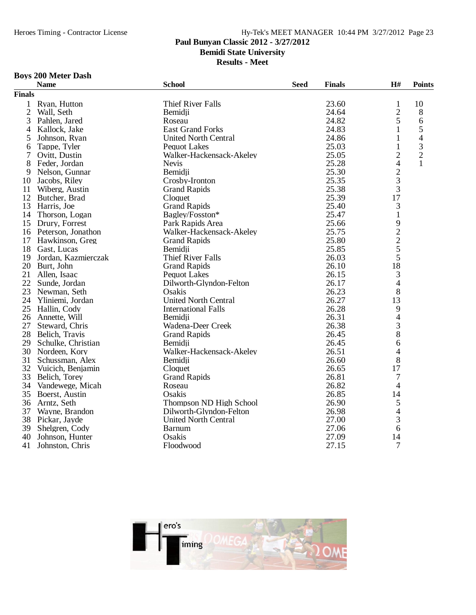## **Paul Bunyan Classic 2012 - 3/27/2012**

**Bemidi State University**

**Results - Meet**

## **Boys 200 Meter Dash**

|               | <b>Name</b>           | <b>School</b>               | <b>Seed</b> | <b>Finals</b> | H#                             | <b>Points</b>  |
|---------------|-----------------------|-----------------------------|-------------|---------------|--------------------------------|----------------|
| <b>Finals</b> |                       |                             |             |               |                                |                |
| $\mathbf{1}$  | Ryan, Hutton          | <b>Thief River Falls</b>    |             | 23.60         | $\mathbf{1}$                   | 10             |
| $\mathbf{2}$  | Wall, Seth            | Bemidji                     |             | 24.64         |                                | 8              |
| 3             | Pahlen, Jared         | Roseau                      |             | 24.82         | $rac{2}{5}$                    | $\sqrt{6}$     |
| 4             | Kallock, Jake         | <b>East Grand Forks</b>     |             | 24.83         | 1                              | 5              |
| 5             | Johnson, Ryan         | <b>United North Central</b> |             | 24.86         | 1                              | $\overline{4}$ |
| 6             | Tappe, Tyler          | <b>Pequot Lakes</b>         |             | 25.03         | $\mathbf{1}$                   | 3              |
| 7             | Ovitt, Dustin         | Walker-Hackensack-Akeley    |             | 25.05         | $\overline{c}$                 | $\sqrt{2}$     |
| 8             | Feder, Jordan         | <b>Nevis</b>                |             | 25.28         | 4                              | 1              |
| 9             | Nelson, Gunnar        | Bemidii                     |             | 25.30         |                                |                |
| 10            | Jacobs, Riley         | Crosby-Ironton              |             | 25.35         | $rac{2}{3}$                    |                |
| 11            | Wiberg, Austin        | <b>Grand Rapids</b>         |             | 25.38         | 3                              |                |
|               | 12 Butcher, Brad      | Cloquet                     |             | 25.39         | 17                             |                |
| 13            | Harris, Joe           | <b>Grand Rapids</b>         |             | 25.40         | 3                              |                |
| 14            | Thorson, Logan        | Bagley/Fosston*             |             | 25.47         | $\mathbf 1$                    |                |
| 15            | Drury, Forrest        | Park Rapids Area            |             | 25.66         |                                |                |
|               | 16 Peterson, Jonathon | Walker-Hackensack-Akeley    |             | 25.75         |                                |                |
| 17            | Hawkinson, Greg       | <b>Grand Rapids</b>         |             | 25.80         |                                |                |
| 18            | Gast, Lucas           | Bemidji                     |             | 25.85         | $\frac{9}{2}$<br>$\frac{2}{5}$ |                |
| 19            | Jordan, Kazmierczak   | <b>Thief River Falls</b>    |             | 26.03         | 5                              |                |
| 20            | Burt, John            | <b>Grand Rapids</b>         |             | 26.10         | 18                             |                |
| 21            | Allen, Isaac          | <b>Pequot Lakes</b>         |             | 26.15         | 3                              |                |
| 22            | Sunde, Jordan         | Dilworth-Glyndon-Felton     |             | 26.17         | 4                              |                |
| 23            | Newman, Seth          | Osakis                      |             | 26.23         | 8                              |                |
| 24            | Yliniemi, Jordan      | <b>United North Central</b> |             | 26.27         | 13                             |                |
| 25            | Hallin, Cody          | <b>International Falls</b>  |             | 26.28         | 9                              |                |
| 26            | Annette, Will         | Bemidji                     |             | 26.31         | 4                              |                |
| 27            | Steward, Chris        | Wadena-Deer Creek           |             | 26.38         | 3                              |                |
| 28            | Belich, Travis        | <b>Grand Rapids</b>         |             | 26.45         | 8                              |                |
| 29            | Schulke, Christian    | Bemidii                     |             | 26.45         | 6                              |                |
| 30            | Nordeen, Kory         | Walker-Hackensack-Akeley    |             | 26.51         | 4                              |                |
| 31            | Schussman, Alex       | Bemidji                     |             | 26.60         | 8                              |                |
| 32            | Vuicich, Benjamin     | Cloquet                     |             | 26.65         | 17                             |                |
| 33            | Belich, Torey         | <b>Grand Rapids</b>         |             | 26.81         | 7                              |                |
| 34            | Vandewege, Micah      | Roseau                      |             | 26.82         | 4                              |                |
| 35            | Boerst, Austin        | Osakis                      |             | 26.85         | 14                             |                |
| 36            | Arntz, Seth           | Thompson ND High School     |             | 26.90         | 5                              |                |
| 37            | Wayne, Brandon        | Dilworth-Glyndon-Felton     |             | 26.98         | 4                              |                |
|               | 38 Pickar, Jayde      | <b>United North Central</b> |             | 27.00         | 3                              |                |
| 39            | Shelgren, Cody        | <b>Barnum</b>               |             | 27.06         | 6                              |                |
| 40            | Johnson, Hunter       | Osakis                      |             | 27.09         | 14                             |                |
| 41            | Johnston, Chris       | Floodwood                   |             | 27.15         | 7                              |                |
|               |                       |                             |             |               |                                |                |

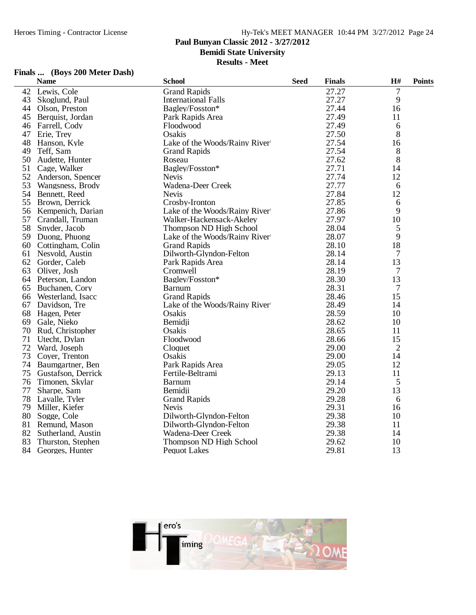## **Paul Bunyan Classic 2012 - 3/27/2012**

**Bemidi State University**

**Results - Meet**

### **Finals ... (Boys 200 Meter Dash)**

|    | <b>Name</b>         | <b>School</b>                 | <b>Seed</b> | <b>Finals</b> | H#             | <b>Points</b> |
|----|---------------------|-------------------------------|-------------|---------------|----------------|---------------|
| 42 | Lewis, Cole         | <b>Grand Rapids</b>           |             | 27.27         | 7              |               |
| 43 | Skoglund, Paul      | <b>International Falls</b>    |             | 27.27         | 9              |               |
| 44 | Olson, Preston      | Bagley/Fosston*               |             | 27.44         | 16             |               |
| 45 | Berquist, Jordan    | Park Rapids Area              |             | 27.49         | 11             |               |
| 46 | Farrell, Cody       | Floodwood                     |             | 27.49         | 6              |               |
| 47 | Erie, Trey          | Osakis                        |             | 27.50         | 8              |               |
| 48 | Hanson, Kyle        | Lake of the Woods/Rainy River |             | 27.54         | 16             |               |
| 49 | Teff, Sam           | <b>Grand Rapids</b>           |             | 27.54         | 8              |               |
| 50 | Audette, Hunter     | Roseau                        |             | 27.62         | 8              |               |
| 51 | Cage, Walker        | Bagley/Fosston*               |             | 27.71         | 14             |               |
| 52 | Anderson, Spencer   | <b>Nevis</b>                  |             | 27.74         | 12             |               |
| 53 | Wangsness, Brody    | Wadena-Deer Creek             |             | 27.77         | 6              |               |
| 54 | Bennett, Reed       | <b>Nevis</b>                  |             | 27.84         | 12             |               |
| 55 | Brown, Derrick      | Crosby-Ironton                |             | 27.85         | 6              |               |
| 56 | Kempenich, Darian   | Lake of the Woods/Rainy River |             | 27.86         | 9              |               |
| 57 | Crandall, Truman    | Walker-Hackensack-Akeley      |             | 27.97         | 10             |               |
| 58 | Snyder, Jacob       | Thompson ND High School       |             | 28.04         | 5              |               |
| 59 | Duong, Phuong       | Lake of the Woods/Rainy River |             | 28.07         | 9              |               |
| 60 | Cottingham, Colin   | <b>Grand Rapids</b>           |             | 28.10         | 18             |               |
| 61 | Nesvold, Austin     | Dilworth-Glyndon-Felton       |             | 28.14         | 7              |               |
| 62 | Gorder, Caleb       | Park Rapids Area              |             | 28.14         | 13             |               |
| 63 | Oliver, Josh        | Cromwell                      |             | 28.19         | 7              |               |
|    | 64 Peterson, Landon | Bagley/Fosston*               |             | 28.30         | 13             |               |
| 65 | Buchanen, Cory      | <b>Barnum</b>                 |             | 28.31         | 7              |               |
| 66 | Westerland, Isacc   | <b>Grand Rapids</b>           |             | 28.46         | 15             |               |
| 67 | Davidson, Tre       | Lake of the Woods/Rainy River |             | 28.49         | 14             |               |
| 68 | Hagen, Peter        | Osakis                        |             | 28.59         | 10             |               |
| 69 | Gale, Nieko         | Bemidii                       |             | 28.62         | 10             |               |
| 70 | Rud, Christopher    | Osakis                        |             | 28.65         | 11             |               |
| 71 | Utecht, Dylan       | Floodwood                     |             | 28.66         | 15             |               |
| 72 | Ward, Joseph        | Cloquet                       |             | 29.00         | $\overline{2}$ |               |
| 73 | Cover, Trenton      | Osakis                        |             | 29.00         | 14             |               |
| 74 | Baumgartner, Ben    | Park Rapids Area              |             | 29.05         | 12             |               |
| 75 | Gustafson, Derrick  | Fertile-Beltrami              |             | 29.13         | 11             |               |
| 76 | Timonen, Skylar     | <b>Barnum</b>                 |             | 29.14         | 5              |               |
| 77 | Sharpe, Sam         | Bemidii                       |             | 29.20         | 13             |               |
| 78 | Lavalle, Tyler      | <b>Grand Rapids</b>           |             | 29.28         | 6              |               |
| 79 | Miller, Kiefer      | <b>Nevis</b>                  |             | 29.31         | 16             |               |
| 80 | Sogge, Cole         | Dilworth-Glyndon-Felton       |             | 29.38         | 10             |               |
| 81 | Remund, Mason       | Dilworth-Glyndon-Felton       |             | 29.38         | 11             |               |
| 82 | Sutherland, Austin  | Wadena-Deer Creek             |             | 29.38         | 14             |               |
| 83 | Thurston, Stephen   | Thompson ND High School       |             | 29.62         | 10             |               |
| 84 | Georges, Hunter     | <b>Pequot Lakes</b>           |             | 29.81         | 13             |               |

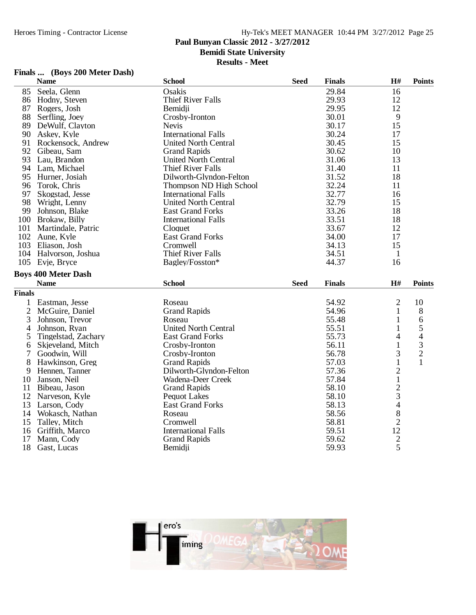### **Paul Bunyan Classic 2012 - 3/27/2012**

**Bemidi State University**

**Results - Meet**

### **Finals ... (Boys 200 Meter Dash)**

|                | <b>Name</b>                | <b>School</b>               | <b>Seed</b> | <b>Finals</b> | H#                                               | <b>Points</b>  |
|----------------|----------------------------|-----------------------------|-------------|---------------|--------------------------------------------------|----------------|
| 85             | Seela, Glenn               | Osakis                      |             | 29.84         | 16                                               |                |
| 86             | Hodny, Steven              | <b>Thief River Falls</b>    |             | 29.93         | 12                                               |                |
| 87             | Rogers, Josh               | Bemidji                     |             | 29.95         | 12                                               |                |
| 88             | Serfling, Joey             | Crosby-Ironton              |             | 30.01         | 9                                                |                |
| 89             | DeWulf, Clayton            | <b>Nevis</b>                |             | 30.17         | 15                                               |                |
| 90             | Askey, Kyle                | <b>International Falls</b>  |             | 30.24         | 17                                               |                |
| 91             | Rockensock, Andrew         | <b>United North Central</b> |             | 30.45         | 15                                               |                |
| 92             | Gibeau, Sam                | <b>Grand Rapids</b>         |             | 30.62         | 10                                               |                |
| 93             | Lau, Brandon               | <b>United North Central</b> |             | 31.06         | 13                                               |                |
|                | 94 Lam, Michael            | <b>Thief River Falls</b>    |             | 31.40         | 11                                               |                |
| 95             | Hurner, Josiah             | Dilworth-Glyndon-Felton     |             | 31.52         | 18                                               |                |
| 96             | Torok, Chris               | Thompson ND High School     |             | 32.24         | 11                                               |                |
| 97             | Skogstad, Jesse            | <b>International Falls</b>  |             | 32.77         | 16                                               |                |
| 98             | Wright, Lenny              | <b>United North Central</b> |             | 32.79         | 15                                               |                |
| 99             | Johnson, Blake             | <b>East Grand Forks</b>     |             | 33.26         | 18                                               |                |
| 100            | Brokaw, Billy              | <b>International Falls</b>  |             | 33.51         | 18                                               |                |
| 101            | Martindale, Patric         | Cloquet                     |             | 33.67         | 12                                               |                |
|                | 102 Aune, Kyle             | <b>East Grand Forks</b>     |             | 34.00         | 17                                               |                |
|                | 103 Eliason, Josh          | Cromwell                    |             | 34.13         | 15                                               |                |
|                | 104 Halvorson, Joshua      | <b>Thief River Falls</b>    |             | 34.51         | $\mathbf{1}$                                     |                |
|                | 105 Evje, Bryce            | Bagley/Fosston*             |             | 44.37         | 16                                               |                |
|                | <b>Boys 400 Meter Dash</b> |                             |             |               |                                                  |                |
|                | <b>Name</b>                | <b>School</b>               | <b>Seed</b> | <b>Finals</b> | H#                                               | <b>Points</b>  |
| <b>Finals</b>  |                            |                             |             |               |                                                  |                |
| 1              | Eastman, Jesse             | Roseau                      |             | 54.92         | $\overline{2}$                                   | 10             |
| $\overline{2}$ | McGuire, Daniel            | <b>Grand Rapids</b>         |             | 54.96         | $\mathbf{1}$                                     | 8              |
| 3              | Johnson, Trevor            | Roseau                      |             | 55.48         | 1                                                | 6              |
| 4              | Johnson, Ryan              | <b>United North Central</b> |             | 55.51         | 1                                                | 5              |
| 5              | Tingelstad, Zachary        | <b>East Grand Forks</b>     |             | 55.73         | 4                                                | 4              |
| 6              | Skjeveland, Mitch          | Crosby-Ironton              |             | 56.11         | $\mathbf{1}$                                     | 3              |
| 7              | Goodwin, Will              | Crosby-Ironton              |             | 56.78         | 3                                                | $\overline{c}$ |
| 8              | Hawkinson, Greg            | <b>Grand Rapids</b>         |             | 57.03         | $\mathbf{1}$                                     | $\mathbf{1}$   |
| 9              | Hennen, Tanner             | Dilworth-Glyndon-Felton     |             | 57.36         | $\overline{c}$                                   |                |
| 10             | Janson, Neil               | Wadena-Deer Creek           |             | 57.84         | $\mathbf{1}$                                     |                |
| 11             | Bibeau, Jason              | <b>Grand Rapids</b>         |             | 58.10         |                                                  |                |
| 12             | Narveson, Kyle             | <b>Pequot Lakes</b>         |             | 58.10         | $\frac{2}{3}$                                    |                |
| 13             | Larson, Cody               | <b>East Grand Forks</b>     |             | 58.13         | $\overline{4}$                                   |                |
| 14             | Wokasch, Nathan            | Roseau                      |             | 58.56         | 8                                                |                |
| 15             | Talley, Mitch              | Cromwell                    |             | 58.81         |                                                  |                |
| 16             | Griffith, Marco            | <b>International Falls</b>  |             | 59.51         |                                                  |                |
| 17             | Mann, Cody                 | <b>Grand Rapids</b>         |             | 59.62         | $\begin{array}{c} 2 \\ 12 \\ 2 \\ 5 \end{array}$ |                |
| 18             | Gast, Lucas                | Bemidji                     |             | 59.93         |                                                  |                |

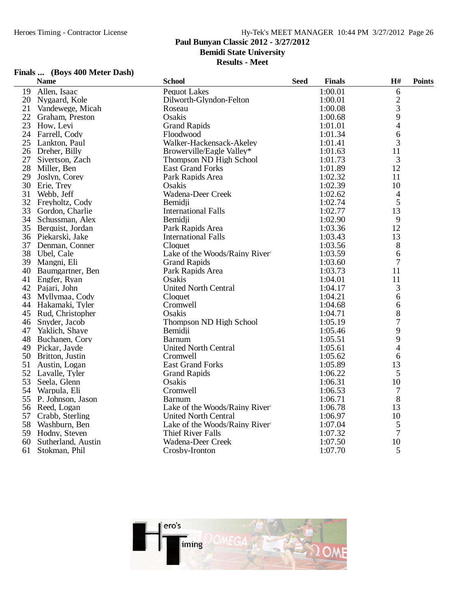### **Paul Bunyan Classic 2012 - 3/27/2012**

**Bemidi State University**

**Results - Meet**

### **Finals ... (Boys 400 Meter Dash)**

|    | <b>Name</b>        | <b>School</b>                 | <b>Seed</b> | <b>Finals</b> | H#             | <b>Points</b> |
|----|--------------------|-------------------------------|-------------|---------------|----------------|---------------|
| 19 | Allen, Isaac       | <b>Pequot Lakes</b>           |             | 1:00.01       | 6              |               |
| 20 | Nygaard, Kole      | Dilworth-Glyndon-Felton       |             | 1:00.01       | $\frac{2}{3}$  |               |
| 21 | Vandewege, Micah   | Roseau                        |             | 1:00.08       |                |               |
| 22 | Graham, Preston    | Osakis                        |             | 1:00.68       | 9              |               |
| 23 | How, Levi          | <b>Grand Rapids</b>           |             | 1:01.01       | 4              |               |
| 24 | Farrell, Cody      | Floodwood                     |             | 1:01.34       | 6              |               |
| 25 | Lankton, Paul      | Walker-Hackensack-Akeley      |             | 1:01.41       | 3              |               |
|    | 26 Dreher, Billy   | Browerville/Eagle Valley*     |             | 1:01.63       | 11             |               |
| 27 | Sivertson, Zach    | Thompson ND High School       |             | 1:01.73       | 3              |               |
| 28 | Miller, Ben        | <b>East Grand Forks</b>       |             | 1:01.89       | 12             |               |
| 29 | Joslyn, Corey      | Park Rapids Area              |             | 1:02.32       | 11             |               |
| 30 | Erie, Trey         | Osakis                        |             | 1:02.39       | 10             |               |
| 31 | Webb, Jeff         | Wadena-Deer Creek             |             | 1:02.62       | $\overline{4}$ |               |
| 32 | Freyholtz, Cody    | Bemidji                       |             | 1:02.74       | 5              |               |
| 33 | Gordon, Charlie    | <b>International Falls</b>    |             | 1:02.77       | 13             |               |
| 34 | Schussman, Alex    | Bemidji                       |             | 1:02.90       | 9              |               |
| 35 | Berquist, Jordan   | Park Rapids Area              |             | 1:03.36       | 12             |               |
|    | 36 Piekarski, Jake | <b>International Falls</b>    |             | 1:03.43       | 13             |               |
| 37 | Denman, Conner     | Cloquet                       |             | 1:03.56       | 8              |               |
| 38 | Ubel, Cale         | Lake of the Woods/Rainy River |             | 1:03.59       | 6              |               |
| 39 | Mangni, Eli        | <b>Grand Rapids</b>           |             | 1:03.60       | 7              |               |
| 40 | Baumgartner, Ben   | Park Rapids Area              |             | 1:03.73       | 11             |               |
| 41 | Engfer, Ryan       | Osakis                        |             | 1:04.01       | 11             |               |
| 42 | Pajari, John       | <b>United North Central</b>   |             | 1:04.17       | 3              |               |
| 43 | Myllymaa, Cody     | Cloquet                       |             | 1:04.21       | 6              |               |
| 44 | Hakamaki, Tyler    | Cromwell                      |             | 1:04.68       | 6              |               |
| 45 | Rud, Christopher   | Osakis                        |             | 1:04.71       | 8              |               |
| 46 | Snyder, Jacob      | Thompson ND High School       |             | 1:05.19       | 7              |               |
| 47 | Yaklich, Shaye     | Bemidji                       |             | 1:05.46       | 9              |               |
| 48 | Buchanen, Cory     | <b>Barnum</b>                 |             | 1:05.51       | 9              |               |
|    | 49 Pickar, Jayde   | <b>United North Central</b>   |             | 1:05.61       | 4              |               |
| 50 | Britton, Justin    | Cromwell                      |             | 1:05.62       | 6              |               |
| 51 | Austin, Logan      | <b>East Grand Forks</b>       |             | 1:05.89       | 13             |               |
| 52 | Lavalle, Tyler     | <b>Grand Rapids</b>           |             | 1:06.22       | 5              |               |
| 53 | Seela, Glenn       | Osakis                        |             | 1:06.31       | 10             |               |
| 54 | Warpula, Eli       | Cromwell                      |             | 1:06.53       | $\tau$         |               |
| 55 | P. Johnson, Jason  | <b>Barnum</b>                 |             | 1:06.71       | 8              |               |
| 56 | Reed, Logan        | Lake of the Woods/Rainy River |             | 1:06.78       | 13             |               |
| 57 | Crabb, Sterling    | <b>United North Central</b>   |             | 1:06.97       | 10             |               |
| 58 | Washburn, Ben      | Lake of the Woods/Rainy River |             | 1:07.04       | 5              |               |
| 59 | Hodny, Steven      | <b>Thief River Falls</b>      |             | 1:07.32       | 7              |               |
| 60 | Sutherland, Austin | Wadena-Deer Creek             |             | 1:07.50       | 10             |               |
| 61 | Stokman, Phil      | Crosby-Ironton                |             | 1:07.70       | 5              |               |

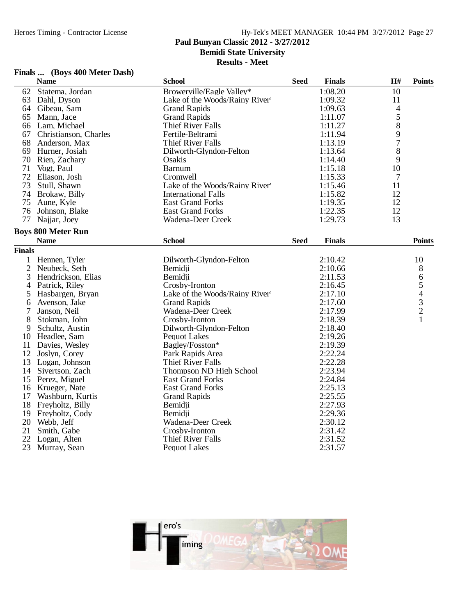### **Paul Bunyan Classic 2012 - 3/27/2012**

**Bemidi State University**

**Results - Meet**

### **Finals ... (Boys 400 Meter Dash)**

|               | <b>Name</b>               | <b>School</b>                 | <b>Seed</b> | <b>Finals</b> | H#             | <b>Points</b> |
|---------------|---------------------------|-------------------------------|-------------|---------------|----------------|---------------|
| 62            | Statema, Jordan           | Browerville/Eagle Valley*     |             | 1:08.20       | 10             |               |
| 63            | Dahl, Dyson               | Lake of the Woods/Rainy River |             | 1:09.32       | 11             |               |
| 64            | Gibeau, Sam               | <b>Grand Rapids</b>           |             | 1:09.63       | $\overline{4}$ |               |
| 65            | Mann, Jace                | <b>Grand Rapids</b>           |             | 1:11.07       | $\frac{5}{8}$  |               |
| 66            | Lam, Michael              | <b>Thief River Falls</b>      |             | 1:11.27       |                |               |
| 67            | Christianson, Charles     | Fertile-Beltrami              |             | 1:11.94       | 9              |               |
| 68            | Anderson, Max             | <b>Thief River Falls</b>      |             | 1:13.19       | $\overline{7}$ |               |
| 69            | Hurner, Josiah            | Dilworth-Glyndon-Felton       |             | 1:13.64       | 8              |               |
| 70            | Rien, Zachary             | Osakis                        |             | 1:14.40       | 9              |               |
| 71            | Vogt, Paul                | <b>Barnum</b>                 |             | 1:15.18       | 10             |               |
| 72            | Eliason, Josh             | Cromwell                      |             | 1:15.33       | 7              |               |
| 73            | Stull, Shawn              | Lake of the Woods/Rainy River |             | 1:15.46       | 11             |               |
| 74            | Brokaw, Billy             | <b>International Falls</b>    |             | 1:15.82       | 12             |               |
| 75            | Aune, Kyle                | <b>East Grand Forks</b>       |             | 1:19.35       | 12             |               |
| 76            | Johnson, Blake            | <b>East Grand Forks</b>       |             | 1:22.35       | 12             |               |
| 77            | Najjar, Joey              | Wadena-Deer Creek             |             | 1:29.73       | 13             |               |
|               | <b>Boys 800 Meter Run</b> |                               |             |               |                |               |
|               | <b>Name</b>               | <b>School</b>                 | <b>Seed</b> | <b>Finals</b> |                | <b>Points</b> |
| <b>Finals</b> |                           |                               |             |               |                |               |
| 1             | Hennen, Tyler             | Dilworth-Glyndon-Felton       |             | 2:10.42       |                | 10            |
| 2             | Neubeck, Seth             | Bemidji                       |             | 2:10.66       |                | 8             |
| 3             | Hendrickson, Elias        | Bemidji                       |             | 2:11.53       |                |               |
| 4             | Patrick, Riley            | Crosby-Ironton                |             | 2:16.45       |                |               |
| 5             | Hasbargen, Bryan          | Lake of the Woods/Rainy River |             | 2:17.10       |                | 65432         |
| 6             | Avenson, Jake             | <b>Grand Rapids</b>           |             | 2:17.60       |                |               |
| 7             | Janson, Neil              | Wadena-Deer Creek             |             | 2:17.99       |                |               |
| 8             | Stokman, John             | Crosby-Ironton                |             | 2:18.39       |                | $\mathbf{1}$  |
| 9             | Schultz, Austin           | Dilworth-Glyndon-Felton       |             | 2:18.40       |                |               |
| 10            | Headlee, Sam              | Pequot Lakes                  |             | 2:19.26       |                |               |
| 11            | Davies, Wesley            | Bagley/Fosston*               |             | 2:19.39       |                |               |
| 12            | Joslyn, Corey             | Park Rapids Area              |             | 2:22.24       |                |               |
| 13            | Logan, Johnson            | <b>Thief River Falls</b>      |             | 2:22.28       |                |               |
| 14            | Sivertson, Zach           | Thompson ND High School       |             | 2:23.94       |                |               |
| 15            | Perez, Miguel             | <b>East Grand Forks</b>       |             | 2:24.84       |                |               |
| 16            | Krueger, Nate             | <b>East Grand Forks</b>       |             | 2:25.13       |                |               |
| 17            | Washburn, Kurtis          | <b>Grand Rapids</b>           |             | 2:25.55       |                |               |
| 18            | Freyholtz, Billy          | Bemidji                       |             | 2:27.93       |                |               |
| 19            | Freyholtz, Cody           | Bemidii                       |             | 2:29.36       |                |               |
| 20            | Webb, Jeff                | Wadena-Deer Creek             |             | 2:30.12       |                |               |
| 21            | Smith, Gabe               | Crosby-Ironton                |             | 2:31.42       |                |               |
| 22            | Logan, Alten              | <b>Thief River Falls</b>      |             | 2:31.52       |                |               |
| 23            | Murray, Sean              | <b>Pequot Lakes</b>           |             | 2:31.57       |                |               |
|               |                           |                               |             |               |                |               |

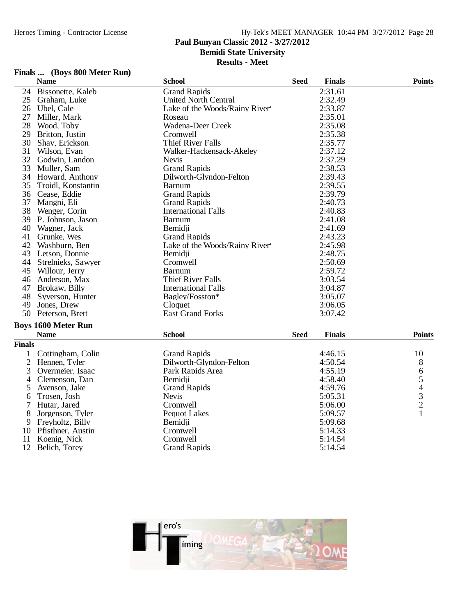### **Paul Bunyan Classic 2012 - 3/27/2012**

**Bemidi State University**

**Results - Meet**

### **Finals ... (Boys 800 Meter Run)**

|                | <b>Name</b>                | <b>School</b>                 | <b>Seed</b> | <b>Finals</b> | <b>Points</b>                                   |
|----------------|----------------------------|-------------------------------|-------------|---------------|-------------------------------------------------|
| 24             | Bissonette, Kaleb          | <b>Grand Rapids</b>           |             | 2:31.61       |                                                 |
| 25             | Graham, Luke               | <b>United North Central</b>   |             | 2:32.49       |                                                 |
| 26             | Ubel, Cale                 | Lake of the Woods/Rainy River |             | 2:33.87       |                                                 |
| 27             | Miller, Mark               | Roseau                        |             | 2:35.01       |                                                 |
| 28             | Wood, Toby                 | Wadena-Deer Creek             |             | 2:35.08       |                                                 |
| 29             | Britton, Justin            | Cromwell                      |             | 2:35.38       |                                                 |
| 30             | Shay, Erickson             | <b>Thief River Falls</b>      |             | 2:35.77       |                                                 |
| 31             | Wilson, Evan               | Walker-Hackensack-Akeley      |             | 2:37.12       |                                                 |
| 32             | Godwin, Landon             | <b>Nevis</b>                  |             | 2:37.29       |                                                 |
| 33             | Muller, Sam                | <b>Grand Rapids</b>           |             | 2:38.53       |                                                 |
| 34             | Howard, Anthony            | Dilworth-Glyndon-Felton       |             | 2:39.43       |                                                 |
| 35             | Troidl, Konstantin         | <b>Barnum</b>                 |             | 2:39.55       |                                                 |
| 36             | Cease, Eddie               | <b>Grand Rapids</b>           |             | 2:39.79       |                                                 |
| 37             | Mangni, Eli                | <b>Grand Rapids</b>           |             | 2:40.73       |                                                 |
| 38             | Wenger, Corin              | <b>International Falls</b>    |             | 2:40.83       |                                                 |
| 39             | P. Johnson, Jason          | <b>Barnum</b>                 |             | 2:41.08       |                                                 |
| 40             | Wagner, Jack               | Bemidji                       |             | 2:41.69       |                                                 |
| 41             | Grunke, Wes                | <b>Grand Rapids</b>           |             | 2:43.23       |                                                 |
| 42             | Washburn, Ben              | Lake of the Woods/Rainy River |             | 2:45.98       |                                                 |
| 43             | Letson, Donnie             | Bemidji                       |             | 2:48.75       |                                                 |
| 44             | Strelnieks, Sawyer         | Cromwell                      |             | 2:50.69       |                                                 |
| 45             | Willour, Jerry             | <b>Barnum</b>                 |             | 2:59.72       |                                                 |
| 46             | Anderson, Max              | <b>Thief River Falls</b>      |             | 3:03.54       |                                                 |
| 47             | Brokaw, Billy              | <b>International Falls</b>    |             | 3:04.87       |                                                 |
| 48             | Syverson, Hunter           | Bagley/Fosston*               |             | 3:05.07       |                                                 |
| 49             | Jones, Drew                | Cloquet                       |             | 3:06.05       |                                                 |
|                | 50 Peterson, Brett         | <b>East Grand Forks</b>       |             | 3:07.42       |                                                 |
|                | <b>Boys 1600 Meter Run</b> |                               |             |               |                                                 |
|                | <b>Name</b>                | <b>School</b>                 | <b>Seed</b> | <b>Finals</b> | <b>Points</b>                                   |
| <b>Finals</b>  |                            |                               |             |               |                                                 |
| $\mathbf{1}$   | Cottingham, Colin          | <b>Grand Rapids</b>           |             | 4:46.15       | 10                                              |
| $\overline{c}$ | Hennen, Tyler              | Dilworth-Glyndon-Felton       |             | 4:50.54       | 8                                               |
| 3              | Overmeier, Isaac           | Park Rapids Area              |             | 4:55.19       | $\overline{6}$                                  |
| 4              | Clemenson, Dan             | Bemidii                       |             | 4:58.40       | $\begin{array}{c} 5 \\ 4 \\ 3 \\ 2 \end{array}$ |
| 5              | Avenson, Jake              | <b>Grand Rapids</b>           |             | 4:59.76       |                                                 |
| 6              | Trosen, Josh               | <b>Nevis</b>                  |             | 5:05.31       |                                                 |
| 7              | Hutar, Jared               | Cromwell                      |             | 5:06.00       |                                                 |
| 8              | Jorgenson, Tyler           | <b>Pequot Lakes</b>           |             | 5:09.57       | $\mathbf{1}$                                    |
| 9              | Freyholtz, Billy           | Bemidii                       |             | 5:09.68       |                                                 |
| 10             | Pfisthner, Austin          | Cromwell                      |             | 5:14.33       |                                                 |
| 11             | Koenig, Nick               | Cromwell                      |             | 5:14.54       |                                                 |



 Koenig, Nick Cromwell 5:14.54 12 Belich, Torey Grand Rapids 5:14.54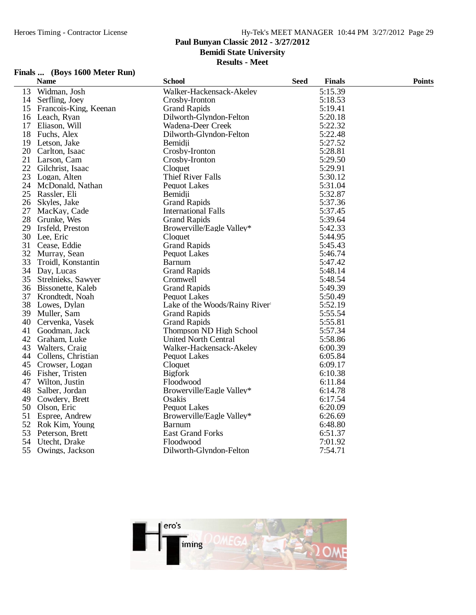### **Paul Bunyan Classic 2012 - 3/27/2012**

**Bemidi State University**

**Results - Meet**

## **Finals ... (Boys 1600 Meter Run)**

|    | <b>Name</b>           | <b>School</b>                 | <b>Seed</b> | <b>Finals</b> | <b>Points</b> |
|----|-----------------------|-------------------------------|-------------|---------------|---------------|
| 13 | Widman, Josh          | Walker-Hackensack-Akeley      |             | 5:15.39       |               |
|    | 14 Serfling, Joey     | Crosby-Ironton                |             | 5:18.53       |               |
| 15 | Francois-King, Keenan | <b>Grand Rapids</b>           |             | 5:19.41       |               |
|    | 16 Leach, Ryan        | Dilworth-Glyndon-Felton       |             | 5:20.18       |               |
|    | 17 Eliason, Will      | Wadena-Deer Creek             |             | 5:22.32       |               |
| 18 | Fuchs, Alex           | Dilworth-Glyndon-Felton       |             | 5:22.48       |               |
| 19 | Letson, Jake          | Bemidii                       |             | 5:27.52       |               |
|    | 20 Carlton, Isaac     | Crosby-Ironton                |             | 5:28.81       |               |
| 21 | Larson, Cam           | Crosby-Ironton                |             | 5:29.50       |               |
| 22 | Gilchrist, Isaac      | Cloquet                       |             | 5:29.91       |               |
| 23 | Logan, Alten          | <b>Thief River Falls</b>      |             | 5:30.12       |               |
| 24 | McDonald, Nathan      | <b>Pequot Lakes</b>           |             | 5:31.04       |               |
| 25 | Rassler, Eli          | Bemidii                       |             | 5:32.87       |               |
|    | 26 Skyles, Jake       | <b>Grand Rapids</b>           |             | 5:37.36       |               |
| 27 | MacKay, Cade          | <b>International Falls</b>    |             | 5:37.45       |               |
| 28 | Grunke, Wes           | <b>Grand Rapids</b>           |             | 5:39.64       |               |
| 29 | Irsfeld, Preston      | Browerville/Eagle Valley*     |             | 5:42.33       |               |
|    | 30 Lee, Eric          | Cloquet                       |             | 5:44.95       |               |
| 31 | Cease, Eddie          | <b>Grand Rapids</b>           |             | 5:45.43       |               |
| 32 | Murray, Sean          | Pequot Lakes                  |             | 5:46.74       |               |
| 33 | Troidl, Konstantin    | <b>Barnum</b>                 |             | 5:47.42       |               |
|    | 34 Day, Lucas         | <b>Grand Rapids</b>           |             | 5:48.14       |               |
|    | 35 Strelnieks, Sawyer | Cromwell                      |             | 5:48.54       |               |
|    | 36 Bissonette, Kaleb  | <b>Grand Rapids</b>           |             | 5:49.39       |               |
| 37 | Krondtedt, Noah       | <b>Pequot Lakes</b>           |             | 5:50.49       |               |
|    | 38 Lowes, Dylan       | Lake of the Woods/Rainy River |             | 5:52.19       |               |
|    | 39 Muller, Sam        | <b>Grand Rapids</b>           |             | 5:55.54       |               |
| 40 | Cervenka, Vasek       | <b>Grand Rapids</b>           |             | 5:55.81       |               |
| 41 | Goodman, Jack         | Thompson ND High School       |             | 5:57.34       |               |
| 42 | Graham, Luke          | <b>United North Central</b>   |             | 5:58.86       |               |
| 43 | Walters, Craig        | Walker-Hackensack-Akeley      |             | 6:00.39       |               |
| 44 | Collens, Christian    | <b>Pequot Lakes</b>           |             | 6:05.84       |               |
| 45 | Crowser, Logan        | Cloquet                       |             | 6:09.17       |               |
| 46 | Fisher, Tristen       | <b>Bigfork</b>                |             | 6:10.38       |               |
| 47 | Wilton, Justin        | Floodwood                     |             | 6:11.84       |               |
| 48 | Salber, Jordan        | Browerville/Eagle Valley*     |             | 6:14.78       |               |
| 49 | Cowdery, Brett        | Osakis                        |             | 6:17.54       |               |
| 50 | Olson, Eric           | <b>Pequot Lakes</b>           |             | 6:20.09       |               |
| 51 | Espree, Andrew        | Browerville/Eagle Valley*     |             | 6:26.69       |               |
| 52 | Rok Kim, Young        | <b>Barnum</b>                 |             | 6:48.80       |               |
| 53 | Peterson, Brett       | <b>East Grand Forks</b>       |             | 6:51.37       |               |
| 54 | Utecht, Drake         | Floodwood                     |             | 7:01.92       |               |
| 55 | Owings, Jackson       | Dilworth-Glyndon-Felton       |             | 7:54.71       |               |

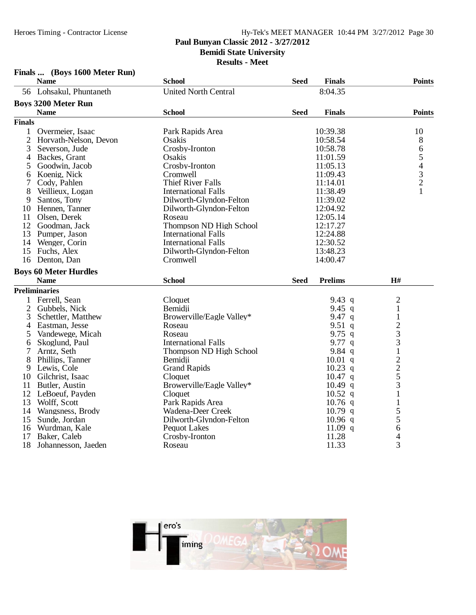## Hy-Tek's MEET MANAGER 10:44 PM 3/27/2012 Page 30 **Paul Bunyan Classic 2012 - 3/27/2012 Bemidi State University**

**Results - Meet**

## **Finals ... (Boys 1600 Meter Run)**

|                | <b>Name</b>                  | <b>School</b>               | <b>Seed</b> | <b>Finals</b>  |                                            | <b>Points</b>                                   |
|----------------|------------------------------|-----------------------------|-------------|----------------|--------------------------------------------|-------------------------------------------------|
|                | 56 Lohsakul, Phuntaneth      | <b>United North Central</b> |             | 8:04.35        |                                            |                                                 |
|                | <b>Boys 3200 Meter Run</b>   |                             |             |                |                                            |                                                 |
|                | <b>Name</b>                  | <b>School</b>               | <b>Seed</b> | <b>Finals</b>  |                                            | <b>Points</b>                                   |
| <b>Finals</b>  |                              |                             |             |                |                                            |                                                 |
| 1              | Overmeier, Isaac             | Park Rapids Area            |             | 10:39.38       |                                            | 10                                              |
| $\overline{2}$ | Horvath-Nelson, Devon        | Osakis                      |             | 10:58.54       |                                            | 8                                               |
| 3              | Severson, Jude               | Crosby-Ironton              |             | 10:58.78       |                                            | 6                                               |
| 4              | Backes, Grant                | Osakis                      |             | 11:01.59       |                                            |                                                 |
| 5              | Goodwin, Jacob               | Crosby-Ironton              |             | 11:05.13       |                                            | $\begin{array}{c} 5 \\ 4 \\ 3 \\ 2 \end{array}$ |
| 6              | Koenig, Nick                 | Cromwell                    |             | 11:09.43       |                                            |                                                 |
| 7              | Cody, Pahlen                 | <b>Thief River Falls</b>    |             | 11:14.01       |                                            |                                                 |
| 8              | Veillieux, Logan             | <b>International Falls</b>  |             | 11:38.49       |                                            | $\mathbf{1}$                                    |
| 9              | Santos, Tony                 | Dilworth-Glyndon-Felton     |             | 11:39.02       |                                            |                                                 |
| 10             | Hennen, Tanner               | Dilworth-Glyndon-Felton     |             | 12:04.92       |                                            |                                                 |
| 11             | Olsen, Derek                 | Roseau                      |             | 12:05.14       |                                            |                                                 |
| 12             | Goodman, Jack                | Thompson ND High School     |             | 12:17.27       |                                            |                                                 |
| 13             | Pumper, Jason                | <b>International Falls</b>  |             | 12:24.88       |                                            |                                                 |
| 14             | Wenger, Corin                | <b>International Falls</b>  |             | 12:30.52       |                                            |                                                 |
| 15             | Fuchs, Alex                  | Dilworth-Glyndon-Felton     |             | 13:48.23       |                                            |                                                 |
|                | 16 Denton, Dan               | Cromwell                    |             | 14:00.47       |                                            |                                                 |
|                | <b>Boys 60 Meter Hurdles</b> |                             |             |                |                                            |                                                 |
|                | <b>Name</b>                  | <b>School</b>               | <b>Seed</b> | <b>Prelims</b> | H#                                         |                                                 |
|                | <b>Preliminaries</b>         |                             |             |                |                                            |                                                 |
| 1              | Ferrell, Sean                | Cloquet                     |             | 9.43 $q$       | $\overline{c}$                             |                                                 |
| $\overline{2}$ | Gubbels, Nick                | Bemidji                     |             | 9.45 q         | $\mathbf{1}$                               |                                                 |
| 3              | Schettler, Matthew           | Browerville/Eagle Valley*   |             | 9.47 $q$       | $\mathbf 1$                                |                                                 |
| 4              | Eastman, Jesse               | Roseau                      |             | $9.51$ q       |                                            |                                                 |
| 5              | Vandewege, Micah             | Roseau                      |             | 9.75 $q$       | $\frac{2}{3}$                              |                                                 |
| 6              | Skoglund, Paul               | <b>International Falls</b>  |             | $9.77$ q       | $\overline{3}$                             |                                                 |
| 7              | Arntz, Seth                  | Thompson ND High School     |             | 9.84 $q$       | $\mathbf 1$                                |                                                 |
| 8              | Phillips, Tanner             | Bemidji                     |             | $10.01$ q      | $\begin{array}{c} 2 \\ 2 \\ 5 \end{array}$ |                                                 |
| 9              | Lewis, Cole                  | <b>Grand Rapids</b>         |             | $10.23$ q      |                                            |                                                 |
| 10             | Gilchrist, Isaac             | Cloquet                     |             | $10.47$ q      |                                            |                                                 |
| 11             | Butler, Austin               | Browerville/Eagle Valley*   |             | $10.49$ q      | 3                                          |                                                 |
|                | 12 LeBoeuf, Payden           | Cloquet                     |             | $10.52$ q      | 1                                          |                                                 |
| 13             | Wolff, Scott                 | Park Rapids Area            |             | $10.76$ q      | $\mathbf{1}$                               |                                                 |
| 14             | Wangsness, Brody             | Wadena-Deer Creek           |             | $10.79$ q      | 5                                          |                                                 |
| 15             | Sunde, Jordan                | Dilworth-Glyndon-Felton     |             | $10.96$ q      | 5                                          |                                                 |
| 16             | Wurdman, Kale                | <b>Pequot Lakes</b>         |             | 11.09 $q$      | 6                                          |                                                 |
| 17             | Baker, Caleb                 | Crosby-Ironton              |             | 11.28          | $\overline{4}$                             |                                                 |
| 18             | Johannesson, Jaeden          | Roseau                      |             | 11.33          | 3                                          |                                                 |

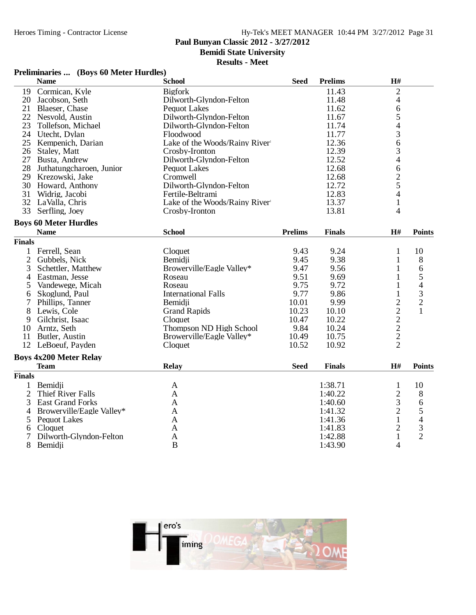## **Paul Bunyan Classic 2012 - 3/27/2012**

**Bemidi State University**

### **Results - Meet**

|  | Preliminaries  (Boys 60 Meter Hurdles) |  |
|--|----------------------------------------|--|
|--|----------------------------------------|--|

|                | <b>Name</b>                   | <b>School</b>                 | <b>Seed</b>    | <b>Prelims</b> | H#                                         |                          |
|----------------|-------------------------------|-------------------------------|----------------|----------------|--------------------------------------------|--------------------------|
| 19             | Cormican, Kyle                | <b>Bigfork</b>                |                | 11.43          | $\overline{2}$                             |                          |
| 20             | Jacobson, Seth                | Dilworth-Glyndon-Felton       |                | 11.48          | 4                                          |                          |
| 21             | Blaeser, Chase                | <b>Pequot Lakes</b>           |                | 11.62          | 6                                          |                          |
|                | 22 Nesvold, Austin            | Dilworth-Glyndon-Felton       |                | 11.67          | 5                                          |                          |
| 23             | Tollefson, Michael            | Dilworth-Glyndon-Felton       |                | 11.74          |                                            |                          |
| 24             | Utecht, Dylan                 | Floodwood                     |                | 11.77          | $rac{4}{3}$                                |                          |
| 25             | Kempenich, Darian             | Lake of the Woods/Rainy River |                | 12.36          | $\overline{6}$                             |                          |
| 26             | Staley, Matt                  | Crosby-Ironton                |                | 12.39          | $\frac{3}{4}$                              |                          |
|                | 27 Busta, Andrew              | Dilworth-Glyndon-Felton       |                | 12.52          |                                            |                          |
| 28             | Juthatungcharoen, Junior      | <b>Pequot Lakes</b>           |                | 12.68          | $\begin{array}{c} 6 \\ 2 \\ 5 \end{array}$ |                          |
|                | 29 Krezowski, Jake            | Cromwell                      |                | 12.68          |                                            |                          |
|                | 30 Howard, Anthony            | Dilworth-Glyndon-Felton       |                | 12.72          |                                            |                          |
| 31             | Widrig, Jacobi                | Fertile-Beltrami              |                | 12.83          | $\overline{4}$                             |                          |
|                | 32 LaValla, Chris             | Lake of the Woods/Rainy River |                | 13.37          | $\mathbf{1}$                               |                          |
| 33             | Serfling, Joey                | Crosby-Ironton                |                | 13.81          | 4                                          |                          |
|                | <b>Boys 60 Meter Hurdles</b>  |                               |                |                |                                            |                          |
|                | <b>Name</b>                   | <b>School</b>                 | <b>Prelims</b> | <b>Finals</b>  | H#                                         | <b>Points</b>            |
| <b>Finals</b>  |                               |                               |                |                |                                            |                          |
| 1              | Ferrell, Sean                 | Cloquet                       | 9.43           | 9.24           | $\mathbf{1}$                               | 10                       |
| $\overline{2}$ | Gubbels, Nick                 | Bemidii                       | 9.45           | 9.38           | 1                                          | 8                        |
| 3              | Schettler, Matthew            | Browerville/Eagle Valley*     | 9.47           | 9.56           | 1                                          | 6                        |
| 4              | Eastman, Jesse                | Roseau                        | 9.51           | 9.69           | 1                                          | 5                        |
| 5              | Vandewege, Micah              | Roseau                        | 9.75           | 9.72           | $\mathbf{1}$                               | 4                        |
| 6              | Skoglund, Paul                | <b>International Falls</b>    | 9.77           | 9.86           | $\mathbf{1}$                               | 3                        |
| 7              | Phillips, Tanner              | Bemidii                       | 10.01          | 9.99           | $\overline{c}$                             | $\overline{c}$           |
| 8              | Lewis, Cole                   | <b>Grand Rapids</b>           | 10.23          | 10.10          |                                            | $\mathbf{1}$             |
| 9              | Gilchrist, Isaac              | Cloquet                       | 10.47          | 10.22          | $\begin{array}{c} 2 \\ 2 \\ 2 \end{array}$ |                          |
| 10             | Arntz, Seth                   | Thompson ND High School       | 9.84           | 10.24          |                                            |                          |
| 11             | Butler, Austin                | Browerville/Eagle Valley*     | 10.49          | 10.75          |                                            |                          |
|                | 12 LeBoeuf, Payden            | Cloquet                       | 10.52          | 10.92          | $\overline{2}$                             |                          |
|                |                               |                               |                |                |                                            |                          |
|                | <b>Boys 4x200 Meter Relay</b> |                               |                |                |                                            |                          |
|                | <b>Team</b>                   | Relay                         | <b>Seed</b>    | <b>Finals</b>  | H#                                         | <b>Points</b>            |
| <b>Finals</b>  |                               |                               |                |                |                                            |                          |
| 1              | Bemidji                       | A                             |                | 1:38.71        | $\mathbf{1}$                               | 10                       |
| $\overline{2}$ | Thief River Falls             | A                             |                | 1:40.22        | $\frac{2}{3}$                              | 8                        |
| 3              | <b>East Grand Forks</b>       | A                             |                | 1:40.60        |                                            | 6                        |
| 4              | Browerville/Eagle Valley*     | A                             |                | 1:41.32        | $\overline{c}$                             | 5                        |
| 5              | <b>Pequot Lakes</b>           | A                             |                | 1:41.36        | $\mathbf{1}$                               | $\overline{\mathcal{A}}$ |
| 6              | Cloquet                       | $\mathbf{A}$                  |                | 1:41.83        | $\overline{c}$                             | $\frac{3}{2}$            |
| 7              | Dilworth-Glyndon-Felton       | A                             |                | 1:42.88        | $\mathbf{1}$                               |                          |
| 8              | Bemidii                       | B                             |                | 1:43.90        | $\overline{4}$                             |                          |

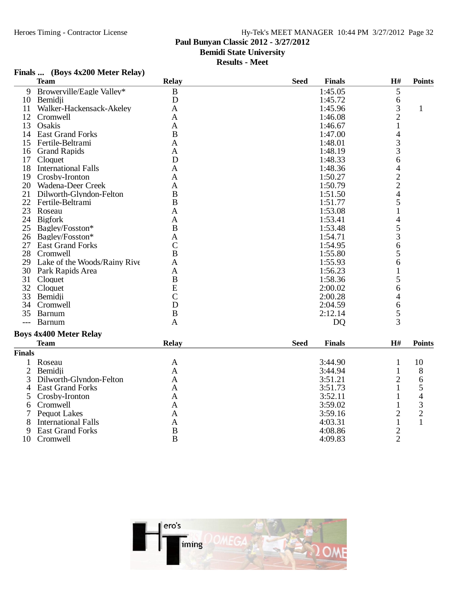### Hy-Tek's MEET MANAGER 10:44 PM 3/27/2012 Page 32 **Paul Bunyan Classic 2012 - 3/27/2012**

**Bemidi State University**

**Results - Meet**

### **Finals ... (Boys 4x200 Meter Relay)**

| <b>Team</b>                | <b>Relay</b>                                                                                                                                                                                                           | <b>Seed</b>                                                                                                                                              | <b>Finals</b> | H#                                                                                                                                                | <b>Points</b>                                                                                                                                                                                         |
|----------------------------|------------------------------------------------------------------------------------------------------------------------------------------------------------------------------------------------------------------------|----------------------------------------------------------------------------------------------------------------------------------------------------------|---------------|---------------------------------------------------------------------------------------------------------------------------------------------------|-------------------------------------------------------------------------------------------------------------------------------------------------------------------------------------------------------|
| Browerville/Eagle Valley*  | $\bf{B}$                                                                                                                                                                                                               |                                                                                                                                                          | 1:45.05       | 5                                                                                                                                                 |                                                                                                                                                                                                       |
| Bemidji                    | D                                                                                                                                                                                                                      |                                                                                                                                                          | 1:45.72       | 6                                                                                                                                                 |                                                                                                                                                                                                       |
| Walker-Hackensack-Akeley   | A                                                                                                                                                                                                                      |                                                                                                                                                          | 1:45.96       |                                                                                                                                                   | 1                                                                                                                                                                                                     |
| Cromwell                   | A                                                                                                                                                                                                                      |                                                                                                                                                          | 1:46.08       |                                                                                                                                                   |                                                                                                                                                                                                       |
| Osakis                     | A                                                                                                                                                                                                                      |                                                                                                                                                          | 1:46.67       |                                                                                                                                                   |                                                                                                                                                                                                       |
| <b>East Grand Forks</b>    |                                                                                                                                                                                                                        |                                                                                                                                                          | 1:47.00       |                                                                                                                                                   |                                                                                                                                                                                                       |
| Fertile-Beltrami           | A                                                                                                                                                                                                                      |                                                                                                                                                          | 1:48.01       |                                                                                                                                                   |                                                                                                                                                                                                       |
| <b>Grand Rapids</b>        | A                                                                                                                                                                                                                      |                                                                                                                                                          | 1:48.19       |                                                                                                                                                   |                                                                                                                                                                                                       |
| Cloquet                    |                                                                                                                                                                                                                        |                                                                                                                                                          | 1:48.33       | 6                                                                                                                                                 |                                                                                                                                                                                                       |
| <b>International Falls</b> | A                                                                                                                                                                                                                      |                                                                                                                                                          | 1:48.36       |                                                                                                                                                   |                                                                                                                                                                                                       |
| Crosby-Ironton             | A                                                                                                                                                                                                                      |                                                                                                                                                          |               |                                                                                                                                                   |                                                                                                                                                                                                       |
| Wadena-Deer Creek          |                                                                                                                                                                                                                        |                                                                                                                                                          |               |                                                                                                                                                   |                                                                                                                                                                                                       |
|                            |                                                                                                                                                                                                                        |                                                                                                                                                          | 1:51.50       |                                                                                                                                                   |                                                                                                                                                                                                       |
| Fertile-Beltrami           |                                                                                                                                                                                                                        |                                                                                                                                                          | 1:51.77       |                                                                                                                                                   |                                                                                                                                                                                                       |
|                            | A                                                                                                                                                                                                                      |                                                                                                                                                          |               |                                                                                                                                                   |                                                                                                                                                                                                       |
|                            | A                                                                                                                                                                                                                      |                                                                                                                                                          |               |                                                                                                                                                   |                                                                                                                                                                                                       |
|                            |                                                                                                                                                                                                                        |                                                                                                                                                          |               |                                                                                                                                                   |                                                                                                                                                                                                       |
|                            | A                                                                                                                                                                                                                      |                                                                                                                                                          |               |                                                                                                                                                   |                                                                                                                                                                                                       |
| <b>East Grand Forks</b>    |                                                                                                                                                                                                                        |                                                                                                                                                          | 1:54.95       |                                                                                                                                                   |                                                                                                                                                                                                       |
| Cromwell                   |                                                                                                                                                                                                                        |                                                                                                                                                          |               |                                                                                                                                                   |                                                                                                                                                                                                       |
|                            | A                                                                                                                                                                                                                      |                                                                                                                                                          | 1:55.93       |                                                                                                                                                   |                                                                                                                                                                                                       |
|                            |                                                                                                                                                                                                                        |                                                                                                                                                          |               |                                                                                                                                                   |                                                                                                                                                                                                       |
|                            |                                                                                                                                                                                                                        |                                                                                                                                                          |               |                                                                                                                                                   |                                                                                                                                                                                                       |
| Cloquet                    |                                                                                                                                                                                                                        |                                                                                                                                                          |               |                                                                                                                                                   |                                                                                                                                                                                                       |
| Bemidii                    |                                                                                                                                                                                                                        |                                                                                                                                                          |               |                                                                                                                                                   |                                                                                                                                                                                                       |
|                            |                                                                                                                                                                                                                        |                                                                                                                                                          |               |                                                                                                                                                   |                                                                                                                                                                                                       |
| Barnum                     |                                                                                                                                                                                                                        |                                                                                                                                                          |               |                                                                                                                                                   |                                                                                                                                                                                                       |
|                            |                                                                                                                                                                                                                        |                                                                                                                                                          |               |                                                                                                                                                   |                                                                                                                                                                                                       |
|                            |                                                                                                                                                                                                                        |                                                                                                                                                          |               |                                                                                                                                                   |                                                                                                                                                                                                       |
| <b>Team</b>                | <b>Relay</b>                                                                                                                                                                                                           | <b>Seed</b>                                                                                                                                              | <b>Finals</b> | H#                                                                                                                                                | <b>Points</b>                                                                                                                                                                                         |
|                            | Dilworth-Glyndon-Felton<br>Roseau<br><b>Bigfork</b><br>Bagley/Fosston*<br>Bagley/Fosston*<br>Lake of the Woods/Rainy Rive<br>Park Rapids Area<br>Cloquet<br>Cromwell<br><b>Barnum</b><br><b>Boys 4x400 Meter Relay</b> | B<br>D<br>A<br>$\mathbf B$<br>$\bf{B}$<br>$\bf{B}$<br>$\mathcal{C}$<br>B<br>A<br>$\mathbf B$<br>E<br>$\overline{C}$<br>D<br>$\, {\bf B}$<br>$\mathbf{A}$ |               | 1:50.27<br>1:50.79<br>1:53.08<br>1:53.41<br>1:53.48<br>1:54.71<br>1:55.80<br>1:56.23<br>1:58.36<br>2:00.02<br>2:00.28<br>2:04.59<br>2:12.14<br>DQ | 3<br>$\overline{2}$<br>$\overline{\mathcal{L}}$<br>$\frac{3}{3}$<br>$\overline{\mathcal{L}}$<br>$\frac{2}{2}$<br>$\overline{4}$<br>5<br>4<br>5<br>3<br>6<br>5<br>6<br>5<br>6<br>4<br>6<br>$rac{5}{3}$ |

|               | теат                       | <i><b>AVARD</b></i> | viiv<br>т пинэ | --- | т опте |
|---------------|----------------------------|---------------------|----------------|-----|--------|
| <b>Finals</b> |                            |                     |                |     |        |
|               | Roseau                     | Α                   | 3:44.90        |     | 10     |
|               | Bemidji                    | Α                   | 3:44.94        |     | 8      |
|               | 3 Dilworth-Glyndon-Felton  | Α                   | 3:51.21        | ⌒   |        |
| 4             | <b>East Grand Forks</b>    | A                   | 3:51.73        |     |        |
|               | 5 Crosby-Ironton           | Α                   | 3:52.11        |     |        |
| 6.            | Cromwell                   | Α                   | 3:59.02        |     | 2      |
|               | Pequot Lakes               | А                   | 3:59.16        |     | റ      |
| 8             | <b>International Falls</b> | Α                   | 4:03.31        |     |        |
| 9             | <b>East Grand Forks</b>    | В                   | 4:08.86        | ⌒   |        |
| 10            | Cromwell                   | B                   | 4:09.83        | ⌒   |        |
|               |                            |                     |                |     |        |

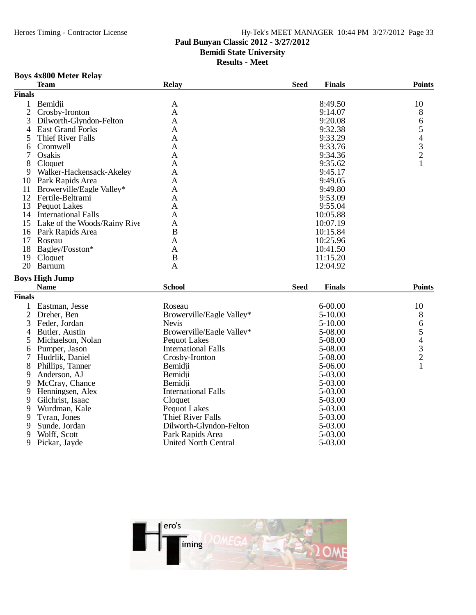### Hy-Tek's MEET MANAGER 10:44 PM 3/27/2012 Page 33 **Paul Bunyan Classic 2012 - 3/27/2012**

## **Bemidi State University**

**Results - Meet**

## **Boys 4x800 Meter Relay**

|                     | <b>Team</b>                         | <b>Relay</b>                              | <b>Finals</b><br><b>Seed</b> | <b>Points</b>                                   |
|---------------------|-------------------------------------|-------------------------------------------|------------------------------|-------------------------------------------------|
| <b>Finals</b>       |                                     |                                           |                              |                                                 |
| $\mathbf{1}$        | Bemidji                             | $\mathbf{A}$                              | 8:49.50                      | 10                                              |
| $\mathbf{2}$        | Crosby-Ironton                      | A                                         | 9:14.07                      | 8                                               |
| 3                   | Dilworth-Glyndon-Felton             | $\mathbf{A}$                              | 9:20.08                      | 6                                               |
| 4                   | <b>East Grand Forks</b>             | $\mathbf{A}$                              | 9:32.38                      |                                                 |
| 5                   | <b>Thief River Falls</b>            | A                                         | 9:33.29                      |                                                 |
| 6                   | Cromwell                            | A                                         | 9:33.76                      | $\begin{array}{c} 5 \\ 4 \\ 3 \\ 2 \end{array}$ |
| 7                   | Osakis                              | A                                         | 9:34.36                      |                                                 |
| 8                   | Cloquet                             | $\mathbf{A}$                              | 9:35.62                      | $\mathbf{1}$                                    |
| 9                   | Walker-Hackensack-Akeley            | $\mathbf{A}$                              | 9:45.17                      |                                                 |
| 10                  | Park Rapids Area                    | A                                         | 9:49.05                      |                                                 |
| 11                  | Browerville/Eagle Valley*           | $\mathbf{A}$                              | 9:49.80                      |                                                 |
|                     | 12 Fertile-Beltrami                 | $\mathbf{A}$                              | 9:53.09                      |                                                 |
| 13                  | <b>Pequot Lakes</b>                 | A                                         | 9:55.04                      |                                                 |
| 14                  | <b>International Falls</b>          | A                                         | 10:05.88                     |                                                 |
| 15                  | Lake of the Woods/Rainy Rive        | $\mathbf{A}$                              | 10:07.19                     |                                                 |
|                     | 16 Park Rapids Area                 | $\boldsymbol{B}$                          | 10:15.84                     |                                                 |
| 17                  | Roseau                              | A                                         | 10:25.96                     |                                                 |
| 18                  | Bagley/Fosston*                     | A                                         | 10:41.50                     |                                                 |
| 19                  | Cloquet                             | $\bf{B}$                                  | 11:15.20                     |                                                 |
| 20                  | Barnum                              | $\mathbf{A}$                              | 12:04.92                     |                                                 |
|                     | <b>Boys High Jump</b>               |                                           |                              |                                                 |
|                     | <b>Name</b>                         | <b>School</b>                             | <b>Seed</b><br><b>Finals</b> | <b>Points</b>                                   |
| <b>Finals</b>       |                                     |                                           |                              |                                                 |
|                     | Eastman, Jesse                      | Roseau                                    | $6 - 00.00$                  | 10                                              |
| 1<br>$\overline{2}$ | Dreher, Ben                         |                                           | 5-10.00                      |                                                 |
| 3                   | Feder, Jordan                       | Browerville/Eagle Valley*<br><b>Nevis</b> | $5 - 10.00$                  | 8                                               |
|                     |                                     | Browerville/Eagle Valley*                 | 5-08.00                      | 6                                               |
| 4<br>5              | Butler, Austin<br>Michaelson, Nolan | <b>Pequot Lakes</b>                       | 5-08.00                      | $\begin{array}{c} 5 \\ 4 \\ 3 \\ 2 \end{array}$ |
|                     | Pumper, Jason                       | <b>International Falls</b>                | 5-08.00                      |                                                 |
| 6<br>7              |                                     | Crosby-Ironton                            | 5-08.00                      |                                                 |
| 8                   | Hudrlik, Daniel<br>Phillips, Tanner | Bemidii                                   | 5-06.00                      | $\mathbf{1}$                                    |
| 9                   | Anderson, AJ                        | Bemidii                                   | 5-03.00                      |                                                 |
| 9                   | McCray, Chance                      | Bemidji                                   | 5-03.00                      |                                                 |
| 9                   | Henningsen, Alex                    | <b>International Falls</b>                | 5-03.00                      |                                                 |
| 9                   | Gilchrist, Isaac                    | Cloquet                                   | 5-03.00                      |                                                 |
| 9                   | Wurdman, Kale                       | <b>Pequot Lakes</b>                       | 5-03.00                      |                                                 |
| 9                   | Tyran, Jones                        | <b>Thief River Falls</b>                  | 5-03.00                      |                                                 |
| 9                   | Sunde, Jordan                       | Dilworth-Glyndon-Felton                   | 5-03.00                      |                                                 |
| 9                   | Wolff, Scott                        | Park Rapids Area                          | 5-03.00                      |                                                 |
| 9                   | Pickar, Jayde                       | United North Central                      | 5-03.00                      |                                                 |
|                     |                                     |                                           |                              |                                                 |

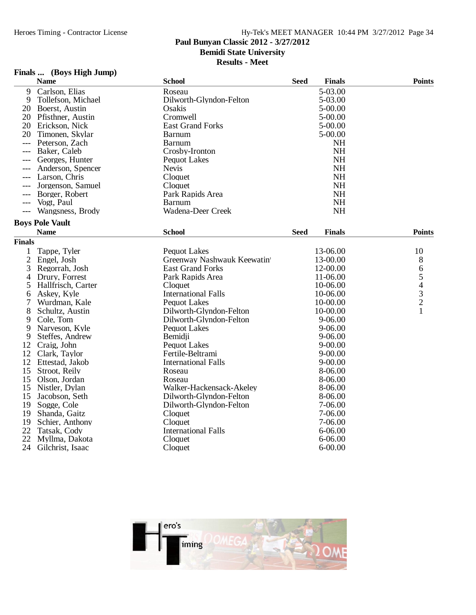## **Paul Bunyan Classic 2012 - 3/27/2012**

**Bemidi State University**

**Results - Meet**

## **Finals ... (Boys High Jump)**

|                | <b>Name</b>                      | <b>School</b>                           | <b>Seed</b> | <b>Finals</b>          | <b>Points</b>                                |
|----------------|----------------------------------|-----------------------------------------|-------------|------------------------|----------------------------------------------|
| 9              | Carlson, Elias                   | Roseau                                  |             | 5-03.00                |                                              |
| 9              | Tollefson, Michael               | Dilworth-Glyndon-Felton                 |             | 5-03.00                |                                              |
| 20             | Boerst, Austin                   | Osakis                                  |             | 5-00.00                |                                              |
| 20             | Pfisthner, Austin                | Cromwell                                |             | 5-00.00                |                                              |
| 20             | Erickson, Nick                   | <b>East Grand Forks</b>                 |             | 5-00.00                |                                              |
| 20             | Timonen, Skylar                  | Barnum                                  |             | 5-00.00                |                                              |
| ---            | Peterson, Zach                   | <b>Barnum</b>                           |             | <b>NH</b>              |                                              |
| ---            | Baker, Caleb                     | Crosby-Ironton                          |             | <b>NH</b>              |                                              |
| ---            | Georges, Hunter                  | <b>Pequot Lakes</b>                     |             | <b>NH</b>              |                                              |
|                | Anderson, Spencer                | <b>Nevis</b>                            |             | <b>NH</b>              |                                              |
| $---$          | Larson, Chris                    | Cloquet                                 |             | <b>NH</b>              |                                              |
| ---            | Jorgenson, Samuel                | Cloquet                                 |             | <b>NH</b>              |                                              |
| ---            | Borger, Robert                   | Park Rapids Area                        |             | <b>NH</b>              |                                              |
|                | Vogt, Paul                       | <b>Barnum</b>                           |             | <b>NH</b>              |                                              |
| $---$          | Wangsness, Brody                 | Wadena-Deer Creek                       |             | <b>NH</b>              |                                              |
|                | <b>Boys Pole Vault</b>           |                                         |             |                        |                                              |
|                | <b>Name</b>                      | <b>School</b>                           | Seed        | <b>Finals</b>          | <b>Points</b>                                |
| <b>Finals</b>  |                                  |                                         |             |                        |                                              |
| 1              |                                  |                                         |             | 13-06.00               |                                              |
|                | Tappe, Tyler                     | <b>Pequot Lakes</b>                     |             |                        | 10                                           |
| $\overline{2}$ | Engel, Josh                      | Greenway Nashwauk Keewatin              |             | 13-00.00               | 8                                            |
| 3              | Regorrah, Josh                   | <b>East Grand Forks</b>                 |             | 12-00.00               | 6                                            |
| 4              | Drury, Forrest                   | Park Rapids Area                        |             | 11-06.00               |                                              |
| 5              | Hallfrisch, Carter               | Cloquet                                 |             | 10-06.00               | $\begin{array}{c} 54 \\ 43 \\ 2 \end{array}$ |
| 6              | Askey, Kyle                      | <b>International Falls</b>              |             | 10-06.00               |                                              |
| 7              | Wurdman, Kale                    | <b>Pequot Lakes</b>                     |             | 10-00.00               |                                              |
| 8              | Schultz, Austin                  | Dilworth-Glyndon-Felton                 |             | 10-00.00               | $\mathbf{1}$                                 |
| 9              | Cole, Tom                        | Dilworth-Glyndon-Felton                 |             | 9-06.00                |                                              |
| 9              | Narveson, Kyle                   | <b>Pequot Lakes</b>                     |             | $9 - 06.00$<br>9-06.00 |                                              |
| 9<br>12        | Steffes, Andrew                  | Bemidji                                 |             | $9 - 00.00$            |                                              |
| 12             | Craig, John                      | <b>Pequot Lakes</b><br>Fertile-Beltrami |             | $9 - 00.00$            |                                              |
| 12             | Clark, Taylor                    | <b>International Falls</b>              |             | $9 - 00.00$            |                                              |
| 15             | Ettestad, Jakob<br>Stroot, Reily | Roseau                                  |             | 8-06.00                |                                              |
|                | Olson, Jordan                    | Roseau                                  |             | 8-06.00                |                                              |
| 15<br>15       | Nistler, Dylan                   | Walker-Hackensack-Akeley                |             | 8-06.00                |                                              |
| 15             |                                  | Dilworth-Glyndon-Felton                 |             | 8-06.00                |                                              |
| 19             | Jacobson, Seth<br>Sogge, Cole    | Dilworth-Glyndon-Felton                 |             | 7-06.00                |                                              |
| 19             |                                  |                                         |             | 7-06.00                |                                              |
|                | Shanda, Gaitz                    | Cloquet                                 |             |                        |                                              |
| 19<br>22       | Schier, Anthony                  | Cloquet                                 |             | 7-06.00                |                                              |
| 22             | Tatsak, Cody                     | <b>International Falls</b>              |             | 6-06.00                |                                              |
|                | Myllma, Dakota                   | Cloquet                                 |             | $6 - 06.00$            |                                              |
| 24             | Gilchrist, Isaac                 | Cloquet                                 |             | $6 - 00.00$            |                                              |

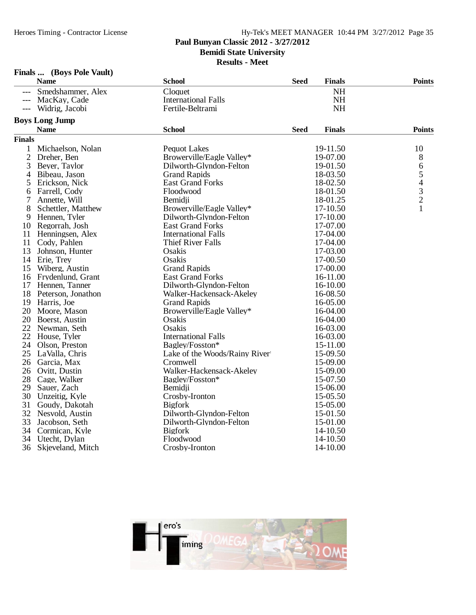## **Paul Bunyan Classic 2012 - 3/27/2012**

**Bemidi State University**

**Results - Meet**

|               | <b>Name</b>           | <b>School</b>                 | <b>Seed</b> | <b>Finals</b> | <b>Points</b> |
|---------------|-----------------------|-------------------------------|-------------|---------------|---------------|
|               | Smedshammer, Alex     | Cloquet                       |             | <b>NH</b>     |               |
|               | MacKay, Cade          | <b>International Falls</b>    |             | <b>NH</b>     |               |
| $---$         | Widrig, Jacobi        | Fertile-Beltrami              |             | <b>NH</b>     |               |
|               | <b>Boys Long Jump</b> |                               |             |               |               |
|               | <b>Name</b>           | <b>School</b>                 | <b>Seed</b> | <b>Finals</b> | <b>Points</b> |
| <b>Finals</b> |                       |                               |             |               |               |
| $\mathbf{1}$  | Michaelson, Nolan     | <b>Pequot Lakes</b>           |             | 19-11.50      | 10            |
| $\mathbf{2}$  | Dreher, Ben           | Browerville/Eagle Valley*     |             | 19-07.00      | 8             |
| 3             | Beyer, Taylor         | Dilworth-Glyndon-Felton       |             | 19-01.50      | 6             |
| 4             | Bibeau, Jason         | <b>Grand Rapids</b>           |             | 18-03.50      |               |
| 5             | Erickson, Nick        | <b>East Grand Forks</b>       |             | 18-02.50      | $\frac{5}{4}$ |
| 6             | Farrell, Cody         | Floodwood                     |             | 18-01.50      | $\frac{3}{2}$ |
| 7             | Annette, Will         | Bemidji                       |             | 18-01.25      |               |
| 8             | Schettler, Matthew    | Browerville/Eagle Valley*     |             | 17-10.50      | 1             |
| 9             | Hennen, Tyler         | Dilworth-Glyndon-Felton       |             | 17-10.00      |               |
|               | 10 Regorrah, Josh     | <b>East Grand Forks</b>       |             | 17-07.00      |               |
| 11            | Henningsen, Alex      | <b>International Falls</b>    |             | 17-04.00      |               |
| 11            | Cody, Pahlen          | <b>Thief River Falls</b>      |             | 17-04.00      |               |
| 13            | Johnson, Hunter       | Osakis                        |             | 17-03.00      |               |
| 14            | Erie, Trey            | Osakis                        |             | 17-00.50      |               |
| 15            | Wiberg, Austin        | <b>Grand Rapids</b>           |             | 17-00.00      |               |
|               | 16 Frydenlund, Grant  | <b>East Grand Forks</b>       |             | 16-11.00      |               |
| 17            | Hennen, Tanner        | Dilworth-Glyndon-Felton       |             | 16-10.00      |               |
| 18            | Peterson, Jonathon    | Walker-Hackensack-Akeley      |             | 16-08.50      |               |
| 19            | Harris, Joe           | <b>Grand Rapids</b>           |             | 16-05.00      |               |
| 20            | Moore, Mason          | Browerville/Eagle Valley*     |             | 16-04.00      |               |
|               | 20 Boerst, Austin     | Osakis                        |             | 16-04.00      |               |
| 22            | Newman, Seth          | Osakis                        |             | 16-03.00      |               |
| 22            | House, Tyler          | <b>International Falls</b>    |             | 16-03.00      |               |
| 24            | Olson, Preston        | Bagley/Fosston*               |             | 15-11.00      |               |
| 25            | LaValla, Chris        | Lake of the Woods/Rainy River |             | 15-09.50      |               |
| 26            | Garcia, Max           | Cromwell                      |             | 15-09.00      |               |
| 26            | Ovitt, Dustin         | Walker-Hackensack-Akeley      |             | 15-09.00      |               |
| 28            | Cage, Walker          | Bagley/Fosston*               |             | 15-07.50      |               |
| 29            | Sauer, Zach           | Bemidji                       |             | 15-06.00      |               |
| 30            | Unzeitig, Kyle        | Crosby-Ironton                |             | 15-05.50      |               |
| 31            | Goudy, Dakotah        | <b>Bigfork</b>                |             | 15-05.00      |               |
| 32            | Nesvold, Austin       | Dilworth-Glyndon-Felton       |             | 15-01.50      |               |
| 33            | Jacobson, Seth        | Dilworth-Glyndon-Felton       |             | 15-01.00      |               |
| 34            | Cormican, Kyle        | <b>Bigfork</b>                |             | 14-10.50      |               |
| 34            | Utecht, Dylan         | Floodwood                     |             | 14-10.50      |               |
| 36            | Skjeveland, Mitch     | Crosby-Ironton                |             | 14-10.00      |               |

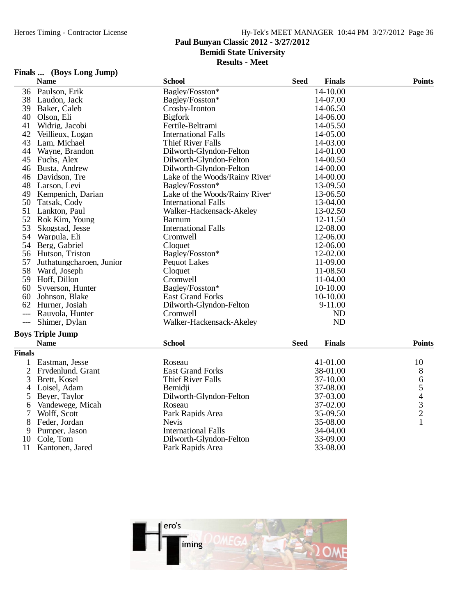### **Paul Bunyan Classic 2012 - 3/27/2012**

**Bemidi State University**

**Results - Meet**

## **Finals ... (Boys Long Jump)**

|        | <b>Name</b>              | <b>School</b>                 | <b>Seed</b> | <b>Finals</b> | <b>Points</b> |
|--------|--------------------------|-------------------------------|-------------|---------------|---------------|
| 36     | Paulson, Erik            | Bagley/Fosston*               |             | 14-10.00      |               |
| 38     | Laudon, Jack             | Bagley/Fosston*               |             | 14-07.00      |               |
| 39     | Baker, Caleb             | Crosby-Ironton                |             | 14-06.50      |               |
| 40     | Olson, Eli               | <b>Bigfork</b>                |             | 14-06.00      |               |
| 41     | Widrig, Jacobi           | Fertile-Beltrami              |             | 14-05.50      |               |
| 42     | Veillieux, Logan         | <b>International Falls</b>    |             | 14-05.00      |               |
| 43     | Lam, Michael             | <b>Thief River Falls</b>      |             | 14-03.00      |               |
| 44     | Wayne, Brandon           | Dilworth-Glyndon-Felton       |             | 14-01.00      |               |
| 45     | Fuchs, Alex              | Dilworth-Glyndon-Felton       |             | 14-00.50      |               |
| 46     | Busta, Andrew            | Dilworth-Glyndon-Felton       |             | 14-00.00      |               |
| 46     | Davidson, Tre            | Lake of the Woods/Rainy River |             | 14-00.00      |               |
| 48     | Larson, Levi             | Bagley/Fosston*               |             | 13-09.50      |               |
| 49     | Kempenich, Darian        | Lake of the Woods/Rainy River |             | 13-06.50      |               |
| 50     | Tatsak, Cody             | <b>International Falls</b>    |             | 13-04.00      |               |
| 51     | Lankton, Paul            | Walker-Hackensack-Akeley      |             | 13-02.50      |               |
| 52     | Rok Kim, Young           | Barnum                        |             | 12-11.50      |               |
| 53     | Skogstad, Jesse          | <b>International Falls</b>    |             | 12-08.00      |               |
| 54     | Warpula, Eli             | Cromwell                      |             | 12-06.00      |               |
| 54     | Berg, Gabriel            | Cloquet                       |             | 12-06.00      |               |
| 56     | Hutson, Triston          | Bagley/Fosston*               |             | 12-02.00      |               |
| 57     | Juthatungcharoen, Junior | <b>Pequot Lakes</b>           |             | 11-09.00      |               |
| 58     | Ward, Joseph             | Cloquet                       |             | 11-08.50      |               |
| 59     | Hoff, Dillon             | Cromwell                      |             | 11-04.00      |               |
| 60     | Syverson, Hunter         | Bagley/Fosston*               |             | 10-10.00      |               |
| 60     | Johnson, Blake           | <b>East Grand Forks</b>       |             | 10-10.00      |               |
| 62     | Hurner, Josiah           | Dilworth-Glyndon-Felton       |             | 9-11.00       |               |
|        | Rauvola, Hunter          | Cromwell                      |             | ND            |               |
| $---$  | Shimer, Dylan            | Walker-Hackensack-Akeley      |             | <b>ND</b>     |               |
|        | <b>Boys Triple Jump</b>  |                               |             |               |               |
|        | <b>Name</b>              | <b>School</b>                 | <b>Seed</b> | <b>Finals</b> | <b>Points</b> |
| Finals |                          |                               |             |               |               |
|        | Eastman, Jesse           | Roseau                        |             | 41-01.00      | 10            |

| Eastman, Jesse | Roseau                                                                                                                                                               | 41-01.00 | 10 |
|----------------|----------------------------------------------------------------------------------------------------------------------------------------------------------------------|----------|----|
|                | <b>East Grand Forks</b>                                                                                                                                              | 38-01.00 |    |
| Brett, Kosel   | Thief River Falls                                                                                                                                                    | 37-10.00 |    |
|                | Bemidii                                                                                                                                                              | 37-08.00 |    |
|                | Dilworth-Glyndon-Felton                                                                                                                                              | 37-03.00 |    |
|                | Roseau                                                                                                                                                               | 37-02.00 |    |
| Wolff, Scott   | Park Rapids Area                                                                                                                                                     | 35-09.50 |    |
|                | <b>Nevis</b>                                                                                                                                                         | 35-08.00 |    |
|                | International Falls                                                                                                                                                  | 34-04.00 |    |
|                | Dilworth-Glyndon-Felton                                                                                                                                              | 33-09.00 |    |
|                | Park Rapids Area                                                                                                                                                     | 33-08.00 |    |
|                | 2 Frydenlund, Grant<br>3<br>4 Loisel, Adam<br>5 Beyer, Taylor<br>6 Vandewege, Micah<br>7<br>8 Feder, Jordan<br>9 Pumper, Jason<br>10 Cole, Tom<br>11 Kantonen, Jared |          |    |

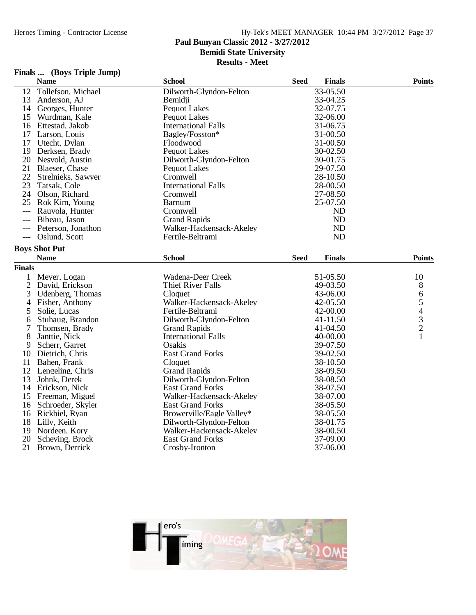## **Paul Bunyan Classic 2012 - 3/27/2012**

**Bemidi State University**

**Results - Meet**

## **Finals ... (Boys Triple Jump)**

|                | <b>Name</b>          | <b>School</b>              | <b>Seed</b> | <b>Finals</b> | <b>Points</b>                              |
|----------------|----------------------|----------------------------|-------------|---------------|--------------------------------------------|
| 12             | Tollefson, Michael   | Dilworth-Glyndon-Felton    |             | 33-05.50      |                                            |
| 13             | Anderson, AJ         | Bemidji                    |             | 33-04.25      |                                            |
| 14             | Georges, Hunter      | <b>Pequot Lakes</b>        |             | 32-07.75      |                                            |
| 15             | Wurdman, Kale        | <b>Pequot Lakes</b>        |             | 32-06.00      |                                            |
| 16             | Ettestad, Jakob      | <b>International Falls</b> |             | 31-06.75      |                                            |
| 17             | Larson, Louis        | Bagley/Fosston*            |             | 31-00.50      |                                            |
| 17             | Utecht, Dylan        | Floodwood                  |             | 31-00.50      |                                            |
| 19             | Derksen, Brady       | <b>Pequot Lakes</b>        |             | 30-02.50      |                                            |
| 20             | Nesvold, Austin      | Dilworth-Glyndon-Felton    |             | 30-01.75      |                                            |
| 21             | Blaeser, Chase       | <b>Pequot Lakes</b>        |             | 29-07.50      |                                            |
| 22             | Strelnieks, Sawyer   | Cromwell                   |             | 28-10.50      |                                            |
| 23             | Tatsak, Cole         | <b>International Falls</b> |             | 28-00.50      |                                            |
| 24             | Olson, Richard       | Cromwell                   |             | 27-08.50      |                                            |
| 25             | Rok Kim, Young       | Barnum                     |             | 25-07.50      |                                            |
| $---$          | Rauvola, Hunter      | Cromwell                   |             | <b>ND</b>     |                                            |
|                | Bibeau, Jason        | <b>Grand Rapids</b>        |             | <b>ND</b>     |                                            |
|                | Peterson, Jonathon   | Walker-Hackensack-Akeley   |             | ND            |                                            |
| $---$          | Oslund, Scott        | Fertile-Beltrami           |             | <b>ND</b>     |                                            |
|                | <b>Boys Shot Put</b> |                            |             |               |                                            |
|                | <b>Name</b>          | <b>School</b>              | <b>Seed</b> | <b>Finals</b> | <b>Points</b>                              |
| <b>Finals</b>  |                      |                            |             |               |                                            |
| 1              | Meyer, Logan         | Wadena-Deer Creek          |             | 51-05.50      | 10                                         |
|                | 2 David, Erickson    | <b>Thief River Falls</b>   |             | 49-03.50      | 8                                          |
| 3              | Udenberg, Thomas     | Cloquet                    |             | 43-06.00      | 6                                          |
| $\overline{4}$ | Fisher, Anthony      | Walker-Hackensack-Akeley   |             | 42-05.50      | 5                                          |
| 5              | Solie, Lucas         | Fertile-Beltrami           |             | 42-00.00      |                                            |
| 6              | Stuhaug, Brandon     | Dilworth-Glyndon-Felton    |             | 41-11.50      | $\begin{array}{c} 4 \\ 3 \\ 2 \end{array}$ |
| 7              | Thomsen, Brady       | <b>Grand Rapids</b>        |             | 41-04.50      |                                            |
| 8              | Janttie, Nick        | <b>International Falls</b> |             | 40-00.00      | $\mathbf{1}$                               |
| 9              | Scherr, Garret       | Osakis                     |             | 39-07.50      |                                            |
| 10             | Dietrich, Chris      | <b>East Grand Forks</b>    |             | 39-02.50      |                                            |
| 11             | Bahen, Frank         | Cloquet                    |             | 38-10.50      |                                            |
| 12             | Lengeling, Chris     | <b>Grand Rapids</b>        |             | 38-09.50      |                                            |
| 13             | Johnk, Derek         | Dilworth-Glyndon-Felton    |             | 38-08.50      |                                            |
| 14             | Erickson, Nick       | <b>East Grand Forks</b>    |             | 38-07.50      |                                            |
| 15             | Freeman, Miguel      | Walker-Hackensack-Akeley   |             | 38-07.00      |                                            |
| 16             | Schroeder, Skyler    | <b>East Grand Forks</b>    |             | 38-05.50      |                                            |
| 16             | Rickbiel, Ryan       | Browerville/Eagle Valley*  |             | 38-05.50      |                                            |
| 18             | Lilly, Keith         | Dilworth-Glyndon-Felton    |             | 38-01.75      |                                            |
| 19             | Nordeen, Kory        | Walker-Hackensack-Akeley   |             | 38-00.50      |                                            |
| 20             | Scheving, Brock      | <b>East Grand Forks</b>    |             | 37-09.00      |                                            |
| 21             | Brown, Derrick       | Crosby-Ironton             |             | 37-06.00      |                                            |

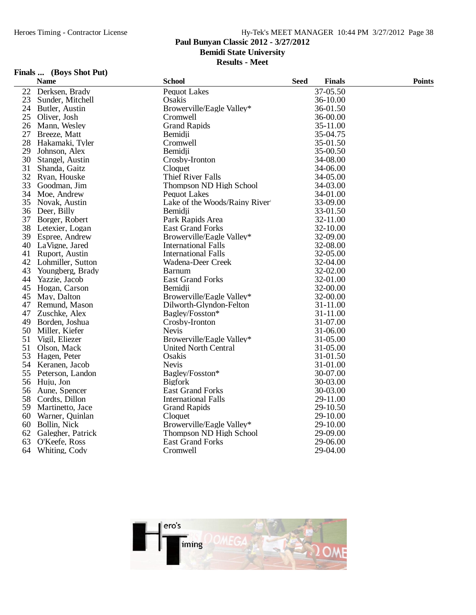## **Paul Bunyan Classic 2012 - 3/27/2012**

**Bemidi State University**

**Results - Meet**

### **Finals ... (Boys Shot Put)**

|    | <b>Name</b>          | <b>School</b>                 | <b>Seed</b> | <b>Finals</b> | <b>Points</b> |
|----|----------------------|-------------------------------|-------------|---------------|---------------|
| 22 | Derksen, Brady       | <b>Pequot Lakes</b>           |             | 37-05.50      |               |
| 23 | Sunder, Mitchell     | Osakis                        |             | 36-10.00      |               |
|    | 24 Butler, Austin    | Browerville/Eagle Valley*     |             | 36-01.50      |               |
|    | 25 Oliver, Josh      | Cromwell                      |             | 36-00.00      |               |
|    | 26 Mann, Wesley      | <b>Grand Rapids</b>           |             | 35-11.00      |               |
| 27 | Breeze, Matt         | Bemidji                       |             | 35-04.75      |               |
| 28 | Hakamaki, Tyler      | Cromwell                      |             | 35-01.50      |               |
| 29 | Johnson, Alex        | Bemidii                       |             | 35-00.50      |               |
| 30 | Stangel, Austin      | Crosby-Ironton                |             | 34-08.00      |               |
| 31 | Shanda, Gaitz        | Cloquet                       |             | 34-06.00      |               |
|    | 32 Ryan, Houske      | <b>Thief River Falls</b>      |             | 34-05.00      |               |
| 33 | Goodman, Jim         | Thompson ND High School       |             | 34-03.00      |               |
|    | 34 Moe, Andrew       | <b>Pequot Lakes</b>           |             | 34-01.00      |               |
|    | 35 Novak, Austin     | Lake of the Woods/Rainy River |             | 33-09.00      |               |
|    | 36 Deer, Billy       | Bemidji                       |             | 33-01.50      |               |
|    | 37 Borger, Robert    | Park Rapids Area              |             | 32-11.00      |               |
|    | 38 Letexier, Logan   | <b>East Grand Forks</b>       |             | 32-10.00      |               |
|    | 39 Espree, Andrew    | Browerville/Eagle Valley*     |             | 32-09.00      |               |
|    | 40 LaVigne, Jared    | <b>International Falls</b>    |             | 32-08.00      |               |
|    | 41 Ruport, Austin    | <b>International Falls</b>    |             | 32-05.00      |               |
|    | 42 Lohmiller, Sutton | Wadena-Deer Creek             |             | 32-04.00      |               |
| 43 | Youngberg, Brady     | <b>Barnum</b>                 |             | 32-02.00      |               |
| 44 | Yazzie, Jacob        | <b>East Grand Forks</b>       |             | 32-01.00      |               |
| 45 | Hogan, Carson        | Bemidji                       |             | 32-00.00      |               |
|    | 45 May, Dalton       | Browerville/Eagle Valley*     |             | 32-00.00      |               |
| 47 | Remund, Mason        | Dilworth-Glyndon-Felton       |             | 31-11.00      |               |
| 47 | Zuschke, Alex        | Bagley/Fosston*               |             | 31-11.00      |               |
|    | 49 Borden, Joshua    | Crosby-Ironton                |             | 31-07.00      |               |
|    | 50 Miller, Kiefer    | <b>Nevis</b>                  |             | 31-06.00      |               |
| 51 | Vigil, Eliezer       | Browerville/Eagle Valley*     |             | 31-05.00      |               |
| 51 | Olson, Mack          | <b>United North Central</b>   |             | 31-05.00      |               |
|    | 53 Hagen, Peter      | Osakis                        |             | 31-01.50      |               |
|    | 54 Keranen, Jacob    | <b>Nevis</b>                  |             | 31-01.00      |               |
|    | 55 Peterson, Landon  | Bagley/Fosston*               |             | 30-07.00      |               |
|    | 56 Huju, Jon         | <b>Bigfork</b>                |             | 30-03.00      |               |
|    | 56 Aune, Spencer     | <b>East Grand Forks</b>       |             | 30-03.00      |               |
|    | 58 Cordts, Dillon    | <b>International Falls</b>    |             | 29-11.00      |               |
|    | 59 Martinetto, Jace  | <b>Grand Rapids</b>           |             | 29-10.50      |               |
|    | 60 Warner, Quinlan   | Cloquet                       |             | 29-10.00      |               |
| 60 | Bollin, Nick         | Browerville/Eagle Valley*     |             | 29-10.00      |               |
| 62 | Galegher, Patrick    | Thompson ND High School       |             | 29-09.00      |               |
| 63 | O'Keefe, Ross        | <b>East Grand Forks</b>       |             | 29-06.00      |               |
| 64 | Whiting, Cody        | Cromwell                      |             | 29-04.00      |               |
|    |                      |                               |             |               |               |

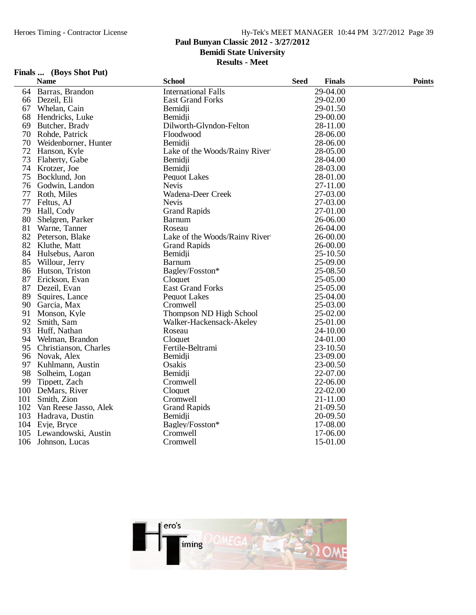## **Paul Bunyan Classic 2012 - 3/27/2012**

**Bemidi State University**

**Results - Meet**

## **Finals ... (Boys Shot Put)**

|     | <b>Name</b>               | <b>School</b>                 | <b>Seed</b> | <b>Finals</b> | <b>Points</b> |
|-----|---------------------------|-------------------------------|-------------|---------------|---------------|
|     | 64 Barras, Brandon        | <b>International Falls</b>    |             | 29-04.00      |               |
|     | 66 Dezeil, Eli            | <b>East Grand Forks</b>       |             | 29-02.00      |               |
|     | 67 Whelan, Cain           | Bemidji                       |             | 29-01.50      |               |
|     | 68 Hendricks, Luke        | Bemidji                       |             | 29-00.00      |               |
| 69  | Butcher, Brady            | Dilworth-Glyndon-Felton       |             | 28-11.00      |               |
|     | 70 Rohde, Patrick         | Floodwood                     |             | 28-06.00      |               |
|     | 70 Weidenborner, Hunter   | Bemidii                       |             | 28-06.00      |               |
|     | 72 Hanson, Kyle           | Lake of the Woods/Rainy River |             | 28-05.00      |               |
| 73  | Flaherty, Gabe            | Bemidii                       |             | 28-04.00      |               |
|     | 74 Krotzer, Joe           | Bemidji                       |             | 28-03.00      |               |
|     | 75 Bocklund, Jon          | <b>Pequot Lakes</b>           |             | 28-01.00      |               |
|     | 76 Godwin, Landon         | <b>Nevis</b>                  |             | 27-11.00      |               |
| 77  | Roth, Miles               | Wadena-Deer Creek             |             | 27-03.00      |               |
| 77  | Feltus, AJ                | <b>Nevis</b>                  |             | 27-03.00      |               |
| 79  | Hall, Cody                | <b>Grand Rapids</b>           |             | 27-01.00      |               |
|     | 80 Shelgren, Parker       | Barnum                        |             | 26-06.00      |               |
| 81  | Warne, Tanner             | Roseau                        |             | 26-04.00      |               |
|     | 82 Peterson, Blake        | Lake of the Woods/Rainy River |             | 26-00.00      |               |
|     | 82 Kluthe, Matt           | <b>Grand Rapids</b>           |             | 26-00.00      |               |
|     | 84 Hulsebus, Aaron        | Bemidji                       |             | 25-10.50      |               |
|     | 85 Willour, Jerry         | <b>Barnum</b>                 |             | 25-09.00      |               |
|     | 86 Hutson, Triston        | Bagley/Fosston*               |             | 25-08.50      |               |
|     | 87 Erickson, Evan         | Cloquet                       |             | 25-05.00      |               |
| 87  | Dezeil, Evan              | <b>East Grand Forks</b>       |             | 25-05.00      |               |
| 89  | Squires, Lance            | <b>Pequot Lakes</b>           |             | 25-04.00      |               |
|     | 90 Garcia, Max            | Cromwell                      |             | 25-03.00      |               |
|     | 91 Monson, Kyle           | Thompson ND High School       |             | 25-02.00      |               |
| 92  | Smith, Sam                | Walker-Hackensack-Akeley      |             | 25-01.00      |               |
| 93  | Huff, Nathan              | Roseau                        |             | 24-10.00      |               |
|     | 94 Welman, Brandon        | Cloquet                       |             | 24-01.00      |               |
| 95  | Christianson, Charles     | Fertile-Beltrami              |             | 23-10.50      |               |
|     | 96 Novak, Alex            | Bemidji                       |             | 23-09.00      |               |
| 97  | Kuhlmann, Austin          | Osakis                        |             | 23-00.50      |               |
| 98  | Solheim, Logan            | Bemidii                       |             | 22-07.00      |               |
| 99  | Tippett, Zach             | Cromwell                      |             | 22-06.00      |               |
| 100 | DeMars, River             | Cloquet                       |             | 22-02.00      |               |
| 101 | Smith, Zion               | Cromwell                      |             | 21-11.00      |               |
|     | 102 Van Reese Jasso, Alek | <b>Grand Rapids</b>           |             | 21-09.50      |               |
|     | 103 Hadrava, Dustin       | Bemidji                       |             | 20-09.50      |               |
|     | 104 Evje, Bryce           | Bagley/Fosston*               |             | 17-08.00      |               |
|     | 105 Lewandowski, Austin   | Cromwell                      |             | 17-06.00      |               |
|     | 106 Johnson, Lucas        | Cromwell                      |             | 15-01.00      |               |